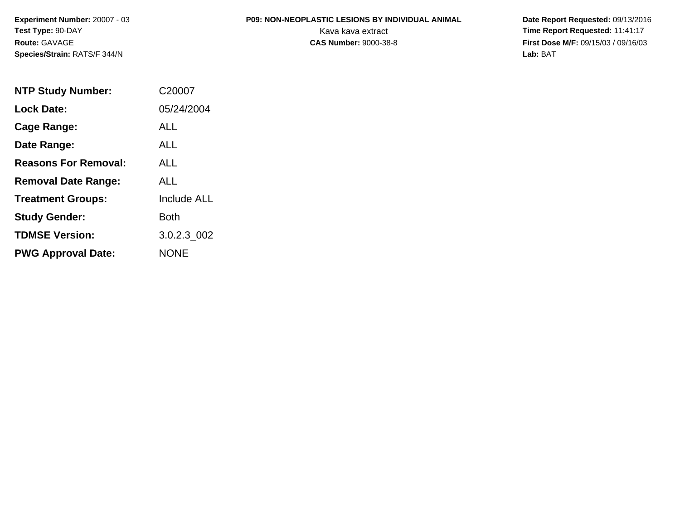### **P09: NON-NEOPLASTIC LESIONS BY INDIVIDUAL ANIMAL**

| <b>NTP Study Number:</b>    | C <sub>20007</sub> |
|-----------------------------|--------------------|
| <b>Lock Date:</b>           | 05/24/2004         |
| Cage Range:                 | ALL                |
| Date Range:                 | ALL                |
| <b>Reasons For Removal:</b> | AI I               |
| <b>Removal Date Range:</b>  | ALL                |
| <b>Treatment Groups:</b>    | <b>Include ALL</b> |
| <b>Study Gender:</b>        | Both               |
| <b>TDMSE Version:</b>       | 3.0.2.3 002        |
| <b>PWG Approval Date:</b>   | <b>NONE</b>        |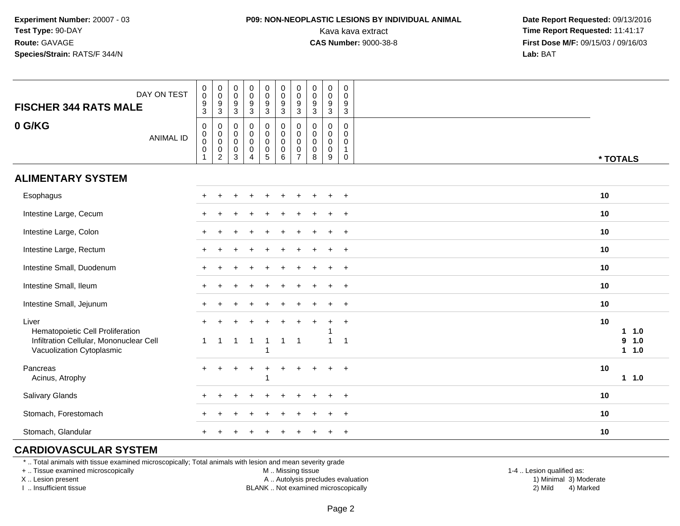### **P09: NON-NEOPLASTIC LESIONS BY INDIVIDUAL ANIMAL**

 **Date Report Requested:** 09/13/2016 Kava kava extract **Time Report Requested:** 11:41:17<br>**CAS Number:** 9000-38-8 **Time Report Requested:** 11:41:17 **First Dose M/F:** 09/15/03 / 09/16/03<br>**Lab:** BAT **Lab:** BAT

| DAY ON TEST<br><b>FISCHER 344 RATS MALE</b>                                                                       | $\pmb{0}$<br>$\pmb{0}$<br>9<br>$\mathbf{3}$ | $\boldsymbol{0}$<br>$\pmb{0}$<br>$\boldsymbol{9}$<br>$\mathbf{3}$        | $\pmb{0}$<br>$\mathsf{O}\xspace$<br>$\boldsymbol{9}$<br>$\mathsf 3$ | $\pmb{0}$<br>$\frac{0}{9}$                                          | 0<br>$\mathsf{O}\xspace$<br>$\frac{9}{3}$                                      | $\pmb{0}$<br>$\mathbf 0$<br>$\boldsymbol{9}$<br>$\mathbf{3}$        | $\pmb{0}$<br>$\mathbf 0$<br>9<br>3                            | $\mathbf 0$<br>$\mathbf 0$<br>9<br>$\mathbf{3}$     | $\pmb{0}$<br>$\pmb{0}$<br>$\boldsymbol{9}$<br>$\mathbf{3}$ |                | $\mathbf 0$<br>$\mathbf 0$<br>9<br>$\mathbf{3}$          |          |                             |
|-------------------------------------------------------------------------------------------------------------------|---------------------------------------------|--------------------------------------------------------------------------|---------------------------------------------------------------------|---------------------------------------------------------------------|--------------------------------------------------------------------------------|---------------------------------------------------------------------|---------------------------------------------------------------|-----------------------------------------------------|------------------------------------------------------------|----------------|----------------------------------------------------------|----------|-----------------------------|
| 0 G/KG<br><b>ANIMAL ID</b>                                                                                        | $\pmb{0}$<br>0<br>0<br>$\mathbf 0$<br>1     | $\mathsf{O}$<br>$\mathsf{O}$<br>$\bar{0}$<br>$\pmb{0}$<br>$\overline{c}$ | $\pmb{0}$<br>$\boldsymbol{0}$<br>$\mathbf 0$<br>0<br>3              | $\mathsf 0$<br>$\overline{0}$<br>0<br>$\mathsf 0$<br>$\overline{4}$ | $\pmb{0}$<br>$\mathbf 0$<br>$\mathsf{O}\xspace$<br>$\pmb{0}$<br>$\overline{5}$ | $\pmb{0}$<br>$\mathbf 0$<br>$\ddot{\mathbf{0}}$<br>$\mathbf 0$<br>6 | $\mathbf 0$<br>$\mathbf 0$<br>$\mathbf 0$<br>$\mathbf 0$<br>7 | $\mathbf 0$<br>0<br>$\mathbf 0$<br>$\mathbf 0$<br>8 | $\mathbf 0$<br>0<br>$\pmb{0}$<br>$\mathsf{O}\xspace$<br>9  | $\overline{1}$ | $\mathbf 0$<br>$\mathbf 0$<br>$\mathbf 0$<br>$\mathbf 0$ | * TOTALS |                             |
| <b>ALIMENTARY SYSTEM</b>                                                                                          |                                             |                                                                          |                                                                     |                                                                     |                                                                                |                                                                     |                                                               |                                                     |                                                            |                |                                                          |          |                             |
| Esophagus                                                                                                         |                                             |                                                                          |                                                                     |                                                                     |                                                                                |                                                                     |                                                               |                                                     |                                                            | $+$            |                                                          | 10       |                             |
| Intestine Large, Cecum                                                                                            |                                             |                                                                          |                                                                     |                                                                     |                                                                                |                                                                     |                                                               |                                                     |                                                            | $\overline{+}$ |                                                          | 10       |                             |
| Intestine Large, Colon                                                                                            |                                             |                                                                          |                                                                     |                                                                     |                                                                                |                                                                     |                                                               |                                                     |                                                            | $\overline{1}$ |                                                          | 10       |                             |
| Intestine Large, Rectum                                                                                           |                                             |                                                                          |                                                                     |                                                                     |                                                                                |                                                                     |                                                               |                                                     |                                                            | $+$            |                                                          | 10       |                             |
| Intestine Small, Duodenum                                                                                         |                                             |                                                                          |                                                                     |                                                                     |                                                                                |                                                                     |                                                               |                                                     | $\ddot{}$                                                  | $+$            |                                                          | 10       |                             |
| Intestine Small, Ileum                                                                                            |                                             |                                                                          |                                                                     |                                                                     |                                                                                |                                                                     |                                                               |                                                     | $\ddot{}$                                                  | $+$            |                                                          | 10       |                             |
| Intestine Small, Jejunum                                                                                          |                                             |                                                                          |                                                                     |                                                                     |                                                                                |                                                                     |                                                               |                                                     |                                                            |                | $+$                                                      | 10       |                             |
| Liver<br>Hematopoietic Cell Proliferation<br>Infiltration Cellular, Mononuclear Cell<br>Vacuolization Cytoplasmic | 1                                           | 1                                                                        | -1                                                                  | $\overline{1}$                                                      | -1                                                                             | $\mathbf{1}$                                                        | $\overline{1}$                                                |                                                     | $\ddot{}$<br>$\overline{ }$                                | $\overline{1}$ | $\overline{+}$                                           | 10       | $1 1.0$<br>9<br>1.0<br>11.0 |
| Pancreas<br>Acinus, Atrophy                                                                                       |                                             |                                                                          |                                                                     |                                                                     |                                                                                |                                                                     |                                                               |                                                     | $\div$                                                     |                | $\ddot{}$                                                | 10       | 11.0                        |
| Salivary Glands                                                                                                   |                                             |                                                                          |                                                                     |                                                                     |                                                                                |                                                                     |                                                               |                                                     |                                                            | $\overline{+}$ |                                                          | 10       |                             |
| Stomach, Forestomach                                                                                              |                                             |                                                                          |                                                                     |                                                                     |                                                                                |                                                                     |                                                               |                                                     |                                                            | $\ddot{}$      |                                                          | 10       |                             |
| Stomach, Glandular                                                                                                |                                             |                                                                          |                                                                     |                                                                     |                                                                                |                                                                     |                                                               |                                                     | ÷                                                          |                | $\ddot{}$                                                | 10       |                             |

### **CARDIOVASCULAR SYSTEM**

\* .. Total animals with tissue examined microscopically; Total animals with lesion and mean severity grade

+ .. Tissue examined microscopically

X .. Lesion present

I .. Insufficient tissue

M .. Missing tissue

A .. Autolysis precludes evaluation

BLANK .. Not examined microscopically 2) Mild 4) Marked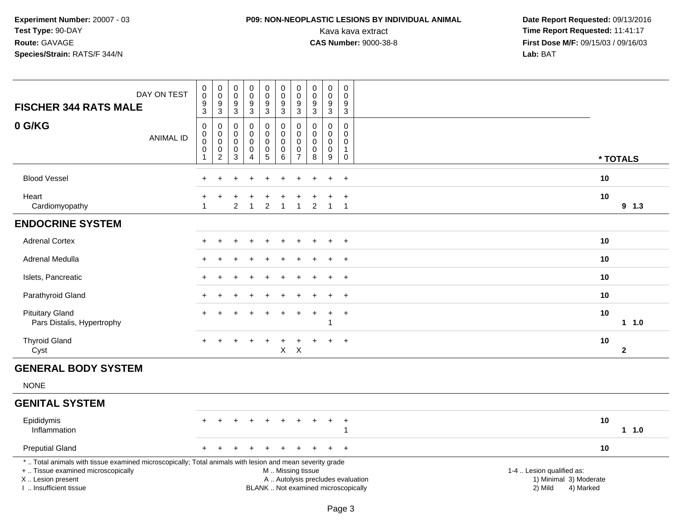### **P09: NON-NEOPLASTIC LESIONS BY INDIVIDUAL ANIMAL**

| DAY ON TEST<br><b>FISCHER 344 RATS MALE</b>                                                                                                                                                   | $\begin{smallmatrix}0\0\0\end{smallmatrix}$<br>$\boldsymbol{9}$<br>3           | $\begin{smallmatrix}0\\0\\9\end{smallmatrix}$<br>$\mathfrak{S}$ | $\mathbf 0$<br>$\mathbf 0$<br>$\boldsymbol{9}$<br>3 | $\pmb{0}$<br>$\overline{0}$<br>9<br>3                         | $_{\rm 0}^{\rm 0}$<br>$\overline{9}$<br>3       | $\pmb{0}$<br>$\mathbf 0$<br>$\overline{9}$<br>$\mathbf{3}$                                    | $_{\rm 0}^{\rm 0}$<br>9<br>3                               | $\pmb{0}$<br>$\pmb{0}$<br>$\overline{9}$<br>$\mathbf{3}$ | $_{\rm 0}^{\rm 0}$<br>$\overline{9}$<br>3                                  | 0<br>$\Omega$<br>9<br>$\mathbf{3}$                            |                                                                             |              |
|-----------------------------------------------------------------------------------------------------------------------------------------------------------------------------------------------|--------------------------------------------------------------------------------|-----------------------------------------------------------------|-----------------------------------------------------|---------------------------------------------------------------|-------------------------------------------------|-----------------------------------------------------------------------------------------------|------------------------------------------------------------|----------------------------------------------------------|----------------------------------------------------------------------------|---------------------------------------------------------------|-----------------------------------------------------------------------------|--------------|
| 0 G/KG<br><b>ANIMAL ID</b>                                                                                                                                                                    | $\mathsf 0$<br>$\begin{smallmatrix}0\0\0\end{smallmatrix}$<br>$\mathbf 0$<br>1 | $\mathbf 0$<br>$\overline{0}$<br>$\pmb{0}$<br>$\overline{2}$    | $\mathbf 0$<br>$\mathbf 0$<br>$\mathbf 0$<br>0<br>3 | $\mathbf 0$<br>$\mathbf 0$<br>$\Omega$<br>0<br>$\overline{4}$ | 0<br>$\pmb{0}$<br>$\mathbf 0$<br>$\pmb{0}$<br>5 | $\mathbf 0$<br>$\pmb{0}$<br>$\mathbf 0$<br>$\pmb{0}$<br>6                                     | $\Omega$<br>$\mathbf 0$<br>$\Omega$<br>0<br>$\overline{7}$ | $\Omega$<br>0<br>0<br>$\pmb{0}$<br>8                     | $\mathbf 0$<br>$\mathbf 0$<br>$\mathbf 0$<br>$\pmb{0}$<br>$\boldsymbol{9}$ | 0<br>$\mathbf 0$<br>$\mathbf 0$<br>$\mathbf 1$<br>$\mathsf 0$ |                                                                             | * TOTALS     |
| <b>Blood Vessel</b>                                                                                                                                                                           |                                                                                |                                                                 |                                                     |                                                               |                                                 |                                                                                               |                                                            |                                                          |                                                                            | $+$                                                           | 10                                                                          |              |
| Heart<br>Cardiomyopathy                                                                                                                                                                       | $\overline{1}$                                                                 | $\ddot{}$                                                       | $\overline{2}$                                      | $\overline{1}$                                                | $\overline{2}$                                  | $\mathbf{1}$                                                                                  | $\overline{1}$                                             | $\overline{2}$                                           | $\overline{1}$                                                             | $\ddot{}$<br>$\overline{1}$                                   | 10                                                                          | $9$ 1.3      |
| <b>ENDOCRINE SYSTEM</b>                                                                                                                                                                       |                                                                                |                                                                 |                                                     |                                                               |                                                 |                                                                                               |                                                            |                                                          |                                                                            |                                                               |                                                                             |              |
| <b>Adrenal Cortex</b>                                                                                                                                                                         |                                                                                |                                                                 |                                                     |                                                               |                                                 |                                                                                               |                                                            |                                                          |                                                                            | $\ddot{}$                                                     | 10                                                                          |              |
| Adrenal Medulla                                                                                                                                                                               |                                                                                |                                                                 |                                                     |                                                               |                                                 |                                                                                               |                                                            |                                                          |                                                                            | $+$                                                           | 10                                                                          |              |
| Islets, Pancreatic                                                                                                                                                                            |                                                                                |                                                                 |                                                     |                                                               |                                                 |                                                                                               |                                                            |                                                          |                                                                            | $+$                                                           | 10                                                                          |              |
| Parathyroid Gland                                                                                                                                                                             |                                                                                |                                                                 |                                                     |                                                               |                                                 |                                                                                               |                                                            |                                                          |                                                                            | $\ddot{}$                                                     | 10                                                                          |              |
| <b>Pituitary Gland</b><br>Pars Distalis, Hypertrophy                                                                                                                                          |                                                                                |                                                                 |                                                     |                                                               |                                                 |                                                                                               |                                                            |                                                          | 1                                                                          | $\ddot{}$                                                     | 10                                                                          | $1 1.0$      |
| <b>Thyroid Gland</b><br>Cyst                                                                                                                                                                  | $+$                                                                            | $\ddot{}$                                                       |                                                     |                                                               | $\ddot{}$                                       | $\ddot{}$<br>$\mathsf{X}$                                                                     | $\ddot{}$<br>$\mathsf{X}$                                  | $\pm$                                                    | $\ddot{}$                                                                  | $+$                                                           | 10                                                                          | $\mathbf{2}$ |
| <b>GENERAL BODY SYSTEM</b>                                                                                                                                                                    |                                                                                |                                                                 |                                                     |                                                               |                                                 |                                                                                               |                                                            |                                                          |                                                                            |                                                               |                                                                             |              |
| <b>NONE</b>                                                                                                                                                                                   |                                                                                |                                                                 |                                                     |                                                               |                                                 |                                                                                               |                                                            |                                                          |                                                                            |                                                               |                                                                             |              |
| <b>GENITAL SYSTEM</b>                                                                                                                                                                         |                                                                                |                                                                 |                                                     |                                                               |                                                 |                                                                                               |                                                            |                                                          |                                                                            |                                                               |                                                                             |              |
| Epididymis<br>Inflammation                                                                                                                                                                    |                                                                                |                                                                 |                                                     |                                                               |                                                 |                                                                                               |                                                            |                                                          |                                                                            | $\ddot{}$<br>-1                                               | 10                                                                          | $1 1.0$      |
| <b>Preputial Gland</b>                                                                                                                                                                        |                                                                                |                                                                 |                                                     |                                                               |                                                 |                                                                                               |                                                            |                                                          |                                                                            | $+$                                                           | 10                                                                          |              |
| *  Total animals with tissue examined microscopically; Total animals with lesion and mean severity grade<br>+  Tissue examined microscopically<br>X  Lesion present<br>I. Insufficient tissue |                                                                                |                                                                 |                                                     |                                                               |                                                 | M  Missing tissue<br>A  Autolysis precludes evaluation<br>BLANK  Not examined microscopically |                                                            |                                                          |                                                                            |                                                               | 1-4  Lesion qualified as:<br>1) Minimal 3) Moderate<br>2) Mild<br>4) Marked |              |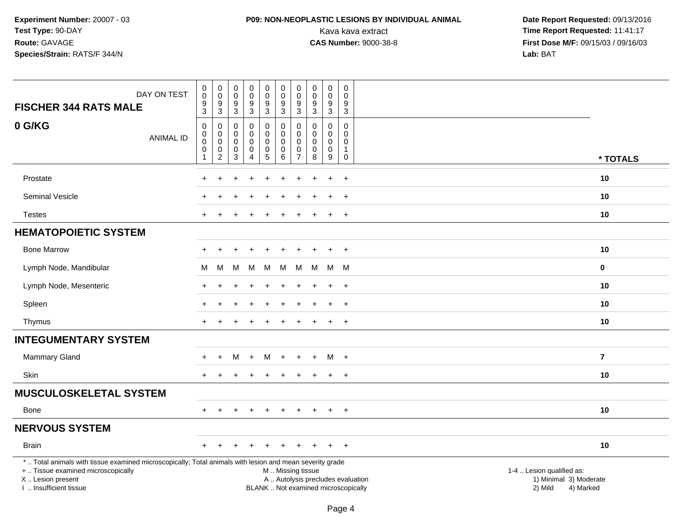### **P09: NON-NEOPLASTIC LESIONS BY INDIVIDUAL ANIMAL**

| <b>FISCHER 344 RATS MALE</b>                                                                                                                                                                  | DAY ON TEST      | $\pmb{0}$<br>$\mathbf 0$<br>$\boldsymbol{9}$                | 0<br>$\pmb{0}$<br>$\boldsymbol{9}$ | $\boldsymbol{0}$<br>$\mathbf 0$<br>$\boldsymbol{9}$ | $\pmb{0}$<br>$\mathbf 0$<br>$\boldsymbol{9}$ | $\mathsf{O}\xspace$<br>$\mathbf 0$<br>9                        | $\pmb{0}$<br>$\mathbf 0$<br>9                          | $\pmb{0}$<br>0<br>$\boldsymbol{9}$               | $\pmb{0}$<br>$\mathbf 0$<br>$\boldsymbol{9}$ | $\pmb{0}$<br>$\mathbf 0$<br>$\boldsymbol{9}$ | $\mathsf 0$<br>$\Omega$<br>9         |                                                                                                                  |          |
|-----------------------------------------------------------------------------------------------------------------------------------------------------------------------------------------------|------------------|-------------------------------------------------------------|------------------------------------|-----------------------------------------------------|----------------------------------------------|----------------------------------------------------------------|--------------------------------------------------------|--------------------------------------------------|----------------------------------------------|----------------------------------------------|--------------------------------------|------------------------------------------------------------------------------------------------------------------|----------|
|                                                                                                                                                                                               |                  | $\mathbf{3}$                                                | $\mathbf{3}$                       | 3                                                   | $\mathbf{3}$                                 | 3                                                              | 3                                                      | $\mathbf{3}$                                     | 3                                            | 3                                            | 3                                    |                                                                                                                  |          |
| 0 G/KG                                                                                                                                                                                        | <b>ANIMAL ID</b> | $\mathbf 0$<br>$\boldsymbol{0}$<br>$\mathbf 0$<br>$\pmb{0}$ | 0<br>$\pmb{0}$<br>$\mathsf 0$<br>0 | 0<br>0<br>0<br>0                                    | $\mathbf 0$<br>0<br>0<br>$\pmb{0}$           | 0<br>$\mathbf 0$<br>0<br>$\begin{array}{c} 0 \\ 5 \end{array}$ | $\mathbf 0$<br>$\mathbf 0$<br>$\mathbf 0$<br>$\pmb{0}$ | $\mathbf 0$<br>$\mathbf{0}$<br>$\mathbf{0}$<br>0 | 0<br>$\Omega$<br>$\mathbf 0$<br>0            | 0<br>0<br>0<br>$\pmb{0}$                     | $\mathbf 0$<br>0<br>0<br>$\mathbf 1$ |                                                                                                                  |          |
|                                                                                                                                                                                               |                  | $\mathbf{1}$                                                | 2                                  | 3                                                   | $\overline{4}$                               |                                                                | 6                                                      | $\overline{7}$                                   | 8                                            | 9                                            | 0                                    |                                                                                                                  | * TOTALS |
| Prostate                                                                                                                                                                                      |                  |                                                             |                                    |                                                     |                                              |                                                                |                                                        |                                                  |                                              |                                              | $\ddot{}$                            | 10                                                                                                               |          |
| Seminal Vesicle                                                                                                                                                                               |                  |                                                             |                                    |                                                     |                                              |                                                                |                                                        |                                                  |                                              |                                              | $\ddot{}$                            | 10                                                                                                               |          |
| <b>Testes</b>                                                                                                                                                                                 |                  | $\pm$                                                       |                                    |                                                     | <b>+</b>                                     |                                                                |                                                        |                                                  |                                              | $\ddot{}$                                    | $+$                                  | 10                                                                                                               |          |
| <b>HEMATOPOIETIC SYSTEM</b>                                                                                                                                                                   |                  |                                                             |                                    |                                                     |                                              |                                                                |                                                        |                                                  |                                              |                                              |                                      |                                                                                                                  |          |
| <b>Bone Marrow</b>                                                                                                                                                                            |                  |                                                             |                                    |                                                     |                                              |                                                                |                                                        |                                                  |                                              | $\ddot{}$                                    | $+$                                  | 10                                                                                                               |          |
| Lymph Node, Mandibular                                                                                                                                                                        |                  | M                                                           | М                                  | М                                                   | M                                            | M                                                              | м                                                      | м                                                | М                                            | M                                            | M                                    | $\mathbf 0$                                                                                                      |          |
| Lymph Node, Mesenteric                                                                                                                                                                        |                  |                                                             |                                    |                                                     |                                              |                                                                |                                                        |                                                  |                                              | $\ddot{}$                                    | $+$                                  | 10                                                                                                               |          |
| Spleen                                                                                                                                                                                        |                  |                                                             | $\div$                             |                                                     | $\div$                                       | $\pm$                                                          | $\ddot{}$                                              | $\pm$                                            |                                              | $\ddot{}$                                    | $+$                                  | 10                                                                                                               |          |
| Thymus                                                                                                                                                                                        |                  |                                                             |                                    |                                                     |                                              |                                                                |                                                        |                                                  |                                              | $\ddot{}$                                    | $+$                                  | 10                                                                                                               |          |
| <b>INTEGUMENTARY SYSTEM</b>                                                                                                                                                                   |                  |                                                             |                                    |                                                     |                                              |                                                                |                                                        |                                                  |                                              |                                              |                                      |                                                                                                                  |          |
| Mammary Gland                                                                                                                                                                                 |                  |                                                             | $\ddot{}$                          | м                                                   | $+$                                          | M                                                              | $+$                                                    | $+$                                              | $\ddot{}$                                    | M +                                          |                                      | $\overline{7}$                                                                                                   |          |
| Skin                                                                                                                                                                                          |                  | $+$                                                         |                                    |                                                     |                                              | $\div$                                                         |                                                        | $\ddot{}$                                        |                                              | $\ddot{}$                                    | $+$                                  | 10                                                                                                               |          |
| <b>MUSCULOSKELETAL SYSTEM</b>                                                                                                                                                                 |                  |                                                             |                                    |                                                     |                                              |                                                                |                                                        |                                                  |                                              |                                              |                                      |                                                                                                                  |          |
| Bone                                                                                                                                                                                          |                  |                                                             |                                    |                                                     |                                              |                                                                |                                                        |                                                  |                                              | $\ddot{}$                                    | $+$                                  | 10                                                                                                               |          |
| <b>NERVOUS SYSTEM</b>                                                                                                                                                                         |                  |                                                             |                                    |                                                     |                                              |                                                                |                                                        |                                                  |                                              |                                              |                                      |                                                                                                                  |          |
| <b>Brain</b>                                                                                                                                                                                  |                  | $\pm$                                                       |                                    |                                                     | <b>+</b>                                     |                                                                |                                                        |                                                  |                                              |                                              | $+$                                  | 10                                                                                                               |          |
| *  Total animals with tissue examined microscopically; Total animals with lesion and mean severity grade<br>+  Tissue examined microscopically<br>X  Lesion present<br>I  Insufficient tissue |                  |                                                             |                                    |                                                     |                                              |                                                                | M  Missing tissue                                      |                                                  | BLANK  Not examined microscopically          |                                              |                                      | 1-4  Lesion qualified as:<br>A  Autolysis precludes evaluation<br>1) Minimal 3) Moderate<br>2) Mild<br>4) Marked |          |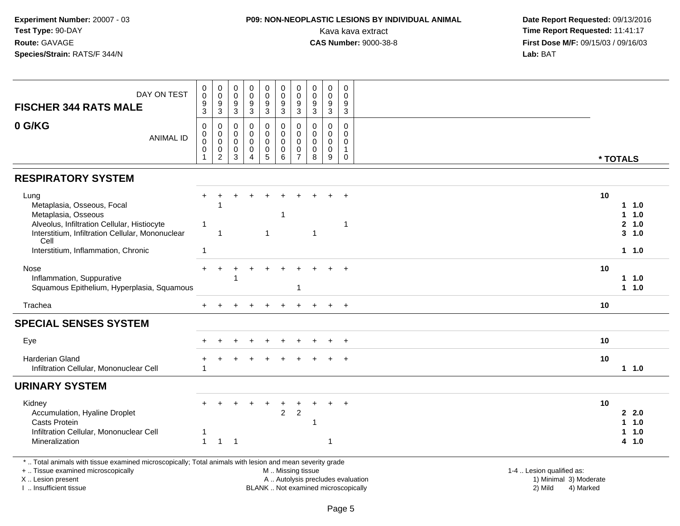## **P09: NON-NEOPLASTIC LESIONS BY INDIVIDUAL ANIMAL**

| DAY ON TEST<br><b>FISCHER 344 RATS MALE</b>                                                                                                                                                  | $\boldsymbol{0}$<br>0<br>$\boldsymbol{9}$<br>3 | $_{\rm 0}^{\rm 0}$<br>$\mathsf g$<br>3             | $\pmb{0}$<br>$\pmb{0}$<br>$\boldsymbol{9}$<br>$\mathfrak{S}$ | $_{\rm 0}^{\rm 0}$<br>$\overline{9}$<br>3                                      | 0<br>0<br>$\boldsymbol{9}$<br>$\mathbf{3}$             | $\mathbf 0$<br>$\mathbf 0$<br>$\boldsymbol{9}$<br>3         | $\pmb{0}$<br>$\mathbf 0$<br>9<br>3                            | $\pmb{0}$<br>0<br>$\boldsymbol{9}$<br>$\mathbf{3}$         | $\pmb{0}$<br>$\mathsf{O}\xspace$<br>$\boldsymbol{9}$<br>$\mathbf{3}$ | $\mathbf 0$<br>$\mathbf 0$<br>9<br>$\mathbf{3}$                       |                                                                                                                                                         |  |
|----------------------------------------------------------------------------------------------------------------------------------------------------------------------------------------------|------------------------------------------------|----------------------------------------------------|--------------------------------------------------------------|--------------------------------------------------------------------------------|--------------------------------------------------------|-------------------------------------------------------------|---------------------------------------------------------------|------------------------------------------------------------|----------------------------------------------------------------------|-----------------------------------------------------------------------|---------------------------------------------------------------------------------------------------------------------------------------------------------|--|
| 0 G/KG<br><b>ANIMAL ID</b>                                                                                                                                                                   | $\mathbf 0$<br>0<br>$\mathbf 0$<br>0<br>1      | 0<br>$\pmb{0}$<br>$\pmb{0}$<br>0<br>$\overline{2}$ | $\mathbf 0$<br>$\mathbf 0$<br>0<br>0<br>3                    | $\mathbf 0$<br>$\pmb{0}$<br>$\pmb{0}$<br>$\mathsf 0$<br>$\boldsymbol{\Lambda}$ | 0<br>$\pmb{0}$<br>$\pmb{0}$<br>$\pmb{0}$<br>$\sqrt{5}$ | $\mathbf 0$<br>$\pmb{0}$<br>$\mathbf 0$<br>$\mathbf 0$<br>6 | $\Omega$<br>$\mathbf 0$<br>$\mathbf 0$<br>0<br>$\overline{7}$ | $\Omega$<br>$\mathbf 0$<br>$\mathbf 0$<br>$\mathbf 0$<br>8 | $\mathbf 0$<br>$\pmb{0}$<br>0<br>$\pmb{0}$<br>9                      | $\mathbf 0$<br>$\mathbf 0$<br>$\Omega$<br>$\mathbf{1}$<br>$\mathbf 0$ | * TOTALS                                                                                                                                                |  |
| <b>RESPIRATORY SYSTEM</b>                                                                                                                                                                    |                                                |                                                    |                                                              |                                                                                |                                                        |                                                             |                                                               |                                                            |                                                                      |                                                                       |                                                                                                                                                         |  |
| Lung<br>Metaplasia, Osseous, Focal<br>Metaplasia, Osseous<br>Alveolus, Infiltration Cellular, Histiocyte<br>Interstitium, Infiltration Cellular, Mononuclear<br>Cell                         | -1                                             | $\mathbf 1$                                        |                                                              |                                                                                |                                                        | -1                                                          |                                                               | -1                                                         |                                                                      | $\ddot{}$<br>1                                                        | 10<br>1.0<br>1.0<br>2, 1.0<br>3, 1.0                                                                                                                    |  |
| Interstitium, Inflammation, Chronic                                                                                                                                                          | $\overline{1}$                                 |                                                    |                                                              |                                                                                |                                                        |                                                             |                                                               |                                                            |                                                                      |                                                                       | 1.0                                                                                                                                                     |  |
| Nose<br>Inflammation, Suppurative<br>Squamous Epithelium, Hyperplasia, Squamous                                                                                                              |                                                |                                                    |                                                              |                                                                                |                                                        |                                                             | 1                                                             |                                                            |                                                                      |                                                                       | 10<br>11.0<br>$1 1.0$                                                                                                                                   |  |
| Trachea                                                                                                                                                                                      |                                                |                                                    |                                                              | $\ddot{}$                                                                      | $\ddot{}$                                              |                                                             |                                                               |                                                            | $+$                                                                  | $+$                                                                   | 10                                                                                                                                                      |  |
| <b>SPECIAL SENSES SYSTEM</b>                                                                                                                                                                 |                                                |                                                    |                                                              |                                                                                |                                                        |                                                             |                                                               |                                                            |                                                                      |                                                                       |                                                                                                                                                         |  |
| Eye                                                                                                                                                                                          |                                                |                                                    |                                                              |                                                                                |                                                        |                                                             |                                                               |                                                            |                                                                      |                                                                       | 10                                                                                                                                                      |  |
| <b>Harderian Gland</b><br>Infiltration Cellular, Mononuclear Cell                                                                                                                            | 1                                              |                                                    |                                                              |                                                                                |                                                        |                                                             |                                                               |                                                            |                                                                      |                                                                       | 10<br>1.0                                                                                                                                               |  |
| <b>URINARY SYSTEM</b>                                                                                                                                                                        |                                                |                                                    |                                                              |                                                                                |                                                        |                                                             |                                                               |                                                            |                                                                      |                                                                       |                                                                                                                                                         |  |
| Kidney<br>Accumulation, Hyaline Droplet<br><b>Casts Protein</b><br>Infiltration Cellular, Mononuclear Cell<br>Mineralization                                                                 | $\blacktriangleleft$                           | $\mathbf{1}$                                       | $\overline{1}$                                               |                                                                                |                                                        | $\overline{c}$                                              | $\sqrt{2}$                                                    |                                                            | 1                                                                    |                                                                       | 10<br>2, 2.0<br>$1 1.0$<br>$1 1.0$<br>4 1.0                                                                                                             |  |
| *  Total animals with tissue examined microscopically; Total animals with lesion and mean severity grade<br>+  Tissue examined microscopically<br>X Lesion present<br>I. Insufficient tissue |                                                |                                                    |                                                              |                                                                                |                                                        |                                                             |                                                               | M  Missing tissue                                          |                                                                      |                                                                       | 1-4  Lesion qualified as:<br>A  Autolysis precludes evaluation<br>1) Minimal 3) Moderate<br>BLANK  Not examined microscopically<br>2) Mild<br>4) Marked |  |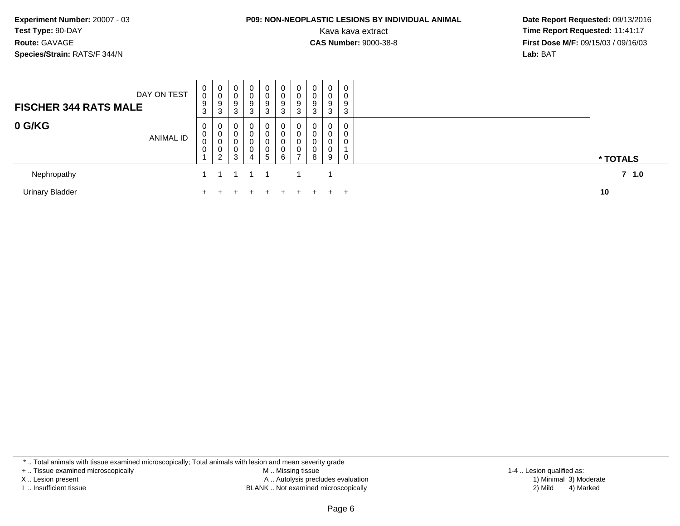### **P09: NON-NEOPLASTIC LESIONS BY INDIVIDUAL ANIMAL**

 **Date Report Requested:** 09/13/2016 Kava kava extract **Time Report Requested:** 11:41:17<br>**CAS Number:** 9000-38-8 **Time Report Requested:** 11:41:17 **First Dose M/F:** 09/15/03 / 09/16/03<br>**Lab:** BAT **Lab:** BAT

| DAY ON TEST<br><b>FISCHER 344 RATS MALE</b> | 0<br>0<br>9<br>3                   | 0<br>υ<br>9<br>$\sim$<br>3      | $\mathbf 0$<br>9<br>ు | $\mathbf 0$<br>0<br>9<br>3 | 0<br>0<br>9<br>3      | 0<br>0<br>9<br>3                | 0<br>0<br>9<br>3                  | 0<br>9<br>3        | 0<br>0<br>9<br>3           | $\mathbf 0$<br>0<br>9<br>3 |                  |
|---------------------------------------------|------------------------------------|---------------------------------|-----------------------|----------------------------|-----------------------|---------------------------------|-----------------------------------|--------------------|----------------------------|----------------------------|------------------|
| 0 G/KG<br><b>ANIMAL ID</b>                  | 0<br>0<br>0<br>0<br>$\overline{A}$ | 0<br>$\sim$<br>U<br>υ<br>υ<br>C | 3                     | 0<br>0<br>0<br>0<br>4      | 0<br>0<br>0<br>0<br>5 | $\mathbf 0$<br>0<br>0<br>0<br>6 | 0<br>0<br>0<br>0<br>$\rightarrow$ | $\Omega$<br>U<br>8 | 0<br>0<br>0<br>n<br>U<br>9 | 0<br>0<br>0<br>0           | * TOTALS         |
| Nephropathy                                 |                                    |                                 |                       |                            |                       |                                 |                                   |                    |                            |                            | 7 <sub>1.0</sub> |
| <b>Urinary Bladder</b>                      |                                    |                                 |                       |                            |                       |                                 |                                   |                    |                            | $+$                        | 10               |

\* .. Total animals with tissue examined microscopically; Total animals with lesion and mean severity grade

+ .. Tissue examined microscopically

X .. Lesion present

I .. Insufficient tissue

 M .. Missing tissueA .. Autolysis precludes evaluation

BLANK .. Not examined microscopically 2) Mild 4) Marked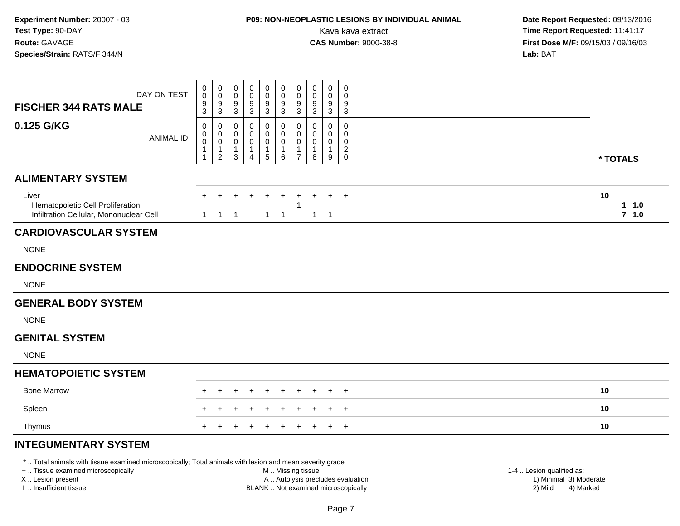# **P09: NON-NEOPLASTIC LESIONS BY INDIVIDUAL ANIMAL**

 **Date Report Requested:** 09/13/2016 Kava kava extract **Time Report Requested:** 11:41:17<br>**CAS Number:** 9000-38-8 **Time Report Requested:** 11:41:17 **First Dose M/F:** 09/15/03 / 09/16/03<br>**Lab:** BAT **Lab:** BAT

| DAY ON TEST<br><b>FISCHER 344 RATS MALE</b>                                          | 0<br>$\mathbf 0$<br>$\frac{9}{3}$     | $\mathbf 0$<br>$\mathbf 0$<br>$9\,$<br>$\overline{3}$        | 0<br>0<br>9<br>3      | 0<br>0<br>9<br>$\overline{3}$                 | $\mathbf 0$<br>$\pmb{0}$<br>9<br>$\overline{3}$  | $\pmb{0}$<br>0<br>$\frac{9}{3}$                            | $\pmb{0}$<br>$\mathbf 0$<br>$\frac{9}{3}$                         | $\boldsymbol{0}$<br>$\boldsymbol{0}$<br>9<br>$\overline{3}$ | $\mathbf 0$<br>0<br>$9\,$<br>$\sqrt{3}$    | $\pmb{0}$<br>0<br>9<br>3                   |                        |
|--------------------------------------------------------------------------------------|---------------------------------------|--------------------------------------------------------------|-----------------------|-----------------------------------------------|--------------------------------------------------|------------------------------------------------------------|-------------------------------------------------------------------|-------------------------------------------------------------|--------------------------------------------|--------------------------------------------|------------------------|
| 0.125 G/KG<br><b>ANIMAL ID</b>                                                       | 0<br>0<br>$\pmb{0}$<br>$\overline{1}$ | 0<br>0<br>$\boldsymbol{0}$<br>$\mathbf{1}$<br>$\overline{2}$ | 0<br>0<br>0<br>1<br>3 | 0<br>0<br>0<br>$\mathbf{1}$<br>$\overline{4}$ | 0<br>$\pmb{0}$<br>$\pmb{0}$<br>$\mathbf{1}$<br>5 | 0<br>$\mathbf 0$<br>$\mathbf 0$<br>$\mathbf{1}$<br>$\,6\,$ | $\mathbf 0$<br>$\mathbf 0$<br>0<br>$\mathbf{1}$<br>$\overline{7}$ | 0<br>0<br>0<br>$\mathbf{1}$<br>8                            | $\mathbf 0$<br>0<br>0<br>$\mathbf{1}$<br>9 | 0<br>0<br>0<br>$\overline{c}$<br>$\pmb{0}$ | * TOTALS               |
| <b>ALIMENTARY SYSTEM</b>                                                             |                                       |                                                              |                       |                                               |                                                  |                                                            |                                                                   |                                                             |                                            |                                            |                        |
| Liver<br>Hematopoietic Cell Proliferation<br>Infiltration Cellular, Mononuclear Cell | $\mathbf{1}$                          | $\mathbf{1}$                                                 | $\overline{1}$        |                                               | $\mathbf{1}$                                     | $\overline{1}$                                             |                                                                   | $\mathbf{1}$                                                | $\div$<br>$\overline{1}$                   | $+$                                        | 10<br>1 1.0<br>$7 1.0$ |
| <b>CARDIOVASCULAR SYSTEM</b>                                                         |                                       |                                                              |                       |                                               |                                                  |                                                            |                                                                   |                                                             |                                            |                                            |                        |
| <b>NONE</b>                                                                          |                                       |                                                              |                       |                                               |                                                  |                                                            |                                                                   |                                                             |                                            |                                            |                        |
| <b>ENDOCRINE SYSTEM</b>                                                              |                                       |                                                              |                       |                                               |                                                  |                                                            |                                                                   |                                                             |                                            |                                            |                        |
| <b>NONE</b>                                                                          |                                       |                                                              |                       |                                               |                                                  |                                                            |                                                                   |                                                             |                                            |                                            |                        |
| <b>GENERAL BODY SYSTEM</b>                                                           |                                       |                                                              |                       |                                               |                                                  |                                                            |                                                                   |                                                             |                                            |                                            |                        |
| <b>NONE</b>                                                                          |                                       |                                                              |                       |                                               |                                                  |                                                            |                                                                   |                                                             |                                            |                                            |                        |
| <b>GENITAL SYSTEM</b>                                                                |                                       |                                                              |                       |                                               |                                                  |                                                            |                                                                   |                                                             |                                            |                                            |                        |
| <b>NONE</b>                                                                          |                                       |                                                              |                       |                                               |                                                  |                                                            |                                                                   |                                                             |                                            |                                            |                        |
| <b>HEMATOPOIETIC SYSTEM</b>                                                          |                                       |                                                              |                       |                                               |                                                  |                                                            |                                                                   |                                                             |                                            |                                            |                        |
| <b>Bone Marrow</b>                                                                   |                                       |                                                              |                       |                                               |                                                  |                                                            |                                                                   |                                                             |                                            | $\overline{+}$                             | 10                     |
| Spleen                                                                               |                                       |                                                              |                       |                                               |                                                  |                                                            |                                                                   |                                                             |                                            | $\ddot{}$                                  | 10                     |
| Thymus                                                                               | $+$                                   | $\pm$                                                        | ÷                     | $\ddot{}$                                     | $+$                                              | $+$                                                        | $+$                                                               | $+$                                                         | $+$                                        | $+$                                        | 10                     |
| <b>INTEGUMENTARY SYSTEM</b>                                                          |                                       |                                                              |                       |                                               |                                                  |                                                            |                                                                   |                                                             |                                            |                                            |                        |

\* .. Total animals with tissue examined microscopically; Total animals with lesion and mean severity grade

+ .. Tissue examined microscopically

X .. Lesion present

I .. Insufficient tissue

M .. Missing tissue

- A .. Autolysis precludes evaluation
- BLANK .. Not examined microscopically 2) Mild 4) Marked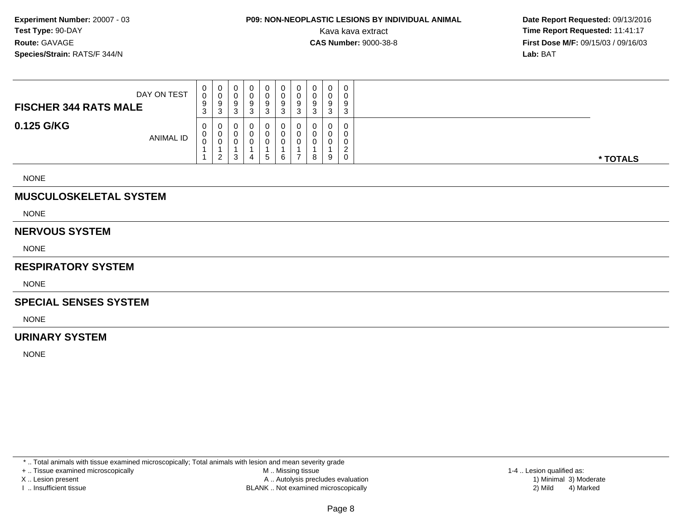# **P09: NON-NEOPLASTIC LESIONS BY INDIVIDUAL ANIMAL**

 **Date Report Requested:** 09/13/2016 Kava kava extract **Time Report Requested:** 11:41:17<br>**CAS Number:** 9000-38-8 **Time Report Requested:** 11:41:17 **First Dose M/F:** 09/15/03 / 09/16/03<br>**Lab:** BAT **Lab:** BAT

| DAY ON TEST<br><b>FISCHER 344 RATS MALE</b> | U<br>0<br>9<br>3 | 0<br>ັບ<br>-9<br>3      | 0<br>U<br>9<br>ົ<br>ت | υ | v      | v<br>U<br>9<br>پ | 9<br>-0 | ັບ<br>a<br>◡ | 0<br>0<br>9<br>3           | $\cap$<br>9<br>◠<br>ັ |          |
|---------------------------------------------|------------------|-------------------------|-----------------------|---|--------|------------------|---------|--------------|----------------------------|-----------------------|----------|
| 0.125 G/KG<br><b>ANIMAL ID</b>              | 0<br>U<br>U      | U<br>U<br>ົ<br><u>_</u> | 0<br>0<br>0<br>ົ<br>J |   | -<br>5 | 6                |         | 8            | $\mathbf 0$<br>0<br>0<br>9 | $\cap$<br>0           | * TOTALS |

NONE

### **MUSCULOSKELETAL SYSTEM**

NONE

#### **NERVOUS SYSTEM**

NONE

### **RESPIRATORY SYSTEM**

NONE

#### **SPECIAL SENSES SYSTEM**

NONE

### **URINARY SYSTEM**

NONE

\* .. Total animals with tissue examined microscopically; Total animals with lesion and mean severity grade

+ .. Tissue examined microscopically

X .. Lesion present

I .. Insufficient tissue

 M .. Missing tissueA .. Autolysis precludes evaluation

BLANK .. Not examined microscopically 2) Mild 4) Marked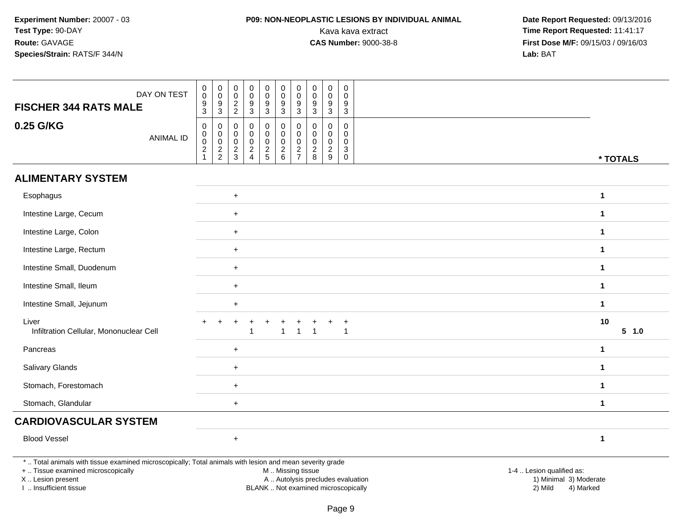### **P09: NON-NEOPLASTIC LESIONS BY INDIVIDUAL ANIMAL**

| DAY ON TEST<br><b>FISCHER 344 RATS MALE</b><br>0.25 G/KG<br><b>ANIMAL ID</b>                                                                                                                  | $_{\rm 0}^{\rm 0}$<br>9<br>$\overline{3}$<br>$\mathsf{O}\xspace$<br>$\pmb{0}$<br>$\mathsf{O}\xspace$<br>$\frac{2}{1}$ | $\begin{smallmatrix} 0\\0 \end{smallmatrix}$<br>$\frac{9}{3}$<br>$\pmb{0}$<br>$\pmb{0}$<br>$\mathbf 0$<br>$\frac{2}{2}$ | $\mathbf 0$<br>$\mathbf 0$<br>$\frac{2}{2}$<br>0<br>0<br>$\mathbf 0$<br>$\frac{2}{3}$ | $_{\rm 0}^{\rm 0}$<br>$\boldsymbol{9}$<br>$\overline{3}$<br>$\mathbf 0$<br>$\pmb{0}$<br>$\pmb{0}$<br>$\frac{2}{4}$ | $\pmb{0}$<br>$\mathsf{O}\xspace$<br>9<br>$\overline{3}$<br>0<br>0<br>$\mathbf 0$<br>$\frac{2}{5}$ | 0<br>$\pmb{0}$<br>9<br>$\mathbf{3}$<br>$\mathbf 0$<br>$\mathbf 0$<br>$\pmb{0}$<br>$\begin{array}{c} 2 \\ 6 \end{array}$ | $\pmb{0}$<br>$\ddot{\mathbf{0}}$<br>9<br>$\mathbf{3}$<br>$\mathbf 0$<br>$\mathbf 0$<br>$\mathbf 0$<br>$\frac{2}{7}$ | $\mathbf 0$<br>$\mathbf 0$<br>9<br>3<br>$\mathbf 0$<br>0<br>0<br>$\overline{\mathbf{c}}$ | $\mathbf 0$<br>$\pmb{0}$<br>$9\,$<br>$\overline{3}$<br>$\mathsf{O}\xspace$<br>0<br>$\mathbf 0$<br>$\sqrt{2}$ | $\mathsf{O}\xspace$<br>$\mathbf{0}$<br>9<br>$\overline{3}$<br>$\mathbf 0$<br>$\mathbf 0$<br>$\mathbf 0$<br>$\ensuremath{\mathsf{3}}$ |                                                                          |                                                                             |              |
|-----------------------------------------------------------------------------------------------------------------------------------------------------------------------------------------------|-----------------------------------------------------------------------------------------------------------------------|-------------------------------------------------------------------------------------------------------------------------|---------------------------------------------------------------------------------------|--------------------------------------------------------------------------------------------------------------------|---------------------------------------------------------------------------------------------------|-------------------------------------------------------------------------------------------------------------------------|---------------------------------------------------------------------------------------------------------------------|------------------------------------------------------------------------------------------|--------------------------------------------------------------------------------------------------------------|--------------------------------------------------------------------------------------------------------------------------------------|--------------------------------------------------------------------------|-----------------------------------------------------------------------------|--------------|
|                                                                                                                                                                                               |                                                                                                                       |                                                                                                                         |                                                                                       |                                                                                                                    |                                                                                                   |                                                                                                                         |                                                                                                                     | 8                                                                                        | 9                                                                                                            | $\mathsf 0$                                                                                                                          |                                                                          |                                                                             | * TOTALS     |
| <b>ALIMENTARY SYSTEM</b>                                                                                                                                                                      |                                                                                                                       |                                                                                                                         |                                                                                       |                                                                                                                    |                                                                                                   |                                                                                                                         |                                                                                                                     |                                                                                          |                                                                                                              |                                                                                                                                      |                                                                          |                                                                             |              |
| Esophagus                                                                                                                                                                                     |                                                                                                                       |                                                                                                                         | $\ddot{}$                                                                             |                                                                                                                    |                                                                                                   |                                                                                                                         |                                                                                                                     |                                                                                          |                                                                                                              |                                                                                                                                      |                                                                          |                                                                             | $\mathbf 1$  |
| Intestine Large, Cecum                                                                                                                                                                        |                                                                                                                       |                                                                                                                         | $+$                                                                                   |                                                                                                                    |                                                                                                   |                                                                                                                         |                                                                                                                     |                                                                                          |                                                                                                              |                                                                                                                                      |                                                                          |                                                                             | $\mathbf 1$  |
| Intestine Large, Colon                                                                                                                                                                        |                                                                                                                       |                                                                                                                         | $+$                                                                                   |                                                                                                                    |                                                                                                   |                                                                                                                         |                                                                                                                     |                                                                                          |                                                                                                              |                                                                                                                                      |                                                                          |                                                                             | $\mathbf 1$  |
| Intestine Large, Rectum                                                                                                                                                                       |                                                                                                                       |                                                                                                                         | $\ddot{}$                                                                             |                                                                                                                    |                                                                                                   |                                                                                                                         |                                                                                                                     |                                                                                          |                                                                                                              |                                                                                                                                      |                                                                          |                                                                             | $\mathbf{1}$ |
| Intestine Small, Duodenum                                                                                                                                                                     |                                                                                                                       |                                                                                                                         | $\mathbf{1}$                                                                          |                                                                                                                    |                                                                                                   |                                                                                                                         |                                                                                                                     |                                                                                          |                                                                                                              |                                                                                                                                      |                                                                          |                                                                             |              |
| Intestine Small, Ileum                                                                                                                                                                        |                                                                                                                       |                                                                                                                         | $\ddot{}$                                                                             |                                                                                                                    |                                                                                                   |                                                                                                                         |                                                                                                                     |                                                                                          |                                                                                                              |                                                                                                                                      |                                                                          |                                                                             | $\mathbf 1$  |
| Intestine Small, Jejunum                                                                                                                                                                      |                                                                                                                       |                                                                                                                         | $\ddot{}$                                                                             |                                                                                                                    |                                                                                                   |                                                                                                                         |                                                                                                                     |                                                                                          |                                                                                                              |                                                                                                                                      |                                                                          |                                                                             | $\mathbf 1$  |
| Liver<br>Infiltration Cellular, Mononuclear Cell                                                                                                                                              |                                                                                                                       |                                                                                                                         | ÷.                                                                                    | $\overline{\mathbf{1}}$                                                                                            | $\ddot{}$                                                                                         | $\mathbf{1}$                                                                                                            | $\mathbf{1}$                                                                                                        |                                                                                          | $\ddot{}$                                                                                                    | $\ddot{}$<br>$\overline{1}$                                                                                                          |                                                                          |                                                                             | 10<br>5 1.0  |
| Pancreas                                                                                                                                                                                      |                                                                                                                       |                                                                                                                         | $\ddot{}$                                                                             |                                                                                                                    |                                                                                                   |                                                                                                                         |                                                                                                                     |                                                                                          |                                                                                                              |                                                                                                                                      |                                                                          |                                                                             | $\mathbf 1$  |
| Salivary Glands                                                                                                                                                                               |                                                                                                                       |                                                                                                                         | $+$                                                                                   |                                                                                                                    |                                                                                                   |                                                                                                                         |                                                                                                                     |                                                                                          |                                                                                                              |                                                                                                                                      |                                                                          |                                                                             | $\mathbf 1$  |
| Stomach, Forestomach                                                                                                                                                                          |                                                                                                                       |                                                                                                                         | $+$                                                                                   |                                                                                                                    |                                                                                                   |                                                                                                                         |                                                                                                                     |                                                                                          |                                                                                                              |                                                                                                                                      |                                                                          |                                                                             | $\mathbf{1}$ |
| Stomach, Glandular                                                                                                                                                                            |                                                                                                                       |                                                                                                                         | $+$                                                                                   |                                                                                                                    |                                                                                                   |                                                                                                                         |                                                                                                                     |                                                                                          |                                                                                                              |                                                                                                                                      |                                                                          |                                                                             | $\mathbf{1}$ |
| <b>CARDIOVASCULAR SYSTEM</b>                                                                                                                                                                  |                                                                                                                       |                                                                                                                         |                                                                                       |                                                                                                                    |                                                                                                   |                                                                                                                         |                                                                                                                     |                                                                                          |                                                                                                              |                                                                                                                                      |                                                                          |                                                                             |              |
| <b>Blood Vessel</b>                                                                                                                                                                           |                                                                                                                       |                                                                                                                         | $\ddot{}$                                                                             |                                                                                                                    |                                                                                                   |                                                                                                                         |                                                                                                                     |                                                                                          |                                                                                                              |                                                                                                                                      |                                                                          |                                                                             | $\mathbf{1}$ |
| *  Total animals with tissue examined microscopically; Total animals with lesion and mean severity grade<br>+  Tissue examined microscopically<br>X  Lesion present<br>I  Insufficient tissue |                                                                                                                       |                                                                                                                         |                                                                                       |                                                                                                                    |                                                                                                   | M  Missing tissue                                                                                                       |                                                                                                                     |                                                                                          |                                                                                                              |                                                                                                                                      | A  Autolysis precludes evaluation<br>BLANK  Not examined microscopically | 1-4  Lesion qualified as:<br>1) Minimal 3) Moderate<br>2) Mild<br>4) Marked |              |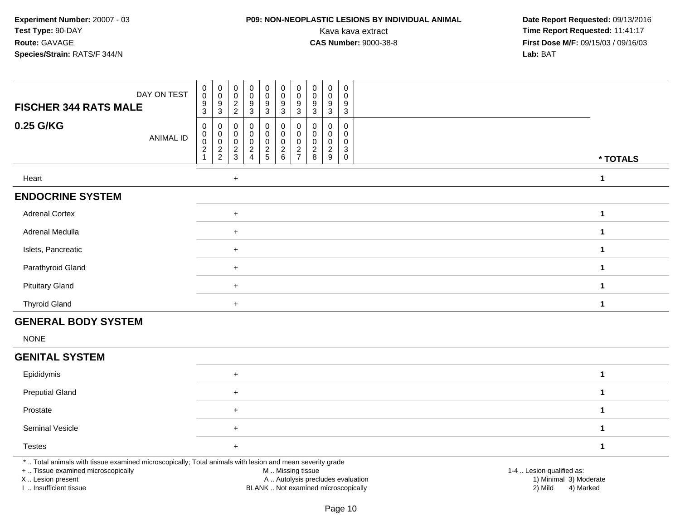### **P09: NON-NEOPLASTIC LESIONS BY INDIVIDUAL ANIMAL**

 **Date Report Requested:** 09/13/2016 Kava kava extract **Time Report Requested:** 11:41:17<br>**CAS Number:** 9000-38-8 **Time Report Requested:** 11:41:17 **First Dose M/F:** 09/15/03 / 09/16/03<br>Lab: BAT **Lab:** BAT

| DAY ON TEST<br><b>FISCHER 344 RATS MALE</b> | $_{\rm 0}^{\rm 0}$<br>$\frac{9}{3}$ | $_{\rm 0}^{\rm 0}$<br>$^9_3$       | $\mathbf 0$<br>0<br>$\frac{2}{2}$ | $\mathbf 0$<br>$\mathbf 0$<br>$\frac{9}{3}$  | $\mathbf 0$<br>$\ddot{\mathbf{0}}$<br>$\frac{9}{3}$ | $\mathbf 0$<br>$\pmb{0}$<br>$\frac{9}{3}$ | $\mathbf 0$<br>0<br>9 | 0<br>0<br>$\frac{9}{3}$ | $\begin{smallmatrix} 0\\0 \end{smallmatrix}$<br>$\frac{9}{3}$ | $\boldsymbol{0}$<br>$\mathbf 0$<br>$\frac{9}{3}$ |              |
|---------------------------------------------|-------------------------------------|------------------------------------|-----------------------------------|----------------------------------------------|-----------------------------------------------------|-------------------------------------------|-----------------------|-------------------------|---------------------------------------------------------------|--------------------------------------------------|--------------|
|                                             |                                     |                                    |                                   |                                              |                                                     |                                           | $\overline{3}$        |                         |                                                               |                                                  |              |
| 0.25 G/KG<br><b>ANIMAL ID</b>               | $\mathbf 0$<br>$_{\rm 0}^{\rm 0}$   | $\boldsymbol{0}$<br>$\overline{0}$ | 0<br>0<br>$\mathbf 0$             | $\overline{0}$<br>$\mathbf 0$<br>$\mathbf 0$ | 0<br>$\pmb{0}$<br>$\mathsf 0$                       | $\mathbf 0$<br>$\mathbf 0$<br>$\mathbf 0$ | 0<br>0<br>0           | 0<br>0<br>0             | 0<br>$\mathbf 0$<br>$\mathbf 0$                               | $\mathbf 0$<br>0<br>$\boldsymbol{0}$             |              |
|                                             | $\boldsymbol{2}$                    | $\frac{2}{2}$                      | $\frac{2}{3}$                     | $\boldsymbol{2}$<br>$\overline{4}$           | $\frac{2}{5}$                                       | $\frac{2}{6}$                             | $\frac{2}{7}$         | $\frac{2}{8}$           | $\sqrt{2}$<br>9                                               | $\mathbf{3}$<br>$\boldsymbol{0}$                 | * TOTALS     |
|                                             |                                     |                                    |                                   |                                              |                                                     |                                           |                       |                         |                                                               |                                                  |              |
| Heart                                       |                                     |                                    | $\ddot{}$                         |                                              |                                                     |                                           |                       |                         |                                                               |                                                  | $\mathbf{1}$ |
| <b>ENDOCRINE SYSTEM</b>                     |                                     |                                    |                                   |                                              |                                                     |                                           |                       |                         |                                                               |                                                  |              |
| <b>Adrenal Cortex</b>                       |                                     |                                    | $+$                               |                                              |                                                     |                                           |                       |                         |                                                               |                                                  | $\mathbf 1$  |
| Adrenal Medulla                             |                                     |                                    | $+$                               |                                              |                                                     |                                           |                       |                         |                                                               |                                                  | $\mathbf{1}$ |
| Islets, Pancreatic                          |                                     |                                    | $+$                               |                                              |                                                     |                                           |                       |                         |                                                               |                                                  | $\mathbf{1}$ |
| Parathyroid Gland                           |                                     |                                    | $+$                               |                                              |                                                     |                                           |                       |                         |                                                               |                                                  | 1            |
| <b>Pituitary Gland</b>                      |                                     |                                    | $\ddot{}$                         |                                              |                                                     |                                           |                       |                         |                                                               |                                                  | $\mathbf 1$  |
| <b>Thyroid Gland</b>                        |                                     |                                    | $+$                               |                                              |                                                     |                                           |                       |                         |                                                               |                                                  | $\mathbf 1$  |
| <b>GENERAL BODY SYSTEM</b>                  |                                     |                                    |                                   |                                              |                                                     |                                           |                       |                         |                                                               |                                                  |              |
| <b>NONE</b>                                 |                                     |                                    |                                   |                                              |                                                     |                                           |                       |                         |                                                               |                                                  |              |
| <b>GENITAL SYSTEM</b>                       |                                     |                                    |                                   |                                              |                                                     |                                           |                       |                         |                                                               |                                                  |              |
| Epididymis                                  |                                     |                                    | $+$                               |                                              |                                                     |                                           |                       |                         |                                                               |                                                  | $\mathbf{1}$ |
| <b>Preputial Gland</b>                      |                                     |                                    | $\ddot{}$                         |                                              |                                                     |                                           |                       |                         |                                                               |                                                  | $\mathbf 1$  |
| Prostate                                    |                                     |                                    | $+$                               |                                              |                                                     |                                           |                       |                         |                                                               |                                                  | $\mathbf{1}$ |
| Seminal Vesicle                             |                                     |                                    | $\ddot{}$                         |                                              |                                                     |                                           |                       |                         |                                                               |                                                  | 1            |

\* .. Total animals with tissue examined microscopically; Total animals with lesion and mean severity grade

<sup>+</sup>

+ .. Tissue examined microscopically

X .. Lesion present

Testes

I .. Insufficient tissue

M .. Missing tissue

A .. Autolysis precludes evaluation

BLANK .. Not examined microscopically 2) Mild 4) Marked

1-4 .. Lesion qualified as:<br>1) Minimal 3) Moderate

**<sup>1</sup>**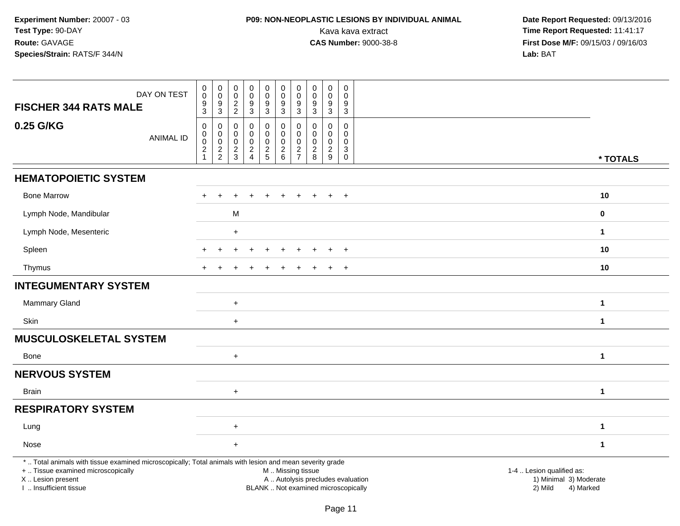## **P09: NON-NEOPLASTIC LESIONS BY INDIVIDUAL ANIMAL**

| DAY ON TEST<br><b>FISCHER 344 RATS MALE</b>                                                                                                                                                   | $\pmb{0}$<br>$\pmb{0}$<br>$\boldsymbol{9}$<br>$\mathfrak{S}$ | $\pmb{0}$<br>$\mathbf 0$<br>9<br>$\sqrt{3}$                         | $\pmb{0}$<br>$\mathsf 0$<br>$\boldsymbol{2}$<br>$\overline{2}$ | $\pmb{0}$<br>$\pmb{0}$<br>$\boldsymbol{9}$<br>$\overline{3}$ | $\mathsf 0$<br>$\mathbf 0$<br>$\boldsymbol{9}$<br>$\mathbf{3}$ | $\pmb{0}$<br>$\pmb{0}$<br>9<br>$\mathbf{3}$                           | $\pmb{0}$<br>$\pmb{0}$<br>9<br>$\overline{3}$             | $\pmb{0}$<br>$\pmb{0}$<br>$\boldsymbol{9}$<br>$\mathbf{3}$ | $\pmb{0}$<br>$\pmb{0}$<br>$\boldsymbol{9}$<br>$\mathbf{3}$            | $\mathbf 0$<br>$\mathbf 0$<br>9<br>$\mathbf{3}$                          |                                                                                                                                                         |
|-----------------------------------------------------------------------------------------------------------------------------------------------------------------------------------------------|--------------------------------------------------------------|---------------------------------------------------------------------|----------------------------------------------------------------|--------------------------------------------------------------|----------------------------------------------------------------|-----------------------------------------------------------------------|-----------------------------------------------------------|------------------------------------------------------------|-----------------------------------------------------------------------|--------------------------------------------------------------------------|---------------------------------------------------------------------------------------------------------------------------------------------------------|
| 0.25 G/KG<br><b>ANIMAL ID</b>                                                                                                                                                                 | $\pmb{0}$<br>$\pmb{0}$<br>$\pmb{0}$<br>$\boldsymbol{2}$<br>1 | $\mathbf 0$<br>0<br>$\mathsf 0$<br>$\overline{c}$<br>$\overline{c}$ | $\Omega$<br>0<br>$\mathbf 0$<br>$\overline{c}$<br>3            | 0<br>0<br>$\mathbf 0$<br>$\frac{2}{4}$                       | $\mathbf 0$<br>0<br>$\mathbf 0$<br>$\frac{2}{5}$               | $\pmb{0}$<br>$\mathbf 0$<br>$\pmb{0}$<br>$\sqrt{2}$<br>$6\phantom{1}$ | 0<br>0<br>$\mathbf 0$<br>$\overline{c}$<br>$\overline{7}$ | $\Omega$<br>$\mathbf 0$<br>$\mathbf 0$<br>$\frac{2}{8}$    | $\mathbf 0$<br>0<br>$\mathbf 0$<br>$\overline{c}$<br>$\boldsymbol{9}$ | $\Omega$<br>0<br>$\mathbf 0$<br>$\ensuremath{\mathsf{3}}$<br>$\mathbf 0$ | * TOTALS                                                                                                                                                |
| <b>HEMATOPOIETIC SYSTEM</b>                                                                                                                                                                   |                                                              |                                                                     |                                                                |                                                              |                                                                |                                                                       |                                                           |                                                            |                                                                       |                                                                          |                                                                                                                                                         |
| <b>Bone Marrow</b>                                                                                                                                                                            | $\ddot{}$                                                    | $\ddot{}$                                                           | ÷                                                              | $\ddot{}$                                                    | $\ddot{}$                                                      | $\ddot{}$                                                             | $\pm$                                                     | $\ddot{}$                                                  | $\ddot{}$                                                             | $+$                                                                      | 10                                                                                                                                                      |
| Lymph Node, Mandibular                                                                                                                                                                        |                                                              |                                                                     | M                                                              |                                                              |                                                                |                                                                       |                                                           |                                                            |                                                                       |                                                                          | $\mathbf 0$                                                                                                                                             |
| Lymph Node, Mesenteric                                                                                                                                                                        |                                                              |                                                                     | $\ddot{}$                                                      |                                                              |                                                                |                                                                       |                                                           |                                                            |                                                                       |                                                                          | $\mathbf 1$                                                                                                                                             |
| Spleen                                                                                                                                                                                        |                                                              | $\ddot{}$                                                           | ÷                                                              | $\ddot{}$                                                    | $\ddot{}$                                                      | $\ddot{}$                                                             | ÷                                                         | ÷.                                                         | $\ddot{}$                                                             | $^{+}$                                                                   | 10                                                                                                                                                      |
| Thymus                                                                                                                                                                                        | $+$                                                          | $\ddot{}$                                                           |                                                                |                                                              |                                                                |                                                                       |                                                           |                                                            | $\ddot{}$                                                             | $\overline{+}$                                                           | 10                                                                                                                                                      |
| <b>INTEGUMENTARY SYSTEM</b>                                                                                                                                                                   |                                                              |                                                                     |                                                                |                                                              |                                                                |                                                                       |                                                           |                                                            |                                                                       |                                                                          |                                                                                                                                                         |
| <b>Mammary Gland</b>                                                                                                                                                                          |                                                              |                                                                     | $\ddot{}$                                                      |                                                              |                                                                |                                                                       |                                                           |                                                            |                                                                       |                                                                          | $\mathbf{1}$                                                                                                                                            |
| <b>Skin</b>                                                                                                                                                                                   |                                                              |                                                                     | $\ddot{}$                                                      |                                                              |                                                                |                                                                       |                                                           |                                                            |                                                                       |                                                                          | $\mathbf{1}$                                                                                                                                            |
| <b>MUSCULOSKELETAL SYSTEM</b>                                                                                                                                                                 |                                                              |                                                                     |                                                                |                                                              |                                                                |                                                                       |                                                           |                                                            |                                                                       |                                                                          |                                                                                                                                                         |
| Bone                                                                                                                                                                                          |                                                              |                                                                     | $\ddot{}$                                                      |                                                              |                                                                |                                                                       |                                                           |                                                            |                                                                       |                                                                          | $\mathbf{1}$                                                                                                                                            |
| <b>NERVOUS SYSTEM</b>                                                                                                                                                                         |                                                              |                                                                     |                                                                |                                                              |                                                                |                                                                       |                                                           |                                                            |                                                                       |                                                                          |                                                                                                                                                         |
| Brain                                                                                                                                                                                         |                                                              |                                                                     | $\ddot{}$                                                      |                                                              |                                                                |                                                                       |                                                           |                                                            |                                                                       |                                                                          | $\mathbf{1}$                                                                                                                                            |
| <b>RESPIRATORY SYSTEM</b>                                                                                                                                                                     |                                                              |                                                                     |                                                                |                                                              |                                                                |                                                                       |                                                           |                                                            |                                                                       |                                                                          |                                                                                                                                                         |
| Lung                                                                                                                                                                                          |                                                              |                                                                     | $\ddot{}$                                                      |                                                              |                                                                |                                                                       |                                                           |                                                            |                                                                       |                                                                          | 1                                                                                                                                                       |
| Nose                                                                                                                                                                                          |                                                              |                                                                     | $\ddot{}$                                                      |                                                              |                                                                |                                                                       |                                                           |                                                            |                                                                       |                                                                          | 1                                                                                                                                                       |
| *  Total animals with tissue examined microscopically; Total animals with lesion and mean severity grade<br>+  Tissue examined microscopically<br>X  Lesion present<br>I. Insufficient tissue |                                                              |                                                                     |                                                                |                                                              |                                                                | M  Missing tissue                                                     |                                                           |                                                            |                                                                       |                                                                          | 1-4  Lesion qualified as:<br>A  Autolysis precludes evaluation<br>1) Minimal 3) Moderate<br>BLANK  Not examined microscopically<br>2) Mild<br>4) Marked |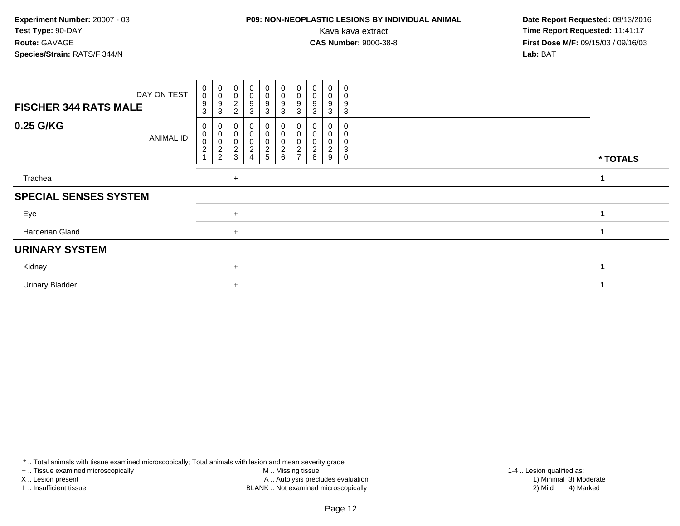### **P09: NON-NEOPLASTIC LESIONS BY INDIVIDUAL ANIMAL**

 **Date Report Requested:** 09/13/2016 Kava kava extract **Time Report Requested:** 11:41:17<br>**CAS Number:** 9000-38-8 **Time Report Requested:** 11:41:17 **First Dose M/F:** 09/15/03 / 09/16/03<br>**Lab:** BAT **Lab:** BAT

| DAY ON TEST<br><b>FISCHER 344 RATS MALE</b> | $_{\rm 0}^{\rm 0}$<br>9<br>3                  | $_{\rm 0}^{\rm 0}$<br>9<br>3 | $\begin{smallmatrix}0\\0\end{smallmatrix}$<br>$\frac{2}{2}$ | $\begin{smallmatrix} 0\\0 \end{smallmatrix}$<br>$\frac{9}{3}$ | $_0^0$<br>$\frac{9}{3}$    | $\begin{array}{c}\n0 \\ 0 \\ 3\n\end{array}$                     | $\pmb{0}$<br>$\pmb{0}$<br>9<br>3                    | $\pmb{0}$<br>$\pmb{0}$<br>9<br>3 | 0<br>0<br>9<br>3         | 0<br>0<br>9<br>3           |  |          |  |  |
|---------------------------------------------|-----------------------------------------------|------------------------------|-------------------------------------------------------------|---------------------------------------------------------------|----------------------------|------------------------------------------------------------------|-----------------------------------------------------|----------------------------------|--------------------------|----------------------------|--|----------|--|--|
| 0.25 G/KG<br>ANIMAL ID                      | 0<br>$\,0\,$<br>$\pmb{0}$<br>$\boldsymbol{2}$ | 0<br>0<br>0<br>2<br>2        | $\overline{\mathbf{c}}$<br>3                                | $\overline{0}$<br>0<br>$\pmb{0}$<br>$\overline{c}$<br>4       | 0<br>0<br>0<br>$rac{2}{5}$ | $_{\rm 0}^{\rm 0}$<br>$\begin{array}{c} 0 \\ 2 \\ 6 \end{array}$ | 0<br>0<br>$\overline{\mathbf{c}}$<br>$\overline{ }$ | 8                                | 0<br>$\overline{c}$<br>9 | 0<br>$\mathbf 0$<br>3<br>0 |  | * TOTALS |  |  |
| Trachea                                     |                                               |                              | $+$                                                         |                                                               |                            |                                                                  |                                                     |                                  |                          |                            |  |          |  |  |
| <b>SPECIAL SENSES SYSTEM</b>                |                                               |                              |                                                             |                                                               |                            |                                                                  |                                                     |                                  |                          |                            |  |          |  |  |
| Eye                                         |                                               |                              | $\ddot{}$                                                   |                                                               |                            |                                                                  |                                                     |                                  |                          |                            |  |          |  |  |
| Harderian Gland                             |                                               |                              | $+$                                                         |                                                               |                            |                                                                  |                                                     |                                  |                          |                            |  |          |  |  |
| <b>URINARY SYSTEM</b>                       |                                               |                              |                                                             |                                                               |                            |                                                                  |                                                     |                                  |                          |                            |  |          |  |  |
| Kidney                                      |                                               |                              | $\ddot{}$                                                   |                                                               |                            |                                                                  |                                                     |                                  |                          |                            |  |          |  |  |
| <b>Urinary Bladder</b>                      |                                               |                              | $\ddot{}$                                                   |                                                               |                            |                                                                  |                                                     |                                  |                          |                            |  |          |  |  |

\* .. Total animals with tissue examined microscopically; Total animals with lesion and mean severity grade

+ .. Tissue examined microscopically

X .. Lesion present

I .. Insufficient tissue

M .. Missing tissue

Lesion present A .. Autolysis precludes evaluation 1) Minimal 3) Moderate

 1-4 .. Lesion qualified as: BLANK .. Not examined microscopically 2) Mild 4) Marked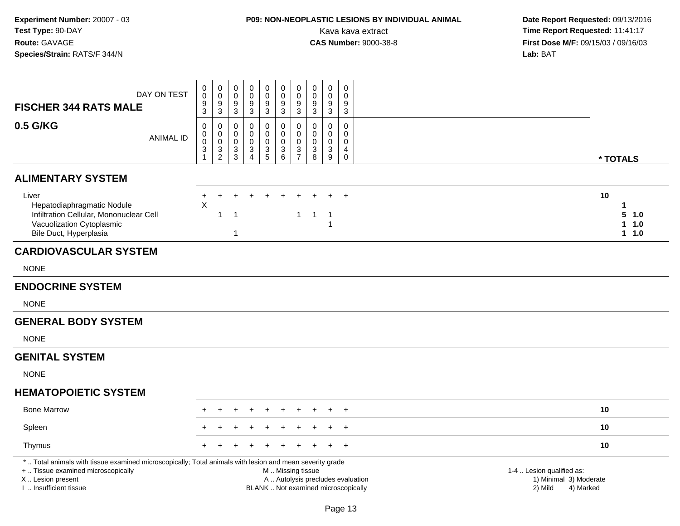# **P09: NON-NEOPLASTIC LESIONS BY INDIVIDUAL ANIMAL**

| <b>FISCHER 344 RATS MALE</b>                                                                                                                                                                  | DAY ON TEST      | 0<br>0<br>$\boldsymbol{9}$<br>3                    | $\pmb{0}$<br>$\mathbf 0$<br>$\boldsymbol{9}$<br>3 | $\pmb{0}$<br>$\mathbf 0$<br>9<br>3 | $\pmb{0}$<br>$\mathbf 0$<br>9<br>$\mathbf{3}$                        | $\mathsf{O}\xspace$<br>$\mathsf{O}$<br>9<br>3    | $\pmb{0}$<br>$\bar{0}$<br>$\frac{9}{3}$      | $\pmb{0}$<br>$\mathsf{O}\xspace$<br>$\boldsymbol{9}$<br>3                                | $\mathbf 0$<br>$\mathbf 0$<br>$\frac{9}{3}$                   | $\mathbf 0$<br>$\mathbf 0$<br>9<br>3                                     | $\mathbf 0$<br>$\Omega$<br>9<br>3                          |                                                                             |                                  |
|-----------------------------------------------------------------------------------------------------------------------------------------------------------------------------------------------|------------------|----------------------------------------------------|---------------------------------------------------|------------------------------------|----------------------------------------------------------------------|--------------------------------------------------|----------------------------------------------|------------------------------------------------------------------------------------------|---------------------------------------------------------------|--------------------------------------------------------------------------|------------------------------------------------------------|-----------------------------------------------------------------------------|----------------------------------|
| 0.5 G/KG                                                                                                                                                                                      | <b>ANIMAL ID</b> | 0<br>$\pmb{0}$<br>$\pmb{0}$<br>3<br>$\overline{1}$ | 0<br>$\mathbf 0$<br>$\mathbf 0$<br>$\frac{3}{2}$  | 0<br>0<br>0<br>3<br>3              | 0<br>$\mathbf 0$<br>0<br>$\ensuremath{\mathsf{3}}$<br>$\overline{4}$ | $\mathbf 0$<br>0<br>$\mathbf 0$<br>$\frac{3}{5}$ | 0<br>$\pmb{0}$<br>$\pmb{0}$<br>$\frac{3}{6}$ | $\mathbf 0$<br>$\mathbf 0$<br>$\mathbf 0$<br>$\ensuremath{\mathsf{3}}$<br>$\overline{7}$ | $\mathbf 0$<br>$\mathbf 0$<br>$\mathbf 0$<br>$\mathsf 3$<br>8 | $\mathbf 0$<br>$\mathbf 0$<br>$\mathbf 0$<br>$\sqrt{3}$<br>9             | 0<br>$\Omega$<br>$\Omega$<br>$\overline{4}$<br>$\mathbf 0$ |                                                                             | * TOTALS                         |
| <b>ALIMENTARY SYSTEM</b>                                                                                                                                                                      |                  |                                                    |                                                   |                                    |                                                                      |                                                  |                                              |                                                                                          |                                                               |                                                                          |                                                            |                                                                             |                                  |
| Liver<br>Hepatodiaphragmatic Nodule<br>Infiltration Cellular, Mononuclear Cell<br>Vacuolization Cytoplasmic<br>Bile Duct, Hyperplasia                                                         |                  | +<br>$\mathsf X$                                   | $\mathbf{1}$                                      | $\overline{1}$<br>$\mathbf{1}$     |                                                                      | $\ddot{}$                                        | $\ddot{}$                                    | $\mathbf{1}$                                                                             | $\overline{1}$                                                | $\overline{1}$<br>-1                                                     | $+$                                                        | 10                                                                          | 1<br>5 1.0<br>$1 1.0$<br>$1 1.0$ |
| <b>CARDIOVASCULAR SYSTEM</b>                                                                                                                                                                  |                  |                                                    |                                                   |                                    |                                                                      |                                                  |                                              |                                                                                          |                                                               |                                                                          |                                                            |                                                                             |                                  |
| <b>NONE</b>                                                                                                                                                                                   |                  |                                                    |                                                   |                                    |                                                                      |                                                  |                                              |                                                                                          |                                                               |                                                                          |                                                            |                                                                             |                                  |
| <b>ENDOCRINE SYSTEM</b>                                                                                                                                                                       |                  |                                                    |                                                   |                                    |                                                                      |                                                  |                                              |                                                                                          |                                                               |                                                                          |                                                            |                                                                             |                                  |
| <b>NONE</b>                                                                                                                                                                                   |                  |                                                    |                                                   |                                    |                                                                      |                                                  |                                              |                                                                                          |                                                               |                                                                          |                                                            |                                                                             |                                  |
| <b>GENERAL BODY SYSTEM</b>                                                                                                                                                                    |                  |                                                    |                                                   |                                    |                                                                      |                                                  |                                              |                                                                                          |                                                               |                                                                          |                                                            |                                                                             |                                  |
| <b>NONE</b>                                                                                                                                                                                   |                  |                                                    |                                                   |                                    |                                                                      |                                                  |                                              |                                                                                          |                                                               |                                                                          |                                                            |                                                                             |                                  |
| <b>GENITAL SYSTEM</b>                                                                                                                                                                         |                  |                                                    |                                                   |                                    |                                                                      |                                                  |                                              |                                                                                          |                                                               |                                                                          |                                                            |                                                                             |                                  |
| <b>NONE</b>                                                                                                                                                                                   |                  |                                                    |                                                   |                                    |                                                                      |                                                  |                                              |                                                                                          |                                                               |                                                                          |                                                            |                                                                             |                                  |
| <b>HEMATOPOIETIC SYSTEM</b>                                                                                                                                                                   |                  |                                                    |                                                   |                                    |                                                                      |                                                  |                                              |                                                                                          |                                                               |                                                                          |                                                            |                                                                             |                                  |
| <b>Bone Marrow</b>                                                                                                                                                                            |                  |                                                    |                                                   |                                    |                                                                      |                                                  |                                              |                                                                                          |                                                               |                                                                          | $+$                                                        | 10                                                                          |                                  |
| Spleen                                                                                                                                                                                        |                  |                                                    |                                                   |                                    |                                                                      |                                                  |                                              |                                                                                          |                                                               |                                                                          | $+$                                                        | 10                                                                          |                                  |
| Thymus                                                                                                                                                                                        |                  |                                                    |                                                   |                                    |                                                                      |                                                  |                                              |                                                                                          |                                                               |                                                                          | $\ddot{}$                                                  | 10                                                                          |                                  |
| *  Total animals with tissue examined microscopically; Total animals with lesion and mean severity grade<br>+  Tissue examined microscopically<br>X  Lesion present<br>I  Insufficient tissue |                  |                                                    |                                                   |                                    |                                                                      |                                                  | M  Missing tissue                            |                                                                                          |                                                               | A  Autolysis precludes evaluation<br>BLANK  Not examined microscopically |                                                            | 1-4  Lesion qualified as:<br>1) Minimal 3) Moderate<br>2) Mild<br>4) Marked |                                  |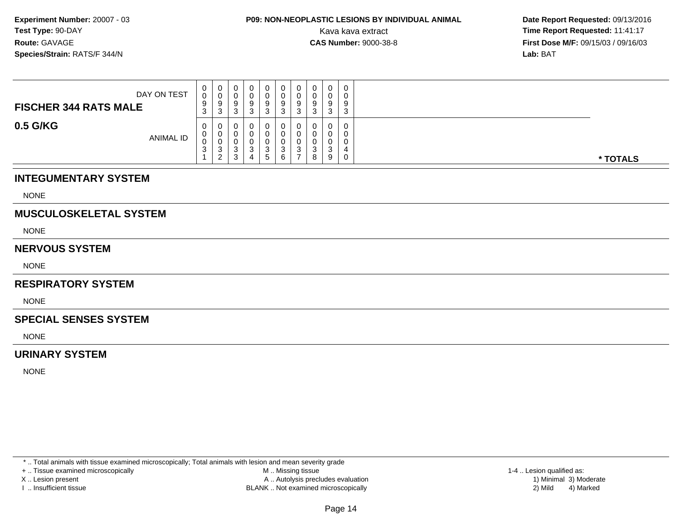# **P09: NON-NEOPLASTIC LESIONS BY INDIVIDUAL ANIMAL**

 **Date Report Requested:** 09/13/2016 Kava kava extract **Time Report Requested:** 11:41:17<br>**CAS Number:** 9000-38-8 **Time Report Requested:** 11:41:17 **First Dose M/F:** 09/15/03 / 09/16/03<br>**Lab:** BAT **Lab:** BAT

| DAY ON TEST<br><b>FISCHER 344 RATS MALE</b> | $\mathbf 0$<br>0<br>9<br>$\sim$<br>- ၁ | <b>U</b><br>v<br>9<br>3           | 0<br>υ<br>9<br>ົ<br>ບ                                 | 0<br>ັບ | 0<br>0<br>9<br>3 | U<br>9<br>ົ<br>J | 0<br>U<br>-9<br>3 | v<br>v<br>9<br>ົ<br>ັ | 0<br>0<br>9<br>3                | $\mathbf 0$<br>9<br>◠<br>J |          |
|---------------------------------------------|----------------------------------------|-----------------------------------|-------------------------------------------------------|---------|------------------|------------------|-------------------|-----------------------|---------------------------------|----------------------------|----------|
| 0.5 G/KG<br><b>ANIMAL ID</b>                | $\mathbf 0$<br>$\mathbf 0$<br>0<br>3   | 0<br>U<br>U<br>3<br>2<br><u>_</u> | 0<br>0<br>υ<br><sup>o</sup><br>ບ<br><sup>o</sup><br>ບ |         | 0<br>U<br>3<br>5 | 0<br>◠<br>6      | 0<br>0<br>3       | U<br>ັ<br>ົ<br>ັ<br>8 | $\mathbf 0$<br>0<br>ົ<br>ັ<br>9 | 4<br>0                     | * TOTALS |

### **INTEGUMENTARY SYSTEM**

NONE

### **MUSCULOSKELETAL SYSTEM**

NONE

### **NERVOUS SYSTEM**

NONE

### **RESPIRATORY SYSTEM**

**NONE** 

### **SPECIAL SENSES SYSTEM**

NONE

### **URINARY SYSTEM**

NONE

\* .. Total animals with tissue examined microscopically; Total animals with lesion and mean severity grade

+ .. Tissue examined microscopically

X .. Lesion present

I .. Insufficient tissue

 M .. Missing tissueA .. Autolysis precludes evaluation

BLANK .. Not examined microscopically 2) Mild 4) Marked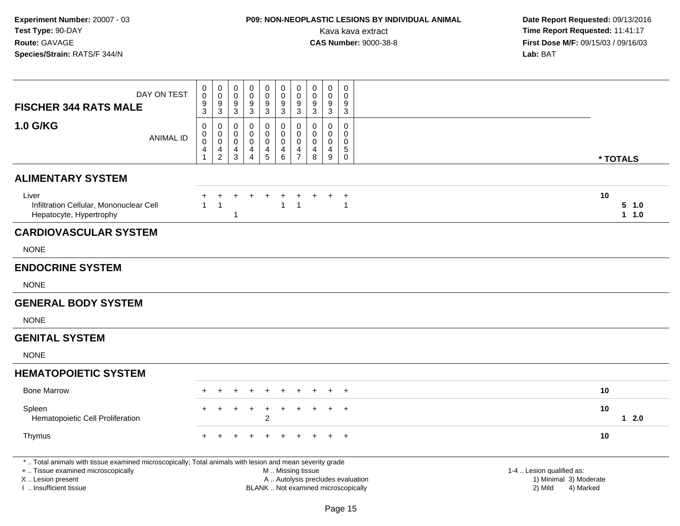# **P09: NON-NEOPLASTIC LESIONS BY INDIVIDUAL ANIMAL**

| DAY ON TEST<br><b>FISCHER 344 RATS MALE</b>                                                                                                                                                   | 0<br>$\pmb{0}$<br>9<br>3                           | $\boldsymbol{0}$<br>$\mathbf 0$<br>$\boldsymbol{9}$<br>$\mathbf{3}$ | 0<br>$\mathbf 0$<br>9<br>3      | $\pmb{0}$<br>0<br>9<br>$\mathbf{3}$          | $\pmb{0}$<br>$\mathbf 0$<br>$\boldsymbol{9}$<br>$\mathbf{3}$   | $\pmb{0}$<br>$\mathbf 0$<br>$\boldsymbol{9}$<br>$\mathbf{3}$       | $\pmb{0}$<br>$\mathbf 0$<br>9<br>$\mathbf{3}$                    | $\pmb{0}$<br>$\mathbf 0$<br>9<br>$\sqrt{3}$      | $\pmb{0}$<br>$\mathbf 0$<br>9<br>$\mathbf{3}$ | 0<br>$\Omega$<br>9<br>$\mathbf{3}$                                   |                                                                                                                  |  |
|-----------------------------------------------------------------------------------------------------------------------------------------------------------------------------------------------|----------------------------------------------------|---------------------------------------------------------------------|---------------------------------|----------------------------------------------|----------------------------------------------------------------|--------------------------------------------------------------------|------------------------------------------------------------------|--------------------------------------------------|-----------------------------------------------|----------------------------------------------------------------------|------------------------------------------------------------------------------------------------------------------|--|
| <b>1.0 G/KG</b><br><b>ANIMAL ID</b>                                                                                                                                                           | 0<br>$\pmb{0}$<br>$\mathbf 0$<br>4<br>$\mathbf{1}$ | 0<br>$\pmb{0}$<br>$\mathbf 0$<br>4<br>$\overline{2}$                | 0<br>0<br>$\mathbf 0$<br>4<br>3 | 0<br>0<br>$\mathbf 0$<br>4<br>$\overline{4}$ | $\mathbf 0$<br>$\mathbf 0$<br>$\pmb{0}$<br>4<br>$\overline{5}$ | $\mathbf 0$<br>$\pmb{0}$<br>$\pmb{0}$<br>$\overline{4}$<br>$\,6\,$ | $\mathbf 0$<br>$\mathbf 0$<br>$\mathbf 0$<br>4<br>$\overline{7}$ | $\Omega$<br>$\mathbf 0$<br>$\mathbf 0$<br>4<br>8 | $\mathbf 0$<br>0<br>$\mathbf 0$<br>4<br>9     | $\mathbf 0$<br>$\mathbf 0$<br>$\mathbf 0$<br>$\sqrt{5}$<br>$\pmb{0}$ | * TOTALS                                                                                                         |  |
| <b>ALIMENTARY SYSTEM</b>                                                                                                                                                                      |                                                    |                                                                     |                                 |                                              |                                                                |                                                                    |                                                                  |                                                  |                                               |                                                                      |                                                                                                                  |  |
| Liver<br>Infiltration Cellular, Mononuclear Cell<br>Hepatocyte, Hypertrophy                                                                                                                   | 1                                                  | $\mathbf{1}$                                                        | $\mathbf 1$                     |                                              |                                                                | $\mathbf{1}$                                                       | $\overline{1}$                                                   |                                                  |                                               | $\ddot{}$<br>$\mathbf{1}$                                            | 10<br>5 1.0<br>$1 1.0$                                                                                           |  |
| <b>CARDIOVASCULAR SYSTEM</b>                                                                                                                                                                  |                                                    |                                                                     |                                 |                                              |                                                                |                                                                    |                                                                  |                                                  |                                               |                                                                      |                                                                                                                  |  |
| <b>NONE</b>                                                                                                                                                                                   |                                                    |                                                                     |                                 |                                              |                                                                |                                                                    |                                                                  |                                                  |                                               |                                                                      |                                                                                                                  |  |
| <b>ENDOCRINE SYSTEM</b>                                                                                                                                                                       |                                                    |                                                                     |                                 |                                              |                                                                |                                                                    |                                                                  |                                                  |                                               |                                                                      |                                                                                                                  |  |
| <b>NONE</b>                                                                                                                                                                                   |                                                    |                                                                     |                                 |                                              |                                                                |                                                                    |                                                                  |                                                  |                                               |                                                                      |                                                                                                                  |  |
| <b>GENERAL BODY SYSTEM</b>                                                                                                                                                                    |                                                    |                                                                     |                                 |                                              |                                                                |                                                                    |                                                                  |                                                  |                                               |                                                                      |                                                                                                                  |  |
| <b>NONE</b>                                                                                                                                                                                   |                                                    |                                                                     |                                 |                                              |                                                                |                                                                    |                                                                  |                                                  |                                               |                                                                      |                                                                                                                  |  |
| <b>GENITAL SYSTEM</b>                                                                                                                                                                         |                                                    |                                                                     |                                 |                                              |                                                                |                                                                    |                                                                  |                                                  |                                               |                                                                      |                                                                                                                  |  |
| <b>NONE</b>                                                                                                                                                                                   |                                                    |                                                                     |                                 |                                              |                                                                |                                                                    |                                                                  |                                                  |                                               |                                                                      |                                                                                                                  |  |
| <b>HEMATOPOIETIC SYSTEM</b>                                                                                                                                                                   |                                                    |                                                                     |                                 |                                              |                                                                |                                                                    |                                                                  |                                                  |                                               |                                                                      |                                                                                                                  |  |
| <b>Bone Marrow</b>                                                                                                                                                                            |                                                    |                                                                     |                                 |                                              |                                                                |                                                                    |                                                                  |                                                  |                                               | $\pm$                                                                | 10                                                                                                               |  |
| Spleen<br>Hematopoietic Cell Proliferation                                                                                                                                                    | $\pm$                                              | $+$                                                                 | $+$                             | $+$                                          | $\ddot{}$<br>$\overline{2}$                                    | $+$                                                                | $+$                                                              | $\pm$                                            | $\pm$                                         | $+$                                                                  | 10<br>$12.0$                                                                                                     |  |
| Thymus                                                                                                                                                                                        | $+$                                                |                                                                     |                                 |                                              |                                                                |                                                                    |                                                                  |                                                  |                                               | $+$                                                                  | 10                                                                                                               |  |
| *  Total animals with tissue examined microscopically; Total animals with lesion and mean severity grade<br>+  Tissue examined microscopically<br>X  Lesion present<br>I. Insufficient tissue |                                                    |                                                                     |                                 |                                              |                                                                | M  Missing tissue                                                  |                                                                  | BLANK  Not examined microscopically              |                                               |                                                                      | 1-4  Lesion qualified as:<br>A  Autolysis precludes evaluation<br>1) Minimal 3) Moderate<br>2) Mild<br>4) Marked |  |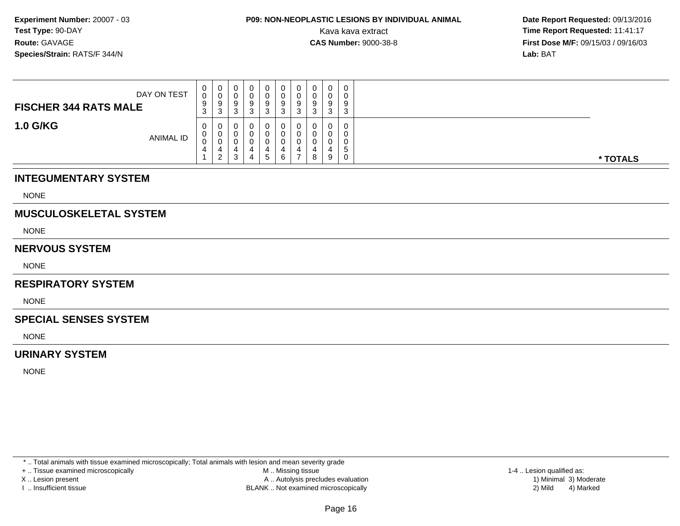# **P09: NON-NEOPLASTIC LESIONS BY INDIVIDUAL ANIMAL**

 **Date Report Requested:** 09/13/2016 Kava kava extract **Time Report Requested:** 11:41:17<br>**CAS Number:** 9000-38-8 **Time Report Requested:** 11:41:17 **First Dose M/F:** 09/15/03 / 09/16/03<br>**Lab:** BAT **Lab:** BAT

| DAY ON TEST<br><b>FISCHER 344 RATS MALE</b> | $\mathbf 0$<br>0<br>9<br>3             | 0<br>U<br>9<br>3                  | υ<br>9<br>ັ | J | 0<br>0<br>9<br>3            | 9<br>◠<br>ບ | 0<br>0<br>9<br>3      | 0<br>0<br>9<br>3      | O<br>ີ<br>ັ | 9<br>$\sim$<br>C. |          |
|---------------------------------------------|----------------------------------------|-----------------------------------|-------------|---|-----------------------------|-------------|-----------------------|-----------------------|-------------|-------------------|----------|
| <b>1.0 G/KG</b><br><b>ANIMAL ID</b>         | $\mathbf{0}$<br>$\mathbf{0}$<br>0<br>4 | 0<br>0<br>U<br>4<br>2<br><u>_</u> | ◠<br>ت      |   | $\mathbf{0}$<br>0<br>v<br>5 | 6           | 0<br>0<br>C<br>4<br>- | 0<br>0<br>0<br>4<br>8 | g           | 5<br>v            | * TOTALS |

### **INTEGUMENTARY SYSTEM**

NONE

### **MUSCULOSKELETAL SYSTEM**

NONE

### **NERVOUS SYSTEM**

NONE

### **RESPIRATORY SYSTEM**

**NONE** 

### **SPECIAL SENSES SYSTEM**

NONE

### **URINARY SYSTEM**

NONE

\* .. Total animals with tissue examined microscopically; Total animals with lesion and mean severity grade

+ .. Tissue examined microscopically

X .. Lesion present

I .. Insufficient tissue

 M .. Missing tissueA .. Autolysis precludes evaluation

BLANK .. Not examined microscopically 2) Mild 4) Marked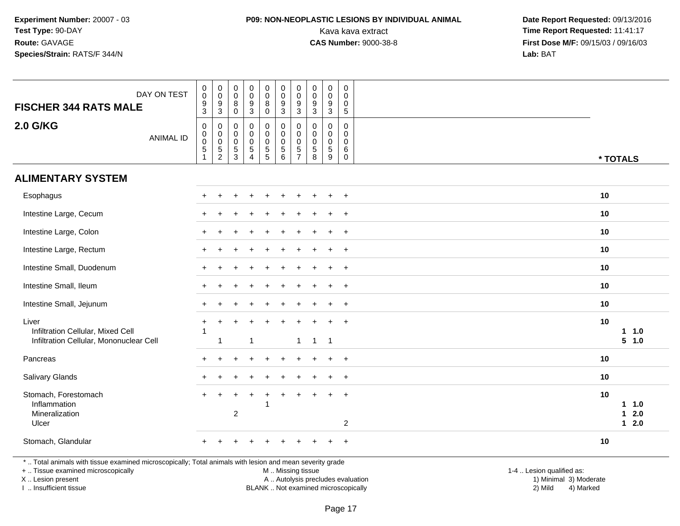### **P09: NON-NEOPLASTIC LESIONS BY INDIVIDUAL ANIMAL**

 **Date Report Requested:** 09/13/2016 Kava kava extract **Time Report Requested:** 11:41:17<br>**CAS Number:** 9000-38-8 **Time Report Requested:** 11:41:17 **First Dose M/F:** 09/15/03 / 09/16/03<br>Lab: BAT **Lab:** BAT

| DAY ON TEST<br><b>FISCHER 344 RATS MALE</b>                                                                                                                         | $\pmb{0}$<br>$\mathbf 0$<br>$\boldsymbol{9}$<br>3                    | $\begin{smallmatrix}0\\0\end{smallmatrix}$<br>9<br>3 | $\pmb{0}$<br>$\pmb{0}$<br>8<br>$\mathbf 0$                     | $_{\rm 0}^{\rm 0}$<br>$\boldsymbol{9}$<br>$\mathbf{3}$                             | 0<br>$\mathsf{O}\xspace$<br>$\bf 8$<br>$\mathbf 0$                     | $\pmb{0}$<br>$\pmb{0}$<br>$\boldsymbol{9}$<br>3                               | $\mathbf 0$<br>$\mathbf 0$<br>9<br>3                                       | $\mathbf 0$<br>0<br>$\boldsymbol{9}$<br>3     | $\pmb{0}$<br>$\ddot{\mathbf{0}}$<br>$\boldsymbol{9}$<br>3      | $\mathbf 0$<br>$\mathbf 0$<br>$\Omega$<br>$\sqrt{5}$          |                                                                                          |                                 |
|---------------------------------------------------------------------------------------------------------------------------------------------------------------------|----------------------------------------------------------------------|------------------------------------------------------|----------------------------------------------------------------|------------------------------------------------------------------------------------|------------------------------------------------------------------------|-------------------------------------------------------------------------------|----------------------------------------------------------------------------|-----------------------------------------------|----------------------------------------------------------------|---------------------------------------------------------------|------------------------------------------------------------------------------------------|---------------------------------|
| 2.0 G/KG<br><b>ANIMAL ID</b>                                                                                                                                        | $\pmb{0}$<br>$\pmb{0}$<br>$\mathbf 0$<br>$\,$ 5 $\,$<br>$\mathbf{1}$ | 0<br>0<br>$\mathbf 0$<br>5<br>$\overline{2}$         | 0<br>$\mathbf 0$<br>$\pmb{0}$<br>$\,$ 5 $\,$<br>$\mathfrak{Z}$ | $\mathbf 0$<br>$\mathbf 0$<br>$\mathsf{O}\xspace$<br>$\,$ 5 $\,$<br>$\overline{4}$ | 0<br>0<br>$\mathsf{O}\xspace$<br>$\begin{array}{c} 5 \\ 5 \end{array}$ | $\mathbf 0$<br>$\mathsf{O}\xspace$<br>$\overline{0}$<br>$\sqrt{5}$<br>$\,6\,$ | $\mathbf 0$<br>$\mathbf 0$<br>$\mathbf 0$<br>$\,$ 5 $\,$<br>$\overline{7}$ | $\Omega$<br>$\Omega$<br>$\mathbf 0$<br>5<br>8 | $\mathbf 0$<br>$\mathbf 0$<br>$\pmb{0}$<br>$\sqrt{5}$<br>$9\,$ | $\mathbf 0$<br>$\mathbf 0$<br>$\mathbf 0$<br>6<br>$\mathbf 0$ |                                                                                          | * TOTALS                        |
| <b>ALIMENTARY SYSTEM</b>                                                                                                                                            |                                                                      |                                                      |                                                                |                                                                                    |                                                                        |                                                                               |                                                                            |                                               |                                                                |                                                               |                                                                                          |                                 |
| Esophagus                                                                                                                                                           |                                                                      |                                                      |                                                                |                                                                                    |                                                                        |                                                                               |                                                                            |                                               |                                                                | $\overline{+}$                                                | 10                                                                                       |                                 |
| Intestine Large, Cecum                                                                                                                                              |                                                                      |                                                      |                                                                |                                                                                    |                                                                        |                                                                               |                                                                            |                                               | $\ddot{}$                                                      | $+$                                                           | 10                                                                                       |                                 |
| Intestine Large, Colon                                                                                                                                              |                                                                      |                                                      |                                                                |                                                                                    |                                                                        |                                                                               |                                                                            |                                               |                                                                | $\overline{ }$                                                | 10                                                                                       |                                 |
| Intestine Large, Rectum                                                                                                                                             |                                                                      |                                                      |                                                                |                                                                                    |                                                                        |                                                                               |                                                                            |                                               |                                                                | $\ddot{}$                                                     | 10                                                                                       |                                 |
| Intestine Small, Duodenum                                                                                                                                           |                                                                      |                                                      |                                                                |                                                                                    |                                                                        |                                                                               |                                                                            |                                               | $\ddot{}$                                                      | $+$                                                           | 10                                                                                       |                                 |
| Intestine Small, Ileum                                                                                                                                              |                                                                      |                                                      |                                                                |                                                                                    |                                                                        |                                                                               |                                                                            |                                               |                                                                | $\overline{+}$                                                | 10                                                                                       |                                 |
| Intestine Small, Jejunum                                                                                                                                            |                                                                      |                                                      |                                                                |                                                                                    |                                                                        |                                                                               |                                                                            |                                               | $\div$                                                         | $+$                                                           | 10                                                                                       |                                 |
| Liver<br>Infiltration Cellular, Mixed Cell<br>Infiltration Cellular, Mononuclear Cell                                                                               | 1                                                                    | $\mathbf{1}$                                         |                                                                | $\overline{1}$                                                                     |                                                                        |                                                                               |                                                                            | $1 \quad 1 \quad 1$                           | $\ddot{}$                                                      | $+$                                                           | 10                                                                                       | 1 1.0<br>5 1.0                  |
| Pancreas                                                                                                                                                            |                                                                      |                                                      |                                                                |                                                                                    |                                                                        |                                                                               |                                                                            |                                               | $\ddot{}$                                                      | $+$                                                           | 10                                                                                       |                                 |
| <b>Salivary Glands</b>                                                                                                                                              |                                                                      |                                                      |                                                                |                                                                                    |                                                                        |                                                                               |                                                                            |                                               |                                                                | $\overline{+}$                                                | 10                                                                                       |                                 |
| Stomach, Forestomach<br>Inflammation<br>Mineralization<br>Ulcer                                                                                                     |                                                                      |                                                      | $\boldsymbol{2}$                                               |                                                                                    | -1                                                                     |                                                                               |                                                                            |                                               | $\ddot{}$                                                      | $+$<br>$\overline{2}$                                         | 10                                                                                       | $1 \t1.0$<br>2.0<br>1<br>$12.0$ |
| Stomach, Glandular                                                                                                                                                  |                                                                      |                                                      |                                                                |                                                                                    |                                                                        |                                                                               |                                                                            |                                               |                                                                | $\ddot{}$                                                     | 10                                                                                       |                                 |
| *  Total animals with tissue examined microscopically; Total animals with lesion and mean severity grade<br>+  Tissue examined microscopically<br>X  Lesion present |                                                                      |                                                      |                                                                |                                                                                    |                                                                        | M  Missing tissue                                                             |                                                                            |                                               |                                                                |                                                               | 1-4  Lesion qualified as:<br>A  Autolysis precludes evaluation<br>1) Minimal 3) Moderate |                                 |

I .. Insufficient tissue

BLANK .. Not examined microscopically 2) Mild 4) Marked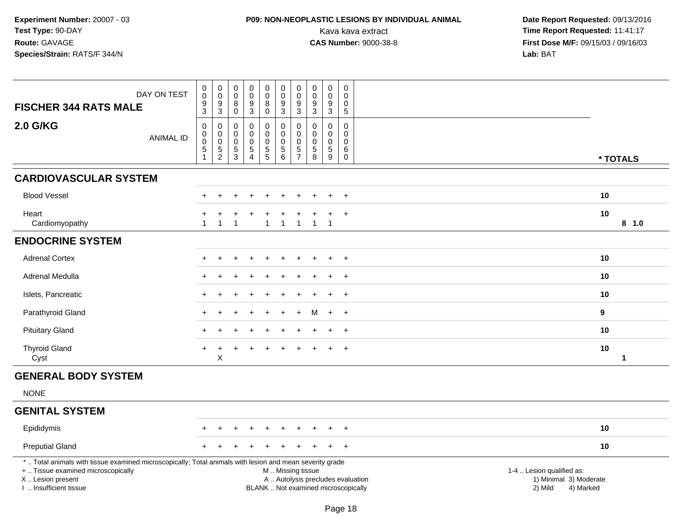## **P09: NON-NEOPLASTIC LESIONS BY INDIVIDUAL ANIMAL**

| DAY ON TEST<br><b>FISCHER 344 RATS MALE</b>                                                                                                                                                  |                  | $\mathbf 0$<br>$\pmb{0}$<br>9<br>$\overline{3}$                 | $\mathbf 0$<br>$\mathbf 0$<br>9<br>$\mathbf{3}$                                 | $\pmb{0}$<br>$\mathbf 0$<br>8<br>$\pmb{0}$                 | $\mathbf 0$<br>$\mathsf{O}\xspace$<br>9<br>$\overline{3}$ | $\pmb{0}$<br>$\pmb{0}$<br>8<br>$\mathbf 0$                                          | $\pmb{0}$<br>$\mathbf 0$<br>$9\,$<br>$\mathsf 3$             | $\boldsymbol{0}$<br>$\boldsymbol{0}$<br>9<br>3                         | 0<br>$\pmb{0}$<br>9<br>$\overline{3}$                   | 0<br>$\pmb{0}$<br>9<br>$\mathbf{3}$                 | $\mathbf 0$<br>$\Omega$<br>0<br>$\overline{5}$              |                                                                                                                  |                    |
|----------------------------------------------------------------------------------------------------------------------------------------------------------------------------------------------|------------------|-----------------------------------------------------------------|---------------------------------------------------------------------------------|------------------------------------------------------------|-----------------------------------------------------------|-------------------------------------------------------------------------------------|--------------------------------------------------------------|------------------------------------------------------------------------|---------------------------------------------------------|-----------------------------------------------------|-------------------------------------------------------------|------------------------------------------------------------------------------------------------------------------|--------------------|
| <b>2.0 G/KG</b>                                                                                                                                                                              | <b>ANIMAL ID</b> | $\mathsf 0$<br>0<br>$\pmb{0}$<br>$\overline{5}$<br>$\mathbf{1}$ | $\boldsymbol{0}$<br>$\mathbf 0$<br>$\mathbf 0$<br>$\mathbf 5$<br>$\overline{2}$ | $\mathbf 0$<br>0<br>$\mathsf{O}\xspace$<br>$\sqrt{5}$<br>3 | $\mathsf{O}$<br>$\mathbf 0$<br>$\overline{0}$<br>5<br>4   | $\pmb{0}$<br>$\mathbf 0$<br>$\overline{0}$<br>$\begin{array}{c} 5 \\ 5 \end{array}$ | $\mathbf 0$<br>$\mathbf 0$<br>$\mathbf 0$<br>$\sqrt{5}$<br>6 | $\mathbf 0$<br>$\Omega$<br>$\mathbf 0$<br>$\sqrt{5}$<br>$\overline{7}$ | $\pmb{0}$<br>$\Omega$<br>$\mathbf 0$<br>$\sqrt{5}$<br>8 | $\mathbf 0$<br>$\mathbf 0$<br>$\mathbf 0$<br>5<br>9 | $\mathsf{O}\xspace$<br>0<br>$\mathbf 0$<br>6<br>$\mathbf 0$ |                                                                                                                  | * TOTALS           |
| <b>CARDIOVASCULAR SYSTEM</b>                                                                                                                                                                 |                  |                                                                 |                                                                                 |                                                            |                                                           |                                                                                     |                                                              |                                                                        |                                                         |                                                     |                                                             |                                                                                                                  |                    |
| <b>Blood Vessel</b>                                                                                                                                                                          |                  |                                                                 |                                                                                 |                                                            |                                                           |                                                                                     |                                                              |                                                                        |                                                         |                                                     | $\ddot{}$                                                   |                                                                                                                  | 10                 |
| Heart<br>Cardiomyopathy                                                                                                                                                                      |                  | $\overline{1}$                                                  | $\mathbf{1}$                                                                    | -1                                                         |                                                           |                                                                                     | $\overline{1}$                                               | -1                                                                     | $\mathbf{1}$                                            | $\overline{1}$                                      | $\overline{+}$                                              |                                                                                                                  | 10<br>8 1.0        |
| <b>ENDOCRINE SYSTEM</b>                                                                                                                                                                      |                  |                                                                 |                                                                                 |                                                            |                                                           |                                                                                     |                                                              |                                                                        |                                                         |                                                     |                                                             |                                                                                                                  |                    |
| <b>Adrenal Cortex</b>                                                                                                                                                                        |                  |                                                                 |                                                                                 |                                                            |                                                           |                                                                                     |                                                              |                                                                        |                                                         |                                                     | $\ddot{}$                                                   |                                                                                                                  | 10                 |
| Adrenal Medulla                                                                                                                                                                              |                  |                                                                 |                                                                                 |                                                            |                                                           |                                                                                     |                                                              |                                                                        |                                                         |                                                     | $\ddot{}$                                                   |                                                                                                                  | 10                 |
| Islets, Pancreatic                                                                                                                                                                           |                  |                                                                 |                                                                                 |                                                            |                                                           |                                                                                     |                                                              |                                                                        |                                                         | ÷                                                   | $\overline{+}$                                              |                                                                                                                  | 10                 |
| Parathyroid Gland                                                                                                                                                                            |                  |                                                                 |                                                                                 |                                                            |                                                           |                                                                                     |                                                              |                                                                        | м                                                       | $\ddot{}$                                           | $+$                                                         |                                                                                                                  | $\mathbf{9}$       |
| <b>Pituitary Gland</b>                                                                                                                                                                       |                  |                                                                 |                                                                                 |                                                            |                                                           |                                                                                     |                                                              |                                                                        |                                                         |                                                     | $\ddot{}$                                                   |                                                                                                                  | 10                 |
| <b>Thyroid Gland</b><br>Cyst                                                                                                                                                                 |                  |                                                                 | X                                                                               |                                                            |                                                           |                                                                                     |                                                              |                                                                        |                                                         |                                                     | $\overline{+}$                                              |                                                                                                                  | 10<br>$\mathbf{1}$ |
| <b>GENERAL BODY SYSTEM</b>                                                                                                                                                                   |                  |                                                                 |                                                                                 |                                                            |                                                           |                                                                                     |                                                              |                                                                        |                                                         |                                                     |                                                             |                                                                                                                  |                    |
| <b>NONE</b>                                                                                                                                                                                  |                  |                                                                 |                                                                                 |                                                            |                                                           |                                                                                     |                                                              |                                                                        |                                                         |                                                     |                                                             |                                                                                                                  |                    |
| <b>GENITAL SYSTEM</b>                                                                                                                                                                        |                  |                                                                 |                                                                                 |                                                            |                                                           |                                                                                     |                                                              |                                                                        |                                                         |                                                     |                                                             |                                                                                                                  |                    |
| Epididymis                                                                                                                                                                                   |                  |                                                                 |                                                                                 |                                                            |                                                           |                                                                                     |                                                              |                                                                        |                                                         |                                                     |                                                             |                                                                                                                  | 10                 |
| <b>Preputial Gland</b>                                                                                                                                                                       |                  |                                                                 |                                                                                 |                                                            |                                                           |                                                                                     |                                                              |                                                                        |                                                         |                                                     | $\overline{+}$                                              |                                                                                                                  | 10                 |
| *  Total animals with tissue examined microscopically; Total animals with lesion and mean severity grade<br>+  Tissue examined microscopically<br>X Lesion present<br>I. Insufficient tissue |                  |                                                                 |                                                                                 |                                                            |                                                           |                                                                                     | M  Missing tissue<br>BLANK  Not examined microscopically     |                                                                        |                                                         |                                                     |                                                             | 1-4  Lesion qualified as:<br>A  Autolysis precludes evaluation<br>1) Minimal 3) Moderate<br>2) Mild<br>4) Marked |                    |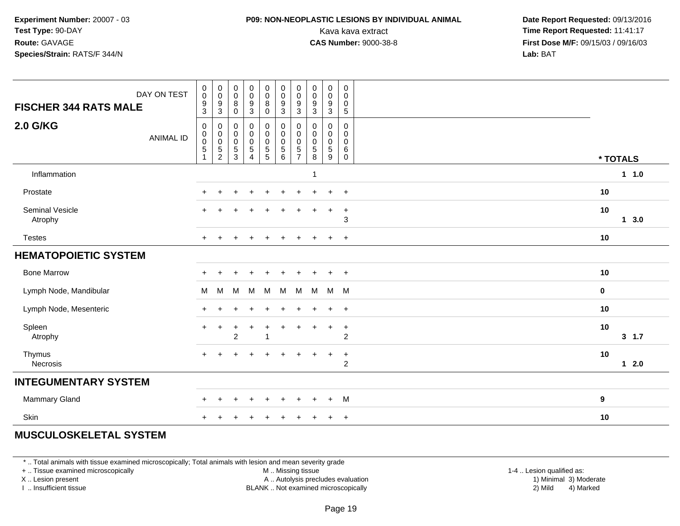### **P09: NON-NEOPLASTIC LESIONS BY INDIVIDUAL ANIMAL**

 **Date Report Requested:** 09/13/2016 Kava kava extract **Time Report Requested:** 11:41:17<br>**CAS Number:** 9000-38-8 **Time Report Requested:** 11:41:17 **First Dose M/F:** 09/15/03 / 09/16/03<br>**Lab:** BAT **Lab:** BAT

| DAY ON TEST<br><b>FISCHER 344 RATS MALE</b> | $\begin{smallmatrix} 0\\0 \end{smallmatrix}$<br>$\boldsymbol{9}$<br>$\sqrt{3}$ | $_{\rm 0}^{\rm 0}$<br>$\boldsymbol{9}$<br>$\sqrt{3}$ | $\begin{smallmatrix}0\\0\end{smallmatrix}$<br>8<br>$\pmb{0}$ | $_{\rm 0}^{\rm 0}$<br>$\frac{9}{3}$                                                              | $\pmb{0}$<br>$\mathsf 0$<br>$\bf 8$<br>$\mathbf 0$                             | $_{\rm 0}^{\rm 0}$<br>$\boldsymbol{9}$<br>$\sqrt{3}$                  | $\pmb{0}$<br>$\pmb{0}$<br>$9\,$<br>3                      | $\begin{smallmatrix} 0\\0 \end{smallmatrix}$<br>$\boldsymbol{9}$<br>$\ensuremath{\mathsf{3}}$ | $\begin{smallmatrix}0\0\0\end{smallmatrix}$<br>$\boldsymbol{9}$<br>$\mathbf{3}$ | $\pmb{0}$<br>0<br>$\pmb{0}$<br>$\sqrt{5}$ |                     |  |
|---------------------------------------------|--------------------------------------------------------------------------------|------------------------------------------------------|--------------------------------------------------------------|--------------------------------------------------------------------------------------------------|--------------------------------------------------------------------------------|-----------------------------------------------------------------------|-----------------------------------------------------------|-----------------------------------------------------------------------------------------------|---------------------------------------------------------------------------------|-------------------------------------------|---------------------|--|
| <b>2.0 G/KG</b><br><b>ANIMAL ID</b>         | $\boldsymbol{0}$<br>$_{\rm 0}^{\rm 0}$<br>$\overline{5}$<br>1                  | 0<br>$\pmb{0}$<br>$\pmb{0}$<br>$\frac{5}{2}$         | 0<br>0<br>$\mathbf 0$<br>$\sqrt{5}$<br>$\overline{3}$        | $\pmb{0}$<br>$\pmb{0}$<br>$\begin{smallmatrix}0\0\5\end{smallmatrix}$<br>$\overline{\mathbf{4}}$ | $\mathbf 0$<br>$\pmb{0}$<br>$\pmb{0}$<br>$\begin{array}{c} 5 \\ 5 \end{array}$ | $\pmb{0}$<br>$\pmb{0}$<br>$\mathbf 0$<br>$\sqrt{5}$<br>$6\phantom{1}$ | 0<br>$\pmb{0}$<br>$\boldsymbol{0}$<br>5<br>$\overline{7}$ | 0<br>$\pmb{0}$<br>$\pmb{0}$<br>$\,$ 5 $\,$<br>8                                               | 0<br>0<br>$\mathbf 0$<br>$\sqrt{5}$<br>9                                        | $\mathbf 0$<br>0<br>$\mathsf 0$<br>6<br>0 | * TOTALS            |  |
| Inflammation                                |                                                                                |                                                      |                                                              |                                                                                                  |                                                                                |                                                                       |                                                           | $\mathbf{1}$                                                                                  |                                                                                 |                                           | 1 1.0               |  |
| Prostate                                    |                                                                                | ÷                                                    |                                                              | $\ddot{}$                                                                                        | $\ddot{}$                                                                      | $\ddot{}$                                                             |                                                           |                                                                                               | $+$                                                                             | $+$                                       | 10                  |  |
| Seminal Vesicle<br>Atrophy                  |                                                                                |                                                      |                                                              |                                                                                                  |                                                                                |                                                                       |                                                           |                                                                                               | $\ddot{}$                                                                       | $\ddot{}$<br>$\mathbf{3}$                 | 10<br>$1 \quad 3.0$ |  |
| <b>Testes</b>                               | $+$                                                                            |                                                      |                                                              |                                                                                                  |                                                                                |                                                                       |                                                           |                                                                                               | $+$                                                                             | $+$                                       | 10                  |  |
| <b>HEMATOPOIETIC SYSTEM</b>                 |                                                                                |                                                      |                                                              |                                                                                                  |                                                                                |                                                                       |                                                           |                                                                                               |                                                                                 |                                           |                     |  |
| <b>Bone Marrow</b>                          |                                                                                |                                                      |                                                              |                                                                                                  |                                                                                |                                                                       |                                                           |                                                                                               | $\ddot{}$                                                                       | $+$                                       | 10                  |  |
| Lymph Node, Mandibular                      | M                                                                              | M                                                    | M                                                            | M                                                                                                | M                                                                              | M                                                                     | M                                                         | M                                                                                             | M                                                                               | <b>M</b>                                  | $\mathbf 0$         |  |
| Lymph Node, Mesenteric                      |                                                                                |                                                      |                                                              |                                                                                                  |                                                                                |                                                                       |                                                           |                                                                                               | $\ddot{}$                                                                       | $+$                                       | 10                  |  |
| Spleen<br>Atrophy                           | $\pm$                                                                          | $\ddot{}$                                            | $\ddot{}$<br>$\overline{2}$                                  | $\ddot{}$                                                                                        | $\ddot{}$                                                                      | $\ddot{}$                                                             | +                                                         | $\div$                                                                                        | $\ddot{}$                                                                       | $+$<br>$\overline{c}$                     | 10<br>$3 \t1.7$     |  |
| Thymus<br>Necrosis                          |                                                                                |                                                      |                                                              |                                                                                                  |                                                                                |                                                                       |                                                           |                                                                                               | $\ddot{}$                                                                       | $+$<br>$\overline{c}$                     | 10<br>$12.0$        |  |
| <b>INTEGUMENTARY SYSTEM</b>                 |                                                                                |                                                      |                                                              |                                                                                                  |                                                                                |                                                                       |                                                           |                                                                                               |                                                                                 |                                           |                     |  |
| Mammary Gland                               |                                                                                |                                                      |                                                              |                                                                                                  |                                                                                |                                                                       |                                                           |                                                                                               | $+$                                                                             | M                                         | 9                   |  |
| Skin                                        |                                                                                |                                                      |                                                              |                                                                                                  |                                                                                |                                                                       |                                                           |                                                                                               |                                                                                 | $+$                                       | 10                  |  |

### **MUSCULOSKELETAL SYSTEM**

\* .. Total animals with tissue examined microscopically; Total animals with lesion and mean severity grade

+ .. Tissue examined microscopically

X .. Lesion present

I .. Insufficient tissue

 M .. Missing tissueA .. Autolysis precludes evaluation

 1-4 .. Lesion qualified as: BLANK .. Not examined microscopically 2) Mild 4) Marked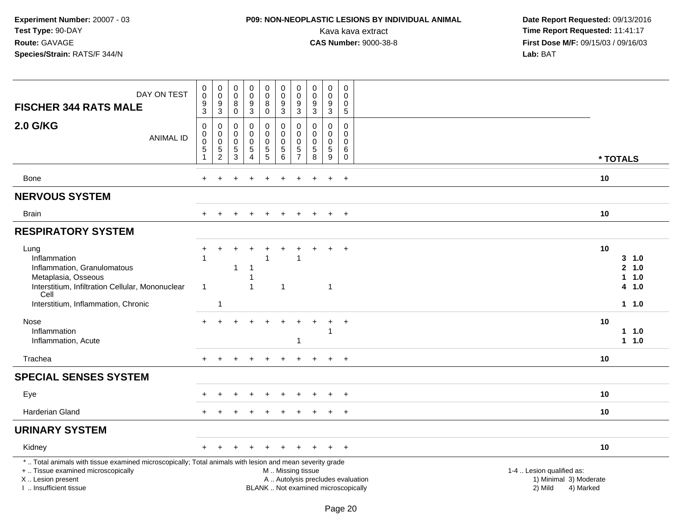### **P09: NON-NEOPLASTIC LESIONS BY INDIVIDUAL ANIMAL**

| DAY ON TEST<br><b>FISCHER 344 RATS MALE</b>                                                                                                                                                   | $\mathbf 0$<br>$\mathbf 0$<br>$\boldsymbol{9}$<br>$\overline{3}$                      | $\mathbf 0$<br>$\mathbf 0$<br>$9\,$<br>$\ensuremath{\mathsf{3}}$        | $\pmb{0}$<br>$\mathbf 0$<br>8<br>$\pmb{0}$                    | 0<br>$\ddot{\mathbf{0}}$<br>9<br>3     | $\pmb{0}$<br>$\mathsf{O}\xspace$<br>8<br>$\mathbf 0$ | $\pmb{0}$<br>$\pmb{0}$<br>$9\,$<br>$\overline{3}$           | 0<br>$\mathbf 0$<br>9<br>3                   | 0<br>$\mathbf 0$<br>9<br>3                       | 0<br>$\mathbf 0$<br>$\boldsymbol{9}$<br>$\overline{3}$   | 0<br>$\Omega$<br>0<br>$\overline{5}$                            |                                                                                                                  |
|-----------------------------------------------------------------------------------------------------------------------------------------------------------------------------------------------|---------------------------------------------------------------------------------------|-------------------------------------------------------------------------|---------------------------------------------------------------|----------------------------------------|------------------------------------------------------|-------------------------------------------------------------|----------------------------------------------|--------------------------------------------------|----------------------------------------------------------|-----------------------------------------------------------------|------------------------------------------------------------------------------------------------------------------|
| <b>2.0 G/KG</b><br><b>ANIMAL ID</b>                                                                                                                                                           | $\mathsf{O}\xspace$<br>$\mathbf 0$<br>$\overline{0}$<br>$\,$ 5 $\,$<br>$\overline{1}$ | $\mathbf 0$<br>$\boldsymbol{0}$<br>$\ddot{\mathbf{0}}$<br>$\frac{5}{2}$ | $\mathbf 0$<br>0<br>$\mathbf 0$<br>$\mathbf 5$<br>$\mathsf 3$ | 0<br>0<br>0<br>5<br>$\overline{4}$     | 0<br>0<br>$\pmb{0}$<br>$\frac{5}{5}$                 | $\mathbf 0$<br>$\mathbf 0$<br>$\pmb{0}$<br>$\,$ 5 $\,$<br>6 | 0<br>0<br>$\mathbf 0$<br>5<br>$\overline{7}$ | $\mathbf 0$<br>$\Omega$<br>$\mathbf 0$<br>5<br>8 | 0<br>$\mathbf 0$<br>$\mathsf{O}\xspace$<br>$\frac{5}{9}$ | $\pmb{0}$<br>$\mathbf 0$<br>$\mathbf 0$<br>$\,6$<br>$\mathbf 0$ | * TOTALS                                                                                                         |
| <b>Bone</b>                                                                                                                                                                                   | $+$                                                                                   | $\div$                                                                  |                                                               |                                        | +                                                    | $\div$                                                      | $\pm$                                        |                                                  | $\ddot{}$                                                | $+$                                                             | 10                                                                                                               |
| <b>NERVOUS SYSTEM</b>                                                                                                                                                                         |                                                                                       |                                                                         |                                                               |                                        |                                                      |                                                             |                                              |                                                  |                                                          |                                                                 |                                                                                                                  |
| Brain                                                                                                                                                                                         |                                                                                       |                                                                         |                                                               |                                        |                                                      |                                                             |                                              |                                                  | $\ddot{}$                                                | $\overline{+}$                                                  | 10                                                                                                               |
| <b>RESPIRATORY SYSTEM</b>                                                                                                                                                                     |                                                                                       |                                                                         |                                                               |                                        |                                                      |                                                             |                                              |                                                  |                                                          |                                                                 |                                                                                                                  |
| Lung<br>Inflammation<br>Inflammation, Granulomatous<br>Metaplasia, Osseous<br>Interstitium, Infiltration Cellular, Mononuclear<br>Cell<br>Interstitium, Inflammation, Chronic                 | $\ddot{}$<br>$\overline{1}$<br>$\overline{1}$                                         | 1                                                                       | 1                                                             | $\overline{1}$<br>-1<br>$\overline{1}$ |                                                      | $\overline{1}$                                              | -1                                           |                                                  | $\mathbf{1}$                                             | $\ddot{}$                                                       | 10<br>$3 - 1.0$<br>2 1.0<br>11.0<br>4 1.0<br>11.0                                                                |
| <b>Nose</b><br>Inflammation<br>Inflammation, Acute                                                                                                                                            |                                                                                       |                                                                         |                                                               |                                        |                                                      |                                                             | $+$<br>1                                     |                                                  | $\ddot{}$<br>1                                           | $+$                                                             | 10<br>11.0<br>$1 1.0$                                                                                            |
| Trachea                                                                                                                                                                                       | $+$                                                                                   | $\ddot{}$                                                               |                                                               | $\ddot{}$                              | $\ddot{}$                                            |                                                             | $\pm$                                        |                                                  | $\ddot{+}$                                               | $+$                                                             | 10                                                                                                               |
| <b>SPECIAL SENSES SYSTEM</b>                                                                                                                                                                  |                                                                                       |                                                                         |                                                               |                                        |                                                      |                                                             |                                              |                                                  |                                                          |                                                                 |                                                                                                                  |
| Eye                                                                                                                                                                                           |                                                                                       |                                                                         |                                                               |                                        |                                                      |                                                             |                                              |                                                  |                                                          | $+$                                                             | 10                                                                                                               |
| <b>Harderian Gland</b>                                                                                                                                                                        |                                                                                       |                                                                         |                                                               |                                        |                                                      |                                                             |                                              |                                                  |                                                          | $\ddot{}$                                                       | 10                                                                                                               |
| <b>URINARY SYSTEM</b>                                                                                                                                                                         |                                                                                       |                                                                         |                                                               |                                        |                                                      |                                                             |                                              |                                                  |                                                          |                                                                 |                                                                                                                  |
| Kidney                                                                                                                                                                                        |                                                                                       |                                                                         |                                                               |                                        |                                                      |                                                             |                                              |                                                  |                                                          | $+$                                                             | 10                                                                                                               |
| *  Total animals with tissue examined microscopically; Total animals with lesion and mean severity grade<br>+  Tissue examined microscopically<br>X  Lesion present<br>I. Insufficient tissue |                                                                                       |                                                                         |                                                               |                                        |                                                      | M  Missing tissue                                           |                                              | BLANK  Not examined microscopically              |                                                          |                                                                 | 1-4  Lesion qualified as:<br>A  Autolysis precludes evaluation<br>1) Minimal 3) Moderate<br>2) Mild<br>4) Marked |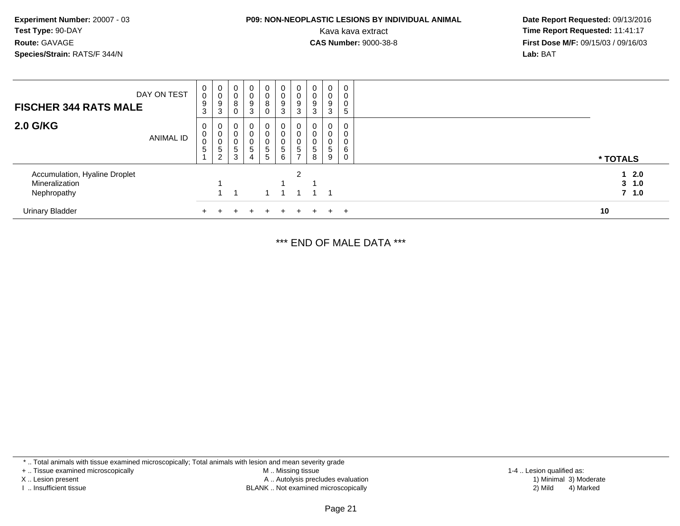# **P09: NON-NEOPLASTIC LESIONS BY INDIVIDUAL ANIMAL**

 **Date Report Requested:** 09/13/2016 Kava kava extract **Time Report Requested:** 11:41:17<br>**CAS Number:** 9000-38-8 **Time Report Requested:** 11:41:17 **First Dose M/F:** 09/15/03 / 09/16/03<br>**Lab:** BAT **Lab:** BAT

| <b>FISCHER 344 RATS MALE</b>                                   | DAY ON TEST | $\begin{smallmatrix}0\0\0\9\end{smallmatrix}$<br>3 | 0<br>0<br>9<br>3      | $\overline{0}$<br>$_{\rm 8}^{\rm 0}$<br>$\mathbf 0$ | $\begin{smallmatrix}0\0\0\9\end{smallmatrix}$<br>3                          | $\mathbf 0$<br>$\pmb{0}$<br>8<br>0            | $\begin{smallmatrix}0\0\0\9\end{smallmatrix}$<br>3 | $\begin{smallmatrix}0\0\0\9\end{smallmatrix}$<br>3               | $\pmb{0}$<br>$\frac{0}{9}$<br>3    | $\mathbf 0$<br>$\pmb{0}$<br>9<br>3 | 0<br>0<br>0<br>5      |  |                          |
|----------------------------------------------------------------|-------------|----------------------------------------------------|-----------------------|-----------------------------------------------------|-----------------------------------------------------------------------------|-----------------------------------------------|----------------------------------------------------|------------------------------------------------------------------|------------------------------------|------------------------------------|-----------------------|--|--------------------------|
| 2.0 G/KG                                                       | ANIMAL ID   | 0<br>0<br>$\mathbf 0$<br>5<br>$\overline{A}$       | 0<br>0<br>0<br>5<br>2 | 0<br>$\mathbf 0$<br>0<br>$\overline{5}$<br>3        | 0<br>$\mathbf 0$<br>$\begin{array}{c} 0 \\ 5 \end{array}$<br>$\overline{4}$ | $\mathbf{0}$<br>0<br>$\overline{0}$<br>5<br>5 | 0<br>0<br>$\pmb{0}$<br>$\overline{5}$<br>6         | 0<br>0<br>$\begin{array}{c} 0 \\ 5 \end{array}$<br>$\rightarrow$ | 0<br>0<br>0<br>$\overline{5}$<br>8 | 0<br>0<br>0<br>$\overline{5}$<br>9 | 0<br>0<br>0<br>6<br>0 |  | * TOTALS                 |
| Accumulation, Hyaline Droplet<br>Mineralization<br>Nephropathy |             |                                                    |                       |                                                     |                                                                             |                                               |                                                    | 2                                                                |                                    |                                    |                       |  | 12.0<br>3, 1.0<br>7, 1.0 |
| <b>Urinary Bladder</b>                                         |             |                                                    |                       |                                                     |                                                                             | +                                             | $+$                                                | $+$                                                              | $+$                                |                                    | $+$                   |  | 10                       |

\*\*\* END OF MALE DATA \*\*\*

\* .. Total animals with tissue examined microscopically; Total animals with lesion and mean severity grade

+ .. Tissue examined microscopically

X .. Lesion present

I .. Insufficient tissue

 M .. Missing tissueA .. Autolysis precludes evaluation

BLANK .. Not examined microscopically 2) Mild 4) Marked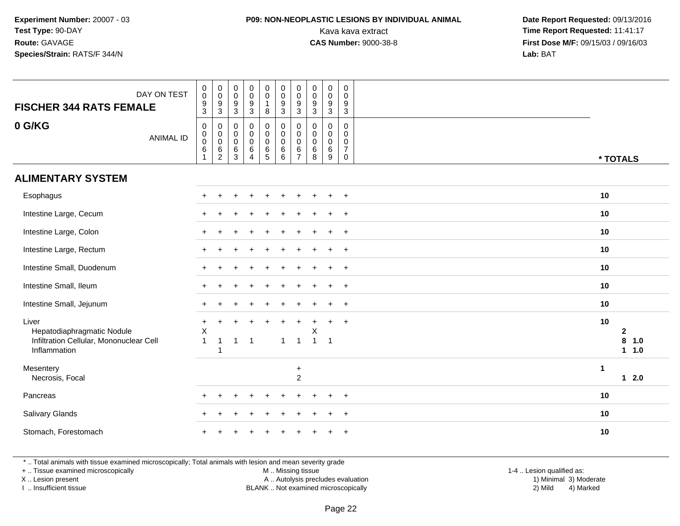## **P09: NON-NEOPLASTIC LESIONS BY INDIVIDUAL ANIMAL**

 **Date Report Requested:** 09/13/2016 Kava kava extract **Time Report Requested:** 11:41:17<br>**CAS Number:** 9000-38-8 **Time Report Requested:** 11:41:17 **First Dose M/F:** 09/15/03 / 09/16/03<br>**Lab:** BAT **Lab:** BAT

| DAY ON TEST<br><b>FISCHER 344 RATS FEMALE</b>                                                  | $\mathsf 0$<br>$\begin{array}{c} 0 \\ 0 \\ 9 \\ 3 \end{array}$<br>$\boldsymbol{0}$<br>$\pmb{0}$<br>$\begin{array}{c} 0 \\ 0 \\ 9 \\ 3 \end{array}$<br>$\pmb{0}$<br>$\boldsymbol{0}$<br>$\pmb{0}$<br>$\pmb{0}$<br>$\pmb{0}$<br>$\pmb{0}$<br>$\mathbf 0$<br>$\mathbf 0$<br>$\pmb{0}$<br>$\mathsf{O}\xspace$<br>$\mathsf{O}\xspace$<br>$\mathbf 0$<br>$\mathbf 0$<br>$\frac{9}{3}$<br>$\frac{9}{3}$<br>$\frac{9}{3}$<br>$\frac{9}{3}$<br>9<br>$\mathbf{1}$<br>9<br>9<br>$\mathbf{3}$<br>3<br>8<br>$\mathbf{3}$                                                                                                                                                 |                                           |
|------------------------------------------------------------------------------------------------|-------------------------------------------------------------------------------------------------------------------------------------------------------------------------------------------------------------------------------------------------------------------------------------------------------------------------------------------------------------------------------------------------------------------------------------------------------------------------------------------------------------------------------------------------------------------------------------------------------------------------------------------------------------|-------------------------------------------|
| 0 G/KG<br><b>ANIMAL ID</b>                                                                     | $\mathbf 0$<br>$\pmb{0}$<br>$\mathsf{O}$<br>0<br>0<br>$\mathbf 0$<br>$\mathbf 0$<br>0<br>0<br>0<br>$\overline{0}$ <sub>0</sub><br>$\pmb{0}$<br>$\mathbf 0$<br>$\mathsf{O}\xspace$<br>$_{\rm 0}^{\rm 0}$<br>$\pmb{0}$<br>$\mathbf 0$<br>$\mathbf 0$<br>$\mathbf 0$<br>$\overline{0}$<br>$\mathsf{O}\xspace$<br>$\mathsf{O}\xspace$<br>$\pmb{0}$<br>$\mathsf 0$<br>$\mathbf 0$<br>$\pmb{0}$<br>$\mathbf 0$<br>0<br>6<br>$\,6\,$<br>$\,6\,$<br>$\,6$<br>$\,6\,$<br>$\overline{7}$<br>$\,6\,$<br>$\,6\,$<br>$\,6$<br>$\,6\,$<br>$\overline{5}$<br>3<br>$\overline{c}$<br>6<br>$\overline{7}$<br>8<br>9<br>$\mathbf 0$<br>$\mathbf{1}$<br>$\boldsymbol{\Lambda}$ | * TOTALS                                  |
| <b>ALIMENTARY SYSTEM</b>                                                                       |                                                                                                                                                                                                                                                                                                                                                                                                                                                                                                                                                                                                                                                             |                                           |
| Esophagus                                                                                      | $+$<br>$\div$                                                                                                                                                                                                                                                                                                                                                                                                                                                                                                                                                                                                                                               | 10                                        |
| Intestine Large, Cecum                                                                         | $\ddot{}$                                                                                                                                                                                                                                                                                                                                                                                                                                                                                                                                                                                                                                                   | 10                                        |
| Intestine Large, Colon                                                                         | $\ddot{}$                                                                                                                                                                                                                                                                                                                                                                                                                                                                                                                                                                                                                                                   | 10                                        |
| Intestine Large, Rectum                                                                        | $\ddot{}$<br>$+$                                                                                                                                                                                                                                                                                                                                                                                                                                                                                                                                                                                                                                            | 10                                        |
| Intestine Small, Duodenum                                                                      | $\ddot{}$<br>$+$                                                                                                                                                                                                                                                                                                                                                                                                                                                                                                                                                                                                                                            | 10                                        |
| Intestine Small, Ileum                                                                         | $\ddot{}$<br>$+$                                                                                                                                                                                                                                                                                                                                                                                                                                                                                                                                                                                                                                            | 10                                        |
| Intestine Small, Jejunum                                                                       | $\ddot{}$<br>$\overline{+}$                                                                                                                                                                                                                                                                                                                                                                                                                                                                                                                                                                                                                                 | 10                                        |
| Liver<br>Hepatodiaphragmatic Nodule<br>Infiltration Cellular, Mononuclear Cell<br>Inflammation | $\ddot{}$<br>$\ddot{}$<br>$\ddot{}$<br>$+$<br>$+$<br>$\ddot{}$<br>$\sf X$<br>Χ<br>$\mathbf{1}$<br>$\overline{1}$<br>$\mathbf{1}$<br>$\overline{1}$<br>$\overline{1}$<br>$\overline{1}$<br>$\blacktriangleleft$<br>-1<br>1                                                                                                                                                                                                                                                                                                                                                                                                                                   | 10<br>$\mathbf{2}$<br>8<br>1.0<br>$1 1.0$ |
| Mesentery<br>Necrosis, Focal                                                                   | $\ddot{}$<br>$\overline{c}$                                                                                                                                                                                                                                                                                                                                                                                                                                                                                                                                                                                                                                 | $\mathbf{1}$<br>$12.0$                    |
| Pancreas                                                                                       | $\ddot{}$<br>$+$                                                                                                                                                                                                                                                                                                                                                                                                                                                                                                                                                                                                                                            | 10                                        |
| Salivary Glands                                                                                | $\overline{+}$                                                                                                                                                                                                                                                                                                                                                                                                                                                                                                                                                                                                                                              | 10                                        |
| Stomach, Forestomach                                                                           |                                                                                                                                                                                                                                                                                                                                                                                                                                                                                                                                                                                                                                                             | 10                                        |

\* .. Total animals with tissue examined microscopically; Total animals with lesion and mean severity grade

+ .. Tissue examined microscopically

X .. Lesion present

I .. Insufficient tissue

 M .. Missing tissueA .. Autolysis precludes evaluation

 1-4 .. Lesion qualified as: BLANK .. Not examined microscopically 2) Mild 4) Marked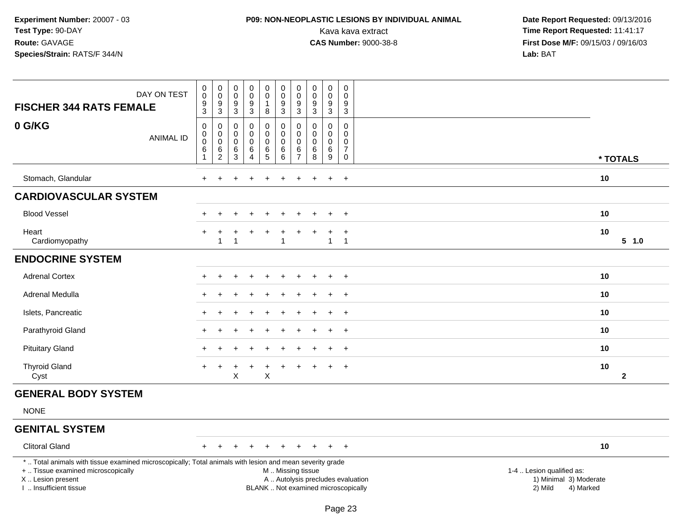## **P09: NON-NEOPLASTIC LESIONS BY INDIVIDUAL ANIMAL**

| DAY ON TEST<br><b>FISCHER 344 RATS FEMALE</b>                                                                                                                                                 | 0<br>$\bar{0}$<br>$\frac{9}{3}$                    | $\begin{smallmatrix}0\\0\end{smallmatrix}$<br>$\frac{9}{3}$ | $\pmb{0}$<br>$\mathbf 0$<br>$\frac{9}{3}$ | $\mathsf 0$<br>$\overline{0}$<br>$\frac{9}{3}$   | $\begin{smallmatrix} 0\\0 \end{smallmatrix}$<br>$\mathbf{1}$<br>$\bf8$ | $_{\rm 0}^{\rm 0}$<br>$\frac{9}{3}$                                                           | 0<br>$\mathbf 0$<br>$\frac{9}{3}$ | $_{\rm 0}^{\rm 0}$<br>$\frac{9}{3}$       | $\begin{smallmatrix}0\0\0\end{smallmatrix}$<br>$\frac{9}{3}$ | 0<br>0<br>$\frac{9}{3}$                             |                                                                             |  |
|-----------------------------------------------------------------------------------------------------------------------------------------------------------------------------------------------|----------------------------------------------------|-------------------------------------------------------------|-------------------------------------------|--------------------------------------------------|------------------------------------------------------------------------|-----------------------------------------------------------------------------------------------|-----------------------------------|-------------------------------------------|--------------------------------------------------------------|-----------------------------------------------------|-----------------------------------------------------------------------------|--|
| 0 G/KG<br><b>ANIMAL ID</b>                                                                                                                                                                    | $\boldsymbol{0}$<br>$\boldsymbol{0}$<br>0<br>$\,6$ | 0<br>$\pmb{0}$<br>$\mathsf 0$                               | $\mathbf 0$<br>$\mathbf 0$<br>$\mathbf 0$ | $\mathbf 0$<br>$\pmb{0}$<br>$\mathbf 0$<br>$\,6$ | $\mathbf 0$<br>$\pmb{0}$<br>$\pmb{0}$                                  | $\pmb{0}$<br>$\mathbf 0$<br>$\Omega$                                                          | 0<br>$\mathbf 0$<br>$\Omega$<br>6 | $\mathbf 0$<br>$\mathbf 0$<br>$\mathbf 0$ | $\mathbf 0$<br>$\mathbf 0$<br>$\mathbf 0$                    | $\mathbf 0$<br>0<br>$\mathbf 0$<br>$\boldsymbol{7}$ |                                                                             |  |
|                                                                                                                                                                                               | $\mathbf{1}$                                       | $\frac{6}{2}$                                               | $^6_3$                                    | $\overline{4}$                                   | $\frac{6}{5}$                                                          | $^6_6$                                                                                        | $\overline{7}$                    | $^6_8$                                    | $\frac{6}{9}$                                                | $\mathbf 0$                                         | * TOTALS                                                                    |  |
| Stomach, Glandular                                                                                                                                                                            |                                                    |                                                             |                                           |                                                  |                                                                        |                                                                                               |                                   |                                           | $\ddot{}$                                                    | $+$                                                 | 10                                                                          |  |
| <b>CARDIOVASCULAR SYSTEM</b>                                                                                                                                                                  |                                                    |                                                             |                                           |                                                  |                                                                        |                                                                                               |                                   |                                           |                                                              |                                                     |                                                                             |  |
| <b>Blood Vessel</b>                                                                                                                                                                           |                                                    | ÷                                                           | $\div$                                    | $\ddot{}$                                        | $\ddot{}$                                                              | $\ddot{}$                                                                                     | $\ddot{}$                         |                                           | $\ddot{}$                                                    | $+$                                                 | 10                                                                          |  |
| Heart<br>Cardiomyopathy                                                                                                                                                                       |                                                    | $\ddot{}$<br>1                                              | 1                                         | $\overline{1}$                                   | $\ddot{}$                                                              | +<br>$\mathbf{1}$                                                                             | $\ddot{}$                         |                                           | $\ddot{}$<br>$\mathbf{1}$                                    | $\ddot{}$<br>$\overline{1}$                         | 10<br>5 1.0                                                                 |  |
| <b>ENDOCRINE SYSTEM</b>                                                                                                                                                                       |                                                    |                                                             |                                           |                                                  |                                                                        |                                                                                               |                                   |                                           |                                                              |                                                     |                                                                             |  |
| <b>Adrenal Cortex</b>                                                                                                                                                                         |                                                    |                                                             |                                           |                                                  |                                                                        |                                                                                               |                                   |                                           | $\ddot{}$                                                    | $+$                                                 | 10                                                                          |  |
| Adrenal Medulla                                                                                                                                                                               |                                                    |                                                             |                                           |                                                  |                                                                        |                                                                                               |                                   |                                           |                                                              | $\ddot{}$                                           | 10                                                                          |  |
| Islets, Pancreatic                                                                                                                                                                            |                                                    |                                                             |                                           |                                                  |                                                                        |                                                                                               |                                   |                                           | $\div$                                                       | $\overline{+}$                                      | 10                                                                          |  |
| Parathyroid Gland                                                                                                                                                                             |                                                    |                                                             |                                           |                                                  |                                                                        |                                                                                               |                                   |                                           |                                                              | $+$                                                 | 10                                                                          |  |
| <b>Pituitary Gland</b>                                                                                                                                                                        |                                                    |                                                             |                                           |                                                  |                                                                        |                                                                                               |                                   |                                           |                                                              | $+$                                                 | 10                                                                          |  |
| <b>Thyroid Gland</b><br>Cyst                                                                                                                                                                  |                                                    |                                                             | X                                         |                                                  | +<br>$\mathsf X$                                                       |                                                                                               |                                   |                                           | $\ddot{}$                                                    | $\ddot{}$                                           | 10<br>$\mathbf{2}$                                                          |  |
| <b>GENERAL BODY SYSTEM</b>                                                                                                                                                                    |                                                    |                                                             |                                           |                                                  |                                                                        |                                                                                               |                                   |                                           |                                                              |                                                     |                                                                             |  |
| <b>NONE</b>                                                                                                                                                                                   |                                                    |                                                             |                                           |                                                  |                                                                        |                                                                                               |                                   |                                           |                                                              |                                                     |                                                                             |  |
| <b>GENITAL SYSTEM</b>                                                                                                                                                                         |                                                    |                                                             |                                           |                                                  |                                                                        |                                                                                               |                                   |                                           |                                                              |                                                     |                                                                             |  |
| <b>Clitoral Gland</b>                                                                                                                                                                         |                                                    |                                                             |                                           | $\pm$                                            | $\ddot{}$                                                              |                                                                                               |                                   |                                           | $+$                                                          | $+$                                                 | 10                                                                          |  |
| *  Total animals with tissue examined microscopically; Total animals with lesion and mean severity grade<br>+  Tissue examined microscopically<br>X  Lesion present<br>I  Insufficient tissue |                                                    |                                                             |                                           |                                                  |                                                                        | M  Missing tissue<br>A  Autolysis precludes evaluation<br>BLANK  Not examined microscopically |                                   |                                           |                                                              |                                                     | 1-4  Lesion qualified as:<br>1) Minimal 3) Moderate<br>2) Mild<br>4) Marked |  |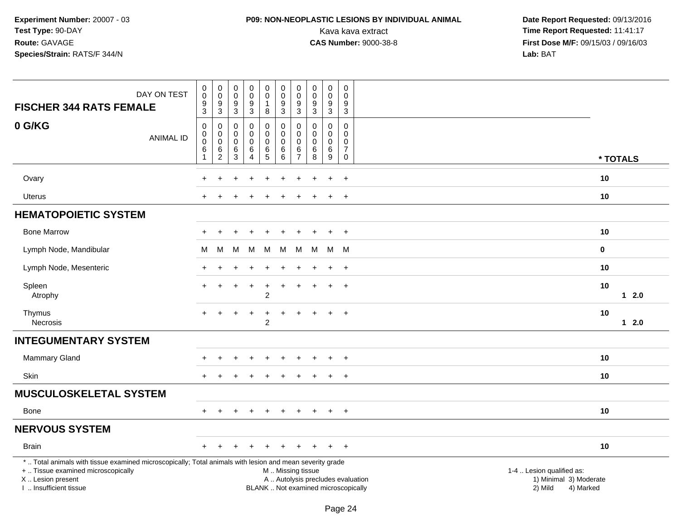## **P09: NON-NEOPLASTIC LESIONS BY INDIVIDUAL ANIMAL**

| DAY ON TEST<br><b>FISCHER 344 RATS FEMALE</b>                                                                                                                                                 | $\,0\,$<br>$\mathbf 0$<br>$\boldsymbol{9}$<br>$\mathsf 3$              | $\mathbf 0$<br>$\pmb{0}$<br>9<br>$\overline{3}$           | $\pmb{0}$<br>$\mathsf{O}\xspace$<br>$\boldsymbol{9}$<br>$\mathbf{3}$ | $\mathbf 0$<br>$\pmb{0}$<br>$\boldsymbol{9}$<br>3        | $\pmb{0}$<br>$\mathsf{O}\xspace$<br>$\mathbf{1}$<br>8  | $\pmb{0}$<br>$\mathsf{O}\xspace$<br>$\boldsymbol{9}$<br>$\overline{3}$                        | $\mathbf 0$<br>0<br>9<br>3                          | $\mathbf 0$<br>$\mathbf 0$<br>$\boldsymbol{9}$<br>$\mathbf{3}$ | $\pmb{0}$<br>$\pmb{0}$<br>$\boldsymbol{9}$<br>$\mathbf{3}$         | $\boldsymbol{0}$<br>0<br>9<br>$\mathbf{3}$                    |                                                                             |
|-----------------------------------------------------------------------------------------------------------------------------------------------------------------------------------------------|------------------------------------------------------------------------|-----------------------------------------------------------|----------------------------------------------------------------------|----------------------------------------------------------|--------------------------------------------------------|-----------------------------------------------------------------------------------------------|-----------------------------------------------------|----------------------------------------------------------------|--------------------------------------------------------------------|---------------------------------------------------------------|-----------------------------------------------------------------------------|
| 0 G/KG<br><b>ANIMAL ID</b>                                                                                                                                                                    | $\mathbf 0$<br>$\pmb{0}$<br>$\boldsymbol{0}$<br>$\,$ 6<br>$\mathbf{1}$ | $\pmb{0}$<br>$\mathbf 0$<br>$\ddot{\mathbf{0}}$<br>$^6_2$ | $\mathbf 0$<br>$\mathbf 0$<br>$\mathbf 0$<br>6<br>$\mathbf{3}$       | 0<br>$\mathbf 0$<br>$\pmb{0}$<br>$\,6$<br>$\overline{4}$ | $\pmb{0}$<br>$\mathbf 0$<br>$\pmb{0}$<br>$\frac{6}{5}$ | $\mathbf 0$<br>$\mathsf 0$<br>$\pmb{0}$<br>$\,6$<br>$6\phantom{1}$                            | 0<br>$\Omega$<br>$\mathbf 0$<br>6<br>$\overline{7}$ | $\mathbf 0$<br>$\mathbf 0$<br>$\mathbf 0$<br>$\,6\,$<br>8      | 0<br>$\mathsf{O}\xspace$<br>$\pmb{0}$<br>$\,6\,$<br>$\overline{9}$ | $\mathbf 0$<br>$\Omega$<br>0<br>$\overline{7}$<br>$\mathbf 0$ | * TOTALS                                                                    |
| Ovary                                                                                                                                                                                         |                                                                        |                                                           |                                                                      |                                                          |                                                        |                                                                                               |                                                     |                                                                | $\ddot{}$                                                          | $\ddot{}$                                                     | 10                                                                          |
| Uterus                                                                                                                                                                                        |                                                                        |                                                           |                                                                      |                                                          |                                                        |                                                                                               |                                                     |                                                                |                                                                    | $\overline{+}$                                                | 10                                                                          |
| <b>HEMATOPOIETIC SYSTEM</b>                                                                                                                                                                   |                                                                        |                                                           |                                                                      |                                                          |                                                        |                                                                                               |                                                     |                                                                |                                                                    |                                                               |                                                                             |
| <b>Bone Marrow</b>                                                                                                                                                                            | $\div$                                                                 |                                                           |                                                                      |                                                          |                                                        |                                                                                               |                                                     |                                                                | $\ddot{}$                                                          | $+$                                                           | 10                                                                          |
| Lymph Node, Mandibular                                                                                                                                                                        | М                                                                      | М                                                         | M                                                                    | M                                                        | M                                                      | M                                                                                             | M                                                   | M                                                              | M                                                                  | M                                                             | 0                                                                           |
| Lymph Node, Mesenteric                                                                                                                                                                        |                                                                        |                                                           |                                                                      |                                                          |                                                        |                                                                                               |                                                     |                                                                |                                                                    | $\overline{ }$                                                | 10                                                                          |
| Spleen<br>Atrophy                                                                                                                                                                             | $\ddot{}$                                                              | $\pm$                                                     |                                                                      | $\ddot{}$                                                | $\ddot{}$<br>$\overline{c}$                            | $\ddot{}$                                                                                     | $\pm$                                               |                                                                | $\ddot{}$                                                          | $\overline{+}$                                                | 10<br>$12.0$                                                                |
| Thymus<br>Necrosis                                                                                                                                                                            | $\ddot{}$                                                              |                                                           |                                                                      | $\ddot{}$                                                | $\overline{c}$                                         |                                                                                               |                                                     |                                                                |                                                                    | $\overline{+}$                                                | 10<br>$12.0$                                                                |
| <b>INTEGUMENTARY SYSTEM</b>                                                                                                                                                                   |                                                                        |                                                           |                                                                      |                                                          |                                                        |                                                                                               |                                                     |                                                                |                                                                    |                                                               |                                                                             |
| Mammary Gland                                                                                                                                                                                 | $\div$                                                                 |                                                           |                                                                      | $\ddot{}$                                                |                                                        | ÷                                                                                             |                                                     |                                                                | $\ddot{}$                                                          | $\overline{+}$                                                | 10                                                                          |
| Skin                                                                                                                                                                                          | $+$                                                                    |                                                           |                                                                      |                                                          |                                                        |                                                                                               |                                                     |                                                                | $\ddot{}$                                                          | $\overline{+}$                                                | 10                                                                          |
| <b>MUSCULOSKELETAL SYSTEM</b>                                                                                                                                                                 |                                                                        |                                                           |                                                                      |                                                          |                                                        |                                                                                               |                                                     |                                                                |                                                                    |                                                               |                                                                             |
| Bone                                                                                                                                                                                          | $\div$                                                                 |                                                           |                                                                      |                                                          |                                                        |                                                                                               |                                                     |                                                                |                                                                    | $\overline{ }$                                                | 10                                                                          |
| <b>NERVOUS SYSTEM</b>                                                                                                                                                                         |                                                                        |                                                           |                                                                      |                                                          |                                                        |                                                                                               |                                                     |                                                                |                                                                    |                                                               |                                                                             |
| <b>Brain</b>                                                                                                                                                                                  | $+$                                                                    | $\div$                                                    | ÷                                                                    | $\ddot{}$                                                |                                                        |                                                                                               |                                                     |                                                                | $+$                                                                | $+$                                                           | 10                                                                          |
| *  Total animals with tissue examined microscopically; Total animals with lesion and mean severity grade<br>+  Tissue examined microscopically<br>X  Lesion present<br>I. Insufficient tissue |                                                                        |                                                           |                                                                      |                                                          |                                                        | M  Missing tissue<br>A  Autolysis precludes evaluation<br>BLANK  Not examined microscopically |                                                     |                                                                |                                                                    |                                                               | 1-4  Lesion qualified as:<br>1) Minimal 3) Moderate<br>2) Mild<br>4) Marked |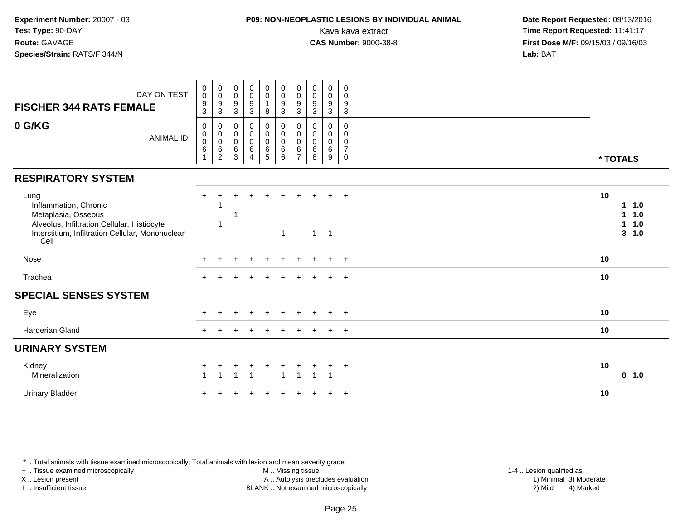# **P09: NON-NEOPLASTIC LESIONS BY INDIVIDUAL ANIMAL**

 **Date Report Requested:** 09/13/2016 Kava kava extract **Time Report Requested:** 11:41:17<br>**CAS Number:** 9000-38-8 **Time Report Requested:** 11:41:17 **First Dose M/F:** 09/15/03 / 09/16/03<br>**Lab:** BAT **Lab:** BAT

| DAY ON TEST<br><b>FISCHER 344 RATS FEMALE</b>                                                                                                                   | $\pmb{0}$<br>$\boldsymbol{0}$<br>$\boldsymbol{9}$<br>$\ensuremath{\mathsf{3}}$ | $\pmb{0}$<br>$\pmb{0}$<br>$\frac{9}{3}$                       | $\pmb{0}$<br>$\mathbf 0$<br>$\boldsymbol{9}$<br>$\mathbf{3}$ | $\begin{smallmatrix}0\0\0\9\end{smallmatrix}$<br>$\mathbf{3}$             | $\begin{matrix} 0 \\ 0 \\ 1 \end{matrix}$<br>$\bf 8$ | $\begin{smallmatrix}0\\0\end{smallmatrix}$<br>$\overline{9}$<br>$\ensuremath{\mathsf{3}}$ | 0<br>$\pmb{0}$<br>9<br>$\mathbf{3}$          | $\pmb{0}$<br>$\pmb{0}$<br>$\boldsymbol{9}$<br>$\mathbf{3}$ | $\begin{smallmatrix} 0\\0 \end{smallmatrix}$<br>$\overline{9}$<br>$\mathbf{3}$ | $\boldsymbol{0}$<br>$\mathbf 0$<br>9<br>$\mathbf{3}$   |                                                    |
|-----------------------------------------------------------------------------------------------------------------------------------------------------------------|--------------------------------------------------------------------------------|---------------------------------------------------------------|--------------------------------------------------------------|---------------------------------------------------------------------------|------------------------------------------------------|-------------------------------------------------------------------------------------------|----------------------------------------------|------------------------------------------------------------|--------------------------------------------------------------------------------|--------------------------------------------------------|----------------------------------------------------|
| 0 G/KG<br><b>ANIMAL ID</b>                                                                                                                                      | 0<br>$\mathbf 0$<br>$\pmb{0}$<br>6                                             | 0<br>$\boldsymbol{0}$<br>$\pmb{0}$<br>$\,6$<br>$\overline{2}$ | 0<br>$\boldsymbol{0}$<br>$\pmb{0}$<br>$\,6\,$<br>3           | $\begin{smallmatrix} 0\\0 \end{smallmatrix}$<br>$\pmb{0}$<br>$\,6\,$<br>4 | $_0^0$<br>0<br>$\,6\,$<br>$\overline{5}$             | 0<br>$\overline{0}$<br>$\pmb{0}$<br>$\,6$<br>6                                            | 0<br>0<br>$\mathbf 0$<br>6<br>$\overline{7}$ | 0<br>$\mathbf 0$<br>0<br>6<br>8                            | 0<br>$\mathbf 0$<br>$\mathbf 0$<br>$\,6\,$<br>9                                | 0<br>$\mathbf 0$<br>0<br>$\overline{7}$<br>$\mathbf 0$ | * TOTALS                                           |
| <b>RESPIRATORY SYSTEM</b>                                                                                                                                       |                                                                                |                                                               |                                                              |                                                                           |                                                      |                                                                                           |                                              |                                                            |                                                                                |                                                        |                                                    |
| Lung<br>Inflammation, Chronic<br>Metaplasia, Osseous<br>Alveolus, Infiltration Cellular, Histiocyte<br>Interstitium, Infiltration Cellular, Mononuclear<br>Cell | $+$                                                                            | -1<br>-1                                                      |                                                              |                                                                           | $\ddot{}$                                            | 1                                                                                         |                                              | $1 \quad$                                                  | $\pm$<br>$\overline{1}$                                                        | $+$                                                    | 10<br>1.0<br>1<br>1.0<br>1<br>1.0<br>1<br>1.0<br>3 |
| Nose                                                                                                                                                            |                                                                                |                                                               |                                                              |                                                                           |                                                      |                                                                                           |                                              |                                                            | $\ddot{}$                                                                      | $+$                                                    | 10                                                 |
| Trachea                                                                                                                                                         |                                                                                |                                                               |                                                              |                                                                           |                                                      |                                                                                           |                                              |                                                            |                                                                                | $+$                                                    | 10                                                 |
| <b>SPECIAL SENSES SYSTEM</b>                                                                                                                                    |                                                                                |                                                               |                                                              |                                                                           |                                                      |                                                                                           |                                              |                                                            |                                                                                |                                                        |                                                    |
| Eye                                                                                                                                                             |                                                                                |                                                               |                                                              | ÷.                                                                        | $\pm$                                                |                                                                                           |                                              | ÷.                                                         | $+$                                                                            | $+$                                                    | 10                                                 |
| <b>Harderian Gland</b>                                                                                                                                          |                                                                                |                                                               |                                                              |                                                                           | ÷                                                    |                                                                                           |                                              |                                                            | $\pm$                                                                          | $+$                                                    | 10                                                 |
| <b>URINARY SYSTEM</b>                                                                                                                                           |                                                                                |                                                               |                                                              |                                                                           |                                                      |                                                                                           |                                              |                                                            |                                                                                |                                                        |                                                    |
| Kidney<br>Mineralization                                                                                                                                        |                                                                                |                                                               |                                                              |                                                                           | +                                                    | 1                                                                                         | $\mathbf 1$                                  | 1                                                          | $\ddot{}$                                                                      | $+$                                                    | 10<br>8, 1.0                                       |
| <b>Urinary Bladder</b>                                                                                                                                          |                                                                                |                                                               |                                                              |                                                                           |                                                      |                                                                                           |                                              |                                                            |                                                                                | $+$                                                    | 10                                                 |

\* .. Total animals with tissue examined microscopically; Total animals with lesion and mean severity grade

+ .. Tissue examined microscopically

X .. Lesion present

I .. Insufficient tissue

M .. Missing tissue

Lesion present A .. Autolysis precludes evaluation 1) Minimal 3) Moderate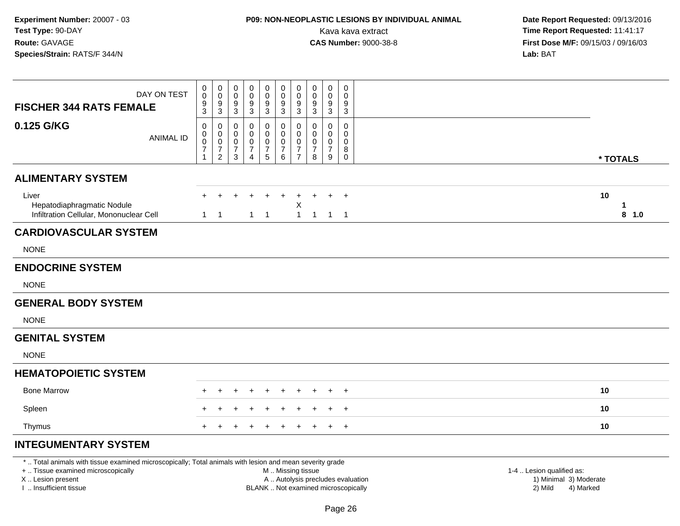# **P09: NON-NEOPLASTIC LESIONS BY INDIVIDUAL ANIMAL**

 **Date Report Requested:** 09/13/2016 Kava kava extract **Time Report Requested:** 11:41:17<br>**CAS Number:** 9000-38-8 **Time Report Requested:** 11:41:17 **First Dose M/F:** 09/15/03 / 09/16/03<br>**Lab:** BAT **Lab:** BAT

| DAY ON TEST<br><b>FISCHER 344 RATS FEMALE</b>                                  | 0<br>$\mathsf{O}\xspace$<br>$\frac{9}{3}$ | $\begin{smallmatrix} 0\\0 \end{smallmatrix}$<br>$\frac{9}{3}$                               | 0<br>$\pmb{0}$<br>$\boldsymbol{9}$<br>$\sqrt{3}$       | 0<br>0<br>9<br>3                                          | 0<br>$\ddot{\mathbf{0}}$<br>$\boldsymbol{9}$<br>$\ensuremath{\mathsf{3}}$ | 0<br>$\pmb{0}$<br>$\overline{9}$<br>$\mathbf{3}$              | 0<br>$\pmb{0}$<br>9<br>3                                               | 0<br>$\mathbf 0$<br>9<br>3                   | 0<br>0<br>9<br>$\mathbf{3}$        | 0<br>0<br>9<br>3                                 |    |            |
|--------------------------------------------------------------------------------|-------------------------------------------|---------------------------------------------------------------------------------------------|--------------------------------------------------------|-----------------------------------------------------------|---------------------------------------------------------------------------|---------------------------------------------------------------|------------------------------------------------------------------------|----------------------------------------------|------------------------------------|--------------------------------------------------|----|------------|
| 0.125 G/KG<br><b>ANIMAL ID</b>                                                 | 0<br>0<br>$\mathbf 0$<br>$\overline{7}$   | $\pmb{0}$<br>$\mathsf{O}\xspace$<br>$\ddot{\mathbf{0}}$<br>$\overline{7}$<br>$\overline{2}$ | 0<br>$\boldsymbol{0}$<br>$\frac{0}{7}$<br>$\mathbf{3}$ | 0<br>0<br>$\mathbf 0$<br>$\overline{7}$<br>$\overline{4}$ | $\pmb{0}$<br>$\pmb{0}$<br>$\pmb{0}$<br>$\overline{7}$<br>$\overline{5}$   | 0<br>$\mathsf{O}$<br>$\mathbf 0$<br>$\overline{7}$<br>$\,6\,$ | 0<br>$\boldsymbol{0}$<br>$\pmb{0}$<br>$\overline{7}$<br>$\overline{7}$ | 0<br>$\mathbf 0$<br>0<br>$\overline{7}$<br>8 | 0<br>0<br>0<br>$\overline{7}$<br>9 | $\mathbf 0$<br>$\Omega$<br>0<br>8<br>$\mathbf 0$ |    | * TOTALS   |
| <b>ALIMENTARY SYSTEM</b>                                                       |                                           |                                                                                             |                                                        |                                                           |                                                                           |                                                               |                                                                        |                                              |                                    |                                                  |    |            |
| Liver<br>Hepatodiaphragmatic Nodule<br>Infiltration Cellular, Mononuclear Cell |                                           | $1 \quad 1$                                                                                 |                                                        |                                                           | $1 \quad 1$                                                               |                                                               | $\ddot{}$<br>X<br>$\mathbf{1}$                                         | $\mathbf{1}$                                 |                                    | $+$<br>$1 \quad 1$                               | 10 | 1<br>8 1.0 |
| <b>CARDIOVASCULAR SYSTEM</b>                                                   |                                           |                                                                                             |                                                        |                                                           |                                                                           |                                                               |                                                                        |                                              |                                    |                                                  |    |            |
| <b>NONE</b>                                                                    |                                           |                                                                                             |                                                        |                                                           |                                                                           |                                                               |                                                                        |                                              |                                    |                                                  |    |            |
| <b>ENDOCRINE SYSTEM</b>                                                        |                                           |                                                                                             |                                                        |                                                           |                                                                           |                                                               |                                                                        |                                              |                                    |                                                  |    |            |
| <b>NONE</b>                                                                    |                                           |                                                                                             |                                                        |                                                           |                                                                           |                                                               |                                                                        |                                              |                                    |                                                  |    |            |
| <b>GENERAL BODY SYSTEM</b>                                                     |                                           |                                                                                             |                                                        |                                                           |                                                                           |                                                               |                                                                        |                                              |                                    |                                                  |    |            |
| <b>NONE</b>                                                                    |                                           |                                                                                             |                                                        |                                                           |                                                                           |                                                               |                                                                        |                                              |                                    |                                                  |    |            |
| <b>GENITAL SYSTEM</b>                                                          |                                           |                                                                                             |                                                        |                                                           |                                                                           |                                                               |                                                                        |                                              |                                    |                                                  |    |            |
| <b>NONE</b>                                                                    |                                           |                                                                                             |                                                        |                                                           |                                                                           |                                                               |                                                                        |                                              |                                    |                                                  |    |            |
| <b>HEMATOPOIETIC SYSTEM</b>                                                    |                                           |                                                                                             |                                                        |                                                           |                                                                           |                                                               |                                                                        |                                              |                                    |                                                  |    |            |
| <b>Bone Marrow</b>                                                             |                                           |                                                                                             |                                                        |                                                           |                                                                           |                                                               |                                                                        |                                              |                                    | $+$                                              |    | 10         |
| Spleen                                                                         |                                           |                                                                                             |                                                        |                                                           |                                                                           |                                                               |                                                                        |                                              |                                    | $+$                                              |    | 10         |
| Thymus                                                                         |                                           |                                                                                             |                                                        |                                                           |                                                                           |                                                               |                                                                        |                                              |                                    | $\overline{+}$                                   |    | 10         |
| <b>INTEGUMENTARY SYSTEM</b>                                                    |                                           |                                                                                             |                                                        |                                                           |                                                                           |                                                               |                                                                        |                                              |                                    |                                                  |    |            |

\* .. Total animals with tissue examined microscopically; Total animals with lesion and mean severity grade

+ .. Tissue examined microscopically

X .. Lesion present

I .. Insufficient tissue

M .. Missing tissue

- A .. Autolysis precludes evaluation
- BLANK .. Not examined microscopically 2) Mild 4) Marked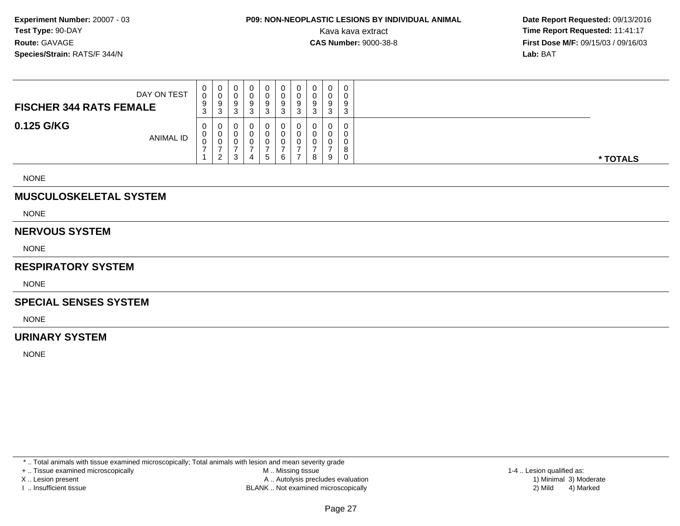### **P09: NON-NEOPLASTIC LESIONS BY INDIVIDUAL ANIMAL**Kava kava extract **Time Report Requested:** 11:41:17<br>**CAS Number:** 9000-38-8 **Time Report Requested:** 11:41:17

 **Date Report Requested:** 09/13/2016 **First Dose M/F:** 09/15/03 / 09/16/03<br>**Lab:** BAT **Lab:** BAT

| DAY ON TEST<br><b>FISCHER 344 RATS FEMALE</b> | 0<br>0<br>9<br>3 | $\cup$<br>-9<br>3 | 0<br>v<br>9<br>ັ      | v<br>a<br>ີ<br>J |   | v<br>ν<br>9<br>ں | ◡<br>u<br>9<br>3 | 0<br>0<br>9<br>3        | 0<br>0<br>9<br>3           | $\mathbf{0}$<br>9<br>◠<br>J |          |
|-----------------------------------------------|------------------|-------------------|-----------------------|------------------|---|------------------|------------------|-------------------------|----------------------------|-----------------------------|----------|
| 0.125 G/KG<br><b>ANIMAL ID</b>                | 0<br>υ<br>ν      | 0<br>U            | 0<br>v<br>U<br>ົ<br>J |                  | 5 | u<br>6           | 0<br>υ           | $\Omega$<br>∩<br>0<br>8 | $\mathbf 0$<br>0<br>0<br>9 | $\Omega$<br>0               | * TOTALS |

NONE

### **MUSCULOSKELETAL SYSTEM**

NONE

#### **NERVOUS SYSTEM**

NONE

#### **RESPIRATORY SYSTEM**

NONE

#### **SPECIAL SENSES SYSTEM**

NONE

### **URINARY SYSTEM**

NONE

\* .. Total animals with tissue examined microscopically; Total animals with lesion and mean severity grade

+ .. Tissue examined microscopically

X .. Lesion present

I .. Insufficient tissue

 M .. Missing tissueA .. Autolysis precludes evaluation

BLANK .. Not examined microscopically 2) Mild 4) Marked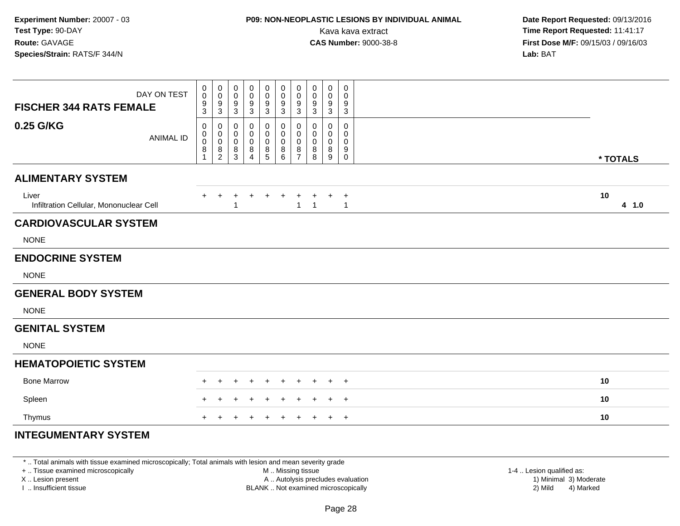### **P09: NON-NEOPLASTIC LESIONS BY INDIVIDUAL ANIMAL**Kava kava extract **Time Report Requested:** 11:41:17<br>**CAS Number:** 9000-38-8 **Time Report Requested:** 11:41:17

 **Date Report Requested:** 09/13/2016 **First Dose M/F:** 09/15/03 / 09/16/03<br>**Lab:** BAT **Lab:** BAT

| DAY ON TEST<br><b>FISCHER 344 RATS FEMALE</b>    | 0<br>$\mathsf{O}\xspace$<br>$\boldsymbol{9}$<br>3  | 0<br>$\pmb{0}$<br>$\boldsymbol{9}$<br>$\sqrt{3}$                                | 0<br>0<br>9<br>$\mathbf{3}$                | 0<br>0<br>9<br>$\sqrt{3}$                    | 0<br>$\pmb{0}$<br>$\boldsymbol{9}$<br>$\sqrt{3}$ | $\mathbf 0$<br>$\mathbf 0$<br>$\overline{9}$<br>$\ensuremath{\mathsf{3}}$ | $\pmb{0}$<br>$\mathbf 0$<br>9<br>$\sqrt{3}$                      | $\pmb{0}$<br>0<br>9<br>3 | $\mathbf 0$<br>0<br>$9\,$<br>3 | 0<br>$\mathbf 0$<br>9<br>$\mathbf{3}$ |          |       |
|--------------------------------------------------|----------------------------------------------------|---------------------------------------------------------------------------------|--------------------------------------------|----------------------------------------------|--------------------------------------------------|---------------------------------------------------------------------------|------------------------------------------------------------------|--------------------------|--------------------------------|---------------------------------------|----------|-------|
| 0.25 G/KG<br><b>ANIMAL ID</b>                    | 0<br>$_{\rm 0}^{\rm 0}$<br>$\bf 8$<br>$\mathbf{1}$ | 0<br>$\mathbf 0$<br>$\pmb{0}$<br>$\begin{smallmatrix} 8 \\ 2 \end{smallmatrix}$ | 0<br>0<br>$\mathbf 0$<br>8<br>$\mathbf{3}$ | $\mathbf 0$<br>0<br>0<br>8<br>$\overline{4}$ | 0<br>0<br>$\pmb{0}$<br>$^8$ 5                    | 0<br>0<br>$\mathbf 0$<br>$_{6}^{8}$                                       | $\mathbf 0$<br>$\mathbf 0$<br>$\mathbf 0$<br>8<br>$\overline{7}$ | 0<br>0<br>0<br>8<br>8    | 0<br>0<br>0<br>8<br>9          | 0<br>0<br>0<br>9<br>$\mathsf{O}$      | * TOTALS |       |
| <b>ALIMENTARY SYSTEM</b>                         |                                                    |                                                                                 |                                            |                                              |                                                  |                                                                           |                                                                  |                          |                                |                                       |          |       |
| Liver<br>Infiltration Cellular, Mononuclear Cell |                                                    |                                                                                 | $\ddot{}$<br>-1                            | $+$                                          | $\ddot{}$                                        | $+$                                                                       | $\ddot{}$<br>$\mathbf{1}$                                        | +<br>$\mathbf{1}$        |                                | $^{+}$<br>$\mathbf{1}$                | 10       | 4 1.0 |
| <b>CARDIOVASCULAR SYSTEM</b>                     |                                                    |                                                                                 |                                            |                                              |                                                  |                                                                           |                                                                  |                          |                                |                                       |          |       |
| <b>NONE</b>                                      |                                                    |                                                                                 |                                            |                                              |                                                  |                                                                           |                                                                  |                          |                                |                                       |          |       |
| <b>ENDOCRINE SYSTEM</b>                          |                                                    |                                                                                 |                                            |                                              |                                                  |                                                                           |                                                                  |                          |                                |                                       |          |       |
| <b>NONE</b>                                      |                                                    |                                                                                 |                                            |                                              |                                                  |                                                                           |                                                                  |                          |                                |                                       |          |       |
| <b>GENERAL BODY SYSTEM</b>                       |                                                    |                                                                                 |                                            |                                              |                                                  |                                                                           |                                                                  |                          |                                |                                       |          |       |
| <b>NONE</b>                                      |                                                    |                                                                                 |                                            |                                              |                                                  |                                                                           |                                                                  |                          |                                |                                       |          |       |
| <b>GENITAL SYSTEM</b>                            |                                                    |                                                                                 |                                            |                                              |                                                  |                                                                           |                                                                  |                          |                                |                                       |          |       |
| <b>NONE</b>                                      |                                                    |                                                                                 |                                            |                                              |                                                  |                                                                           |                                                                  |                          |                                |                                       |          |       |
| <b>HEMATOPOIETIC SYSTEM</b>                      |                                                    |                                                                                 |                                            |                                              |                                                  |                                                                           |                                                                  |                          |                                |                                       |          |       |
| <b>Bone Marrow</b>                               |                                                    |                                                                                 |                                            |                                              | $\div$                                           | $\div$                                                                    | $\pm$                                                            | $\pm$                    | ÷.                             | $\overline{+}$                        | 10       |       |
| Spleen                                           |                                                    |                                                                                 |                                            |                                              |                                                  |                                                                           |                                                                  |                          | ÷                              | $+$                                   | 10       |       |
| Thymus                                           |                                                    |                                                                                 |                                            |                                              | +                                                | $\pm$                                                                     | $\pm$                                                            | $\pm$                    | $\pm$                          | $+$                                   | 10       |       |
| <b>INTEGUMENTARY SYSTEM</b>                      |                                                    |                                                                                 |                                            |                                              |                                                  |                                                                           |                                                                  |                          |                                |                                       |          |       |

\* .. Total animals with tissue examined microscopically; Total animals with lesion and mean severity grade

+ .. Tissue examined microscopically

X .. Lesion present

I .. Insufficient tissue

 M .. Missing tissueA .. Autolysis precludes evaluation

 1-4 .. Lesion qualified as: BLANK .. Not examined microscopically 2) Mild 4) Marked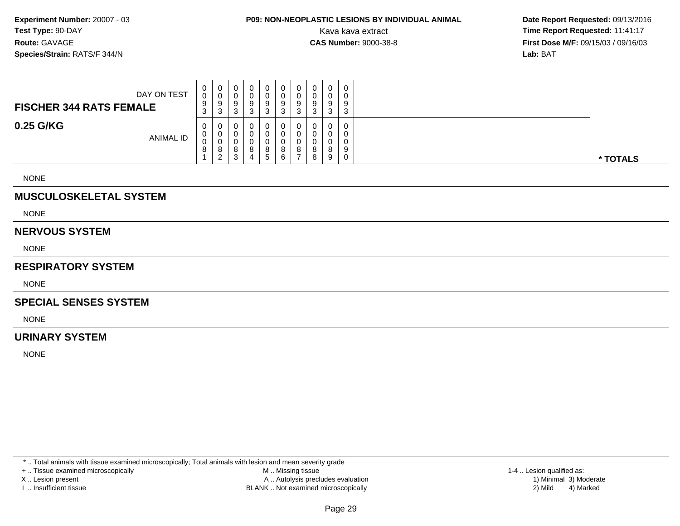# **P09: NON-NEOPLASTIC LESIONS BY INDIVIDUAL ANIMAL**

 **Date Report Requested:** 09/13/2016 Kava kava extract **Time Report Requested:** 11:41:17<br>**CAS Number:** 9000-38-8 **Time Report Requested:** 11:41:17 **First Dose M/F:** 09/15/03 / 09/16/03<br>**Lab:** BAT **Lab:** BAT

| DAY ON TEST<br><b>FISCHER 344 RATS FEMALE</b> | $\mathbf{0}$<br>0<br>9<br>ົ<br>J. | <b>U</b><br>◡<br>9<br>3           | 0<br>υ<br>9<br>n<br>ບ                 | O | $\mathbf{0}$<br>0<br>9<br>3 | υ<br>9<br>ົ      | 0<br>0<br>9<br>3 | 0<br>0<br>9<br>ົ<br>J. | ാ<br>u        | ت |
|-----------------------------------------------|-----------------------------------|-----------------------------------|---------------------------------------|---|-----------------------------|------------------|------------------|------------------------|---------------|---|
| 0.25 G/KG<br><b>ANIMAL ID</b>                 | 0<br>0<br>0<br>$\circ$<br>$\circ$ | U<br>v<br>v<br>8<br>2<br><u>_</u> | 0<br>υ<br>υ<br>8<br><sup>o</sup><br>ບ | 4 | 0<br>0<br>0<br>8<br>5       | 0<br>o<br>o<br>6 | 0<br>0<br>0<br>8 | 0<br>0<br>0<br>8<br>8  | $\Omega$<br>9 | 9 |

NONE

### **MUSCULOSKELETAL SYSTEM**

NONE

#### **NERVOUS SYSTEM**

NONE

#### **RESPIRATORY SYSTEM**

NONE

#### **SPECIAL SENSES SYSTEM**

NONE

### **URINARY SYSTEM**

NONE

\* .. Total animals with tissue examined microscopically; Total animals with lesion and mean severity grade

+ .. Tissue examined microscopically

X .. Lesion present

I .. Insufficient tissue

 M .. Missing tissueA .. Autolysis precludes evaluation

BLANK .. Not examined microscopically 2) Mild 4) Marked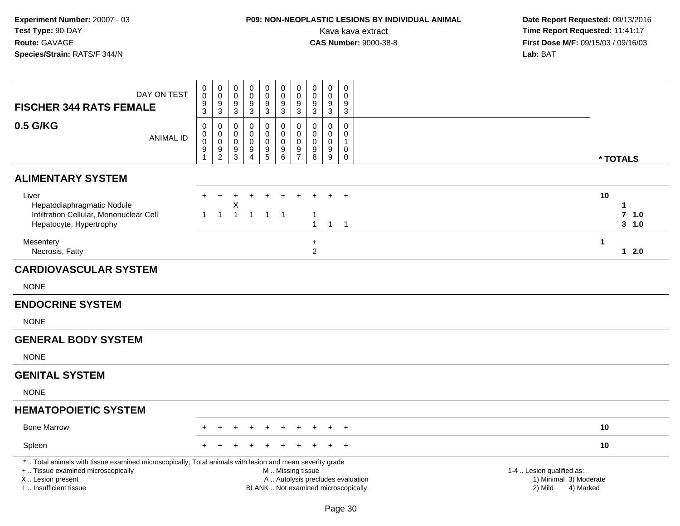# **P09: NON-NEOPLASTIC LESIONS BY INDIVIDUAL ANIMAL**

| DAY ON TEST<br><b>FISCHER 344 RATS FEMALE</b>                                                                                                                                                | $\pmb{0}$<br>$\mathbf 0$<br>9<br>$\overline{3}$ | $\mathbf 0$<br>$\mathbf 0$<br>$\frac{9}{3}$                 | 0<br>$\mathbf 0$<br>9<br>3             | $\boldsymbol{0}$<br>$\mathbf 0$<br>$\boldsymbol{9}$<br>$\overline{3}$ | $\pmb{0}$<br>$\mathbf 0$<br>9<br>$\overline{3}$          | $\pmb{0}$<br>$\mathsf{O}\xspace$<br>$\frac{9}{3}$                                             | $\pmb{0}$<br>$\mathbf 0$<br>$9\,$<br>$\overline{3}$        | $\mathbf 0$<br>$\mathbf 0$<br>9<br>$\sqrt{3}$       | $\mathbf 0$<br>$\mathbf 0$<br>$9\,$<br>$\overline{3}$ | $\pmb{0}$<br>$\mathbf 0$<br>9<br>$\mathbf{3}$       |                                                                             |                           |
|----------------------------------------------------------------------------------------------------------------------------------------------------------------------------------------------|-------------------------------------------------|-------------------------------------------------------------|----------------------------------------|-----------------------------------------------------------------------|----------------------------------------------------------|-----------------------------------------------------------------------------------------------|------------------------------------------------------------|-----------------------------------------------------|-------------------------------------------------------|-----------------------------------------------------|-----------------------------------------------------------------------------|---------------------------|
| 0.5 G/KG<br><b>ANIMAL ID</b>                                                                                                                                                                 | $\pmb{0}$<br>0<br>$\pmb{0}$<br>9<br>1           | $\mathbf 0$<br>$\boldsymbol{0}$<br>$\,0\,$<br>$\frac{9}{2}$ | $\Omega$<br>0<br>$\mathbf 0$<br>9<br>3 | $\mathbf 0$<br>$\mathbf 0$<br>$\pmb{0}$<br>9<br>$\overline{4}$        | $\mathbf 0$<br>$\mathbf 0$<br>$\pmb{0}$<br>$\frac{9}{5}$ | $\pmb{0}$<br>$\mathbf 0$<br>$\pmb{0}$<br>$\begin{array}{c} 9 \\ 6 \end{array}$                | $\mathbf 0$<br>$\mathbf 0$<br>$\mathbf 0$<br>$\frac{9}{7}$ | $\mathbf 0$<br>$\mathbf 0$<br>$\mathbf 0$<br>9<br>8 | $\mathbf 0$<br>$\mathbf 0$<br>$\mathbf 0$<br>9<br>9   | $\mathbf 0$<br>$\mathbf 0$<br>1<br>0<br>$\mathbf 0$ |                                                                             | * TOTALS                  |
| <b>ALIMENTARY SYSTEM</b>                                                                                                                                                                     |                                                 |                                                             |                                        |                                                                       |                                                          |                                                                                               |                                                            |                                                     |                                                       |                                                     |                                                                             |                           |
| Liver<br>Hepatodiaphragmatic Nodule<br>Infiltration Cellular, Mononuclear Cell<br>Hepatocyte, Hypertrophy                                                                                    | $\mathbf{1}$                                    | $\mathbf{1}$                                                | Χ<br>$\mathbf{1}$                      | $\overline{1}$                                                        | $\overline{1}$                                           | $\overline{1}$                                                                                |                                                            | -1<br>$\overline{1}$                                |                                                       | $\ddot{}$<br>$1 \quad 1$                            | 10                                                                          | 1<br>$7$ 1.0<br>$3 - 1.0$ |
| Mesentery<br>Necrosis, Fatty                                                                                                                                                                 |                                                 |                                                             |                                        |                                                                       |                                                          |                                                                                               |                                                            | $\ddot{}$<br>$\overline{2}$                         |                                                       |                                                     | $\mathbf 1$                                                                 | $12.0$                    |
| <b>CARDIOVASCULAR SYSTEM</b>                                                                                                                                                                 |                                                 |                                                             |                                        |                                                                       |                                                          |                                                                                               |                                                            |                                                     |                                                       |                                                     |                                                                             |                           |
| <b>NONE</b>                                                                                                                                                                                  |                                                 |                                                             |                                        |                                                                       |                                                          |                                                                                               |                                                            |                                                     |                                                       |                                                     |                                                                             |                           |
| <b>ENDOCRINE SYSTEM</b>                                                                                                                                                                      |                                                 |                                                             |                                        |                                                                       |                                                          |                                                                                               |                                                            |                                                     |                                                       |                                                     |                                                                             |                           |
| <b>NONE</b>                                                                                                                                                                                  |                                                 |                                                             |                                        |                                                                       |                                                          |                                                                                               |                                                            |                                                     |                                                       |                                                     |                                                                             |                           |
| <b>GENERAL BODY SYSTEM</b>                                                                                                                                                                   |                                                 |                                                             |                                        |                                                                       |                                                          |                                                                                               |                                                            |                                                     |                                                       |                                                     |                                                                             |                           |
| <b>NONE</b>                                                                                                                                                                                  |                                                 |                                                             |                                        |                                                                       |                                                          |                                                                                               |                                                            |                                                     |                                                       |                                                     |                                                                             |                           |
| <b>GENITAL SYSTEM</b>                                                                                                                                                                        |                                                 |                                                             |                                        |                                                                       |                                                          |                                                                                               |                                                            |                                                     |                                                       |                                                     |                                                                             |                           |
| <b>NONE</b>                                                                                                                                                                                  |                                                 |                                                             |                                        |                                                                       |                                                          |                                                                                               |                                                            |                                                     |                                                       |                                                     |                                                                             |                           |
| <b>HEMATOPOIETIC SYSTEM</b>                                                                                                                                                                  |                                                 |                                                             |                                        |                                                                       |                                                          |                                                                                               |                                                            |                                                     |                                                       |                                                     |                                                                             |                           |
| <b>Bone Marrow</b>                                                                                                                                                                           |                                                 |                                                             |                                        |                                                                       |                                                          |                                                                                               |                                                            |                                                     |                                                       | $\ddot{}$                                           | 10                                                                          |                           |
| Spleen                                                                                                                                                                                       |                                                 |                                                             |                                        |                                                                       |                                                          |                                                                                               |                                                            |                                                     |                                                       | $\ddot{}$                                           | 10                                                                          |                           |
| *  Total animals with tissue examined microscopically; Total animals with lesion and mean severity grade<br>+  Tissue examined microscopically<br>X Lesion present<br>I. Insufficient tissue |                                                 |                                                             |                                        |                                                                       |                                                          | M  Missing tissue<br>A  Autolysis precludes evaluation<br>BLANK  Not examined microscopically |                                                            |                                                     |                                                       |                                                     | 1-4  Lesion qualified as:<br>1) Minimal 3) Moderate<br>2) Mild<br>4) Marked |                           |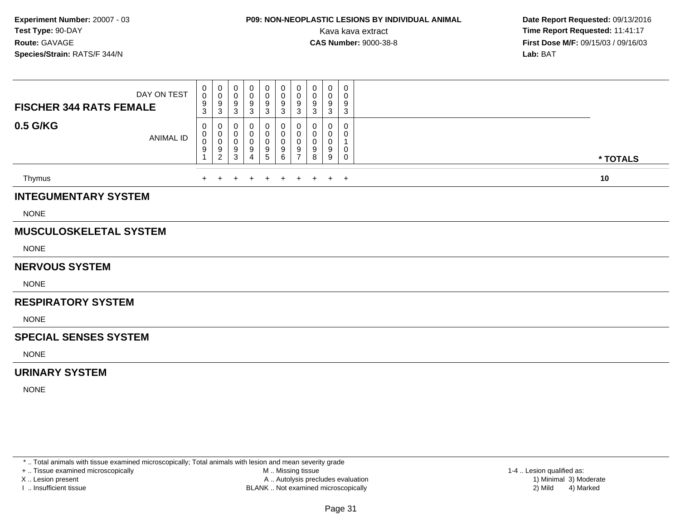## **P09: NON-NEOPLASTIC LESIONS BY INDIVIDUAL ANIMAL**

 **Date Report Requested:** 09/13/2016 Kava kava extract **Time Report Requested:** 11:41:17<br>**CAS Number:** 9000-38-8 **Time Report Requested:** 11:41:17 **First Dose M/F:** 09/15/03 / 09/16/03<br>Lab: BAT **Lab:** BAT

| <b>FISCHER 344 RATS FEMALE</b> | DAY ON TEST      | 0<br>$\mathsf 0$<br>$\frac{9}{3}$ | 0<br>$\mathbf 0$<br>9<br>$\mathbf{3}$              | 0<br>0<br>9<br>3      | 0<br>0<br>9<br>3 | 0<br>0<br>9<br>3      | 0<br>0<br>9<br>3      | 0<br>0<br>$9\,$<br>$\mathbf{3}$            | 0<br>0<br>9<br>3      | 0<br>0<br>9<br>3      | 0<br>0<br>9<br>3      |          |
|--------------------------------|------------------|-----------------------------------|----------------------------------------------------|-----------------------|------------------|-----------------------|-----------------------|--------------------------------------------|-----------------------|-----------------------|-----------------------|----------|
| 0.5 G/KG                       | <b>ANIMAL ID</b> | 0<br>0<br>0<br>9                  | 0<br>$\pmb{0}$<br>$\pmb{0}$<br>9<br>$\overline{c}$ | 0<br>0<br>0<br>9<br>3 | 0<br>0<br>9<br>4 | 0<br>0<br>0<br>9<br>5 | 0<br>0<br>0<br>9<br>6 | 0<br>$\pmb{0}$<br>0<br>9<br>$\overline{7}$ | 0<br>0<br>0<br>9<br>8 | 0<br>0<br>0<br>9<br>9 | 0<br>0<br>1<br>0<br>0 | * TOTALS |
| Thymus                         |                  |                                   |                                                    |                       |                  | $\ddot{}$             | $\ddot{}$             | $\pm$                                      | $+$                   | $+$                   | $+$                   | 10       |
| <b>INTEGUMENTARY SYSTEM</b>    |                  |                                   |                                                    |                       |                  |                       |                       |                                            |                       |                       |                       |          |
| <b>NONE</b>                    |                  |                                   |                                                    |                       |                  |                       |                       |                                            |                       |                       |                       |          |
| <b>MUSCULOSKELETAL SYSTEM</b>  |                  |                                   |                                                    |                       |                  |                       |                       |                                            |                       |                       |                       |          |
| <b>NONE</b>                    |                  |                                   |                                                    |                       |                  |                       |                       |                                            |                       |                       |                       |          |
| <b>NERVOUS SYSTEM</b>          |                  |                                   |                                                    |                       |                  |                       |                       |                                            |                       |                       |                       |          |
| <b>NONE</b>                    |                  |                                   |                                                    |                       |                  |                       |                       |                                            |                       |                       |                       |          |
| <b>RESPIRATORY SYSTEM</b>      |                  |                                   |                                                    |                       |                  |                       |                       |                                            |                       |                       |                       |          |
| <b>NONE</b>                    |                  |                                   |                                                    |                       |                  |                       |                       |                                            |                       |                       |                       |          |
| <b>SPECIAL SENSES SYSTEM</b>   |                  |                                   |                                                    |                       |                  |                       |                       |                                            |                       |                       |                       |          |
| <b>NONE</b>                    |                  |                                   |                                                    |                       |                  |                       |                       |                                            |                       |                       |                       |          |
| <b>URINARY SYSTEM</b>          |                  |                                   |                                                    |                       |                  |                       |                       |                                            |                       |                       |                       |          |

NONE

\* .. Total animals with tissue examined microscopically; Total animals with lesion and mean severity grade

+ .. Tissue examined microscopically

X .. Lesion present

I .. Insufficient tissue

 M .. Missing tissueA .. Autolysis precludes evaluation

BLANK .. Not examined microscopically 2) Mild 4) Marked

1-4 .. Lesion qualified as:<br>1) Minimal 3) Moderate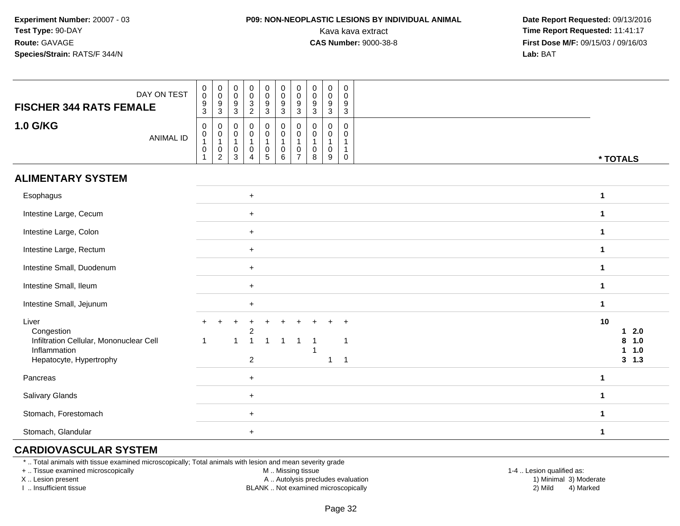### **P09: NON-NEOPLASTIC LESIONS BY INDIVIDUAL ANIMAL**

 **Date Report Requested:** 09/13/2016 Kava kava extract **Time Report Requested:** 11:41:17<br>**CAS Number:** 9000-38-8 **Time Report Requested:** 11:41:17 **First Dose M/F:** 09/15/03 / 09/16/03<br>**Lab:** BAT **Lab:** BAT

| DAY ON TEST<br><b>FISCHER 344 RATS FEMALE</b><br>1.0 G/KG                                                 | $\begin{matrix} 0 \\ 0 \\ 3 \\ 2 \end{matrix}$<br>$\pmb{0}$<br>$\mathbf 0$<br>$\mathbf 0$<br>$\pmb{0}$<br>$\mathbf 0$<br>$\mathbf 0$<br>$\pmb{0}$<br>$\mathbf 0$<br>0<br>$\ddot{\mathbf{0}}$<br>$\overline{0}$<br>$\ddot{\mathbf{0}}$<br>$\ddot{\mathbf{0}}$<br>$\pmb{0}$<br>$\mathbf 0$<br>$\pmb{0}$<br>$\mathbf 0$<br>$\mathbf 0$<br>$\frac{9}{3}$<br>$\frac{9}{3}$<br>$^9_3$<br>$\frac{9}{3}$<br>$\frac{9}{3}$<br>$\boldsymbol{9}$<br>$\boldsymbol{9}$<br>9<br>9<br>$\mathfrak{Z}$<br>$\sqrt{3}$<br>3<br>3<br>$\mathbf 0$<br>$\mathbf 0$<br>$\mathbf 0$<br>0<br>$\mathbf 0$<br>0<br>$\mathbf 0$<br>$\mathbf 0$<br>$\mathbf 0$<br>$\mathbf 0$ |                                                               |
|-----------------------------------------------------------------------------------------------------------|-------------------------------------------------------------------------------------------------------------------------------------------------------------------------------------------------------------------------------------------------------------------------------------------------------------------------------------------------------------------------------------------------------------------------------------------------------------------------------------------------------------------------------------------------------------------------------------------------------------------------------------------------|---------------------------------------------------------------|
| <b>ANIMAL ID</b>                                                                                          | $\mathbf 0$<br>$\mathbf 0$<br>$\overline{0}$<br>$\mathbf 0$<br>0<br>0<br>0<br>0<br>$\Omega$<br>0<br>$\overline{1}$<br>$\mathbf{1}$<br>$\mathbf{1}$<br>$\overline{1}$<br>$\mathbf{1}$<br>$\overline{1}$<br>1<br>$\mathbf{1}$<br>$\mathsf 0$<br>$\pmb{0}$<br>$\pmb{0}$<br>$\mathbf 0$<br>$\pmb{0}$<br>$\pmb{0}$<br>$\pmb{0}$<br>0<br>0<br>$\overline{1}$<br>$\overline{2}$<br>$\mathbf{3}$<br>$\sqrt{5}$<br>6<br>$\overline{7}$<br>8<br>9<br>$\mathbf 0$<br>1<br>4                                                                                                                                                                                | * TOTALS                                                      |
| <b>ALIMENTARY SYSTEM</b>                                                                                  |                                                                                                                                                                                                                                                                                                                                                                                                                                                                                                                                                                                                                                                 |                                                               |
| Esophagus                                                                                                 | $+$                                                                                                                                                                                                                                                                                                                                                                                                                                                                                                                                                                                                                                             | $\mathbf 1$                                                   |
| Intestine Large, Cecum                                                                                    | $+$                                                                                                                                                                                                                                                                                                                                                                                                                                                                                                                                                                                                                                             | $\mathbf 1$                                                   |
| Intestine Large, Colon                                                                                    | $+$                                                                                                                                                                                                                                                                                                                                                                                                                                                                                                                                                                                                                                             | $\mathbf 1$                                                   |
| Intestine Large, Rectum                                                                                   | $+$                                                                                                                                                                                                                                                                                                                                                                                                                                                                                                                                                                                                                                             | $\mathbf{1}$                                                  |
| Intestine Small, Duodenum                                                                                 | $+$                                                                                                                                                                                                                                                                                                                                                                                                                                                                                                                                                                                                                                             | $\mathbf{1}$                                                  |
| Intestine Small, Ileum                                                                                    | $+$                                                                                                                                                                                                                                                                                                                                                                                                                                                                                                                                                                                                                                             | $\mathbf{1}$                                                  |
| Intestine Small, Jejunum                                                                                  | $+$                                                                                                                                                                                                                                                                                                                                                                                                                                                                                                                                                                                                                                             | $\mathbf 1$                                                   |
| Liver<br>Congestion<br>Infiltration Cellular, Mononuclear Cell<br>Inflammation<br>Hepatocyte, Hypertrophy | $\overline{2}$<br>$\overline{1}$<br>$\overline{1}$<br>$\mathbf{1}$<br>$\overline{\mathbf{1}}$<br>$\mathbf{1}$<br>$\overline{2}$<br>$\overline{1}$                                                                                                                                                                                                                                                                                                                                                                                                                                                                                               | 10<br>2.0<br>$\mathbf 1$<br>8<br>1.0<br>1.0<br>1<br>$3 \t1.3$ |
| Pancreas                                                                                                  | $+$                                                                                                                                                                                                                                                                                                                                                                                                                                                                                                                                                                                                                                             | $\mathbf 1$                                                   |
| <b>Salivary Glands</b>                                                                                    | $+$                                                                                                                                                                                                                                                                                                                                                                                                                                                                                                                                                                                                                                             | $\mathbf{1}$                                                  |
| Stomach, Forestomach                                                                                      | $+$                                                                                                                                                                                                                                                                                                                                                                                                                                                                                                                                                                                                                                             | $\mathbf 1$                                                   |
| Stomach, Glandular                                                                                        | $+$                                                                                                                                                                                                                                                                                                                                                                                                                                                                                                                                                                                                                                             | $\mathbf 1$                                                   |

### **CARDIOVASCULAR SYSTEM**

\* .. Total animals with tissue examined microscopically; Total animals with lesion and mean severity grade

+ .. Tissue examined microscopically

X .. Lesion present

I .. Insufficient tissue

M .. Missing tissue

A .. Autolysis precludes evaluation

 1-4 .. Lesion qualified as: BLANK .. Not examined microscopically 2) Mild 4) Marked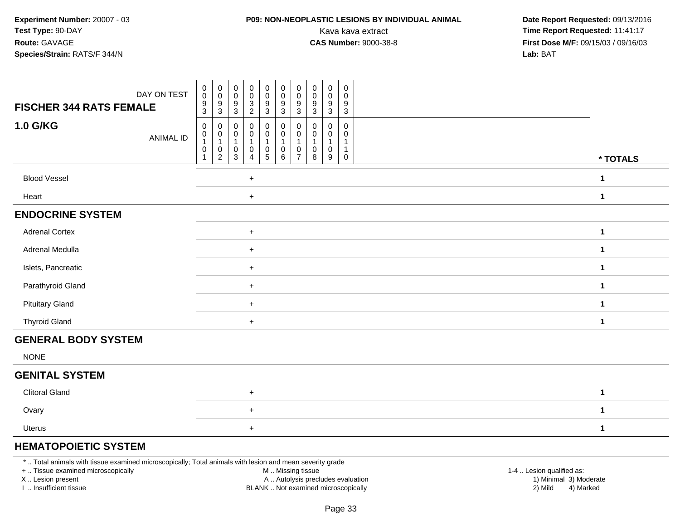### **P09: NON-NEOPLASTIC LESIONS BY INDIVIDUAL ANIMAL**

 **Date Report Requested:** 09/13/2016 Kava kava extract **Time Report Requested:** 11:41:17<br>**CAS Number:** 9000-38-8 **Time Report Requested:** 11:41:17 **First Dose M/F:** 09/15/03 / 09/16/03<br>**Lab:** BAT **Lab:** BAT

| DAY ON TEST<br><b>FISCHER 344 RATS FEMALE</b> | $\begin{smallmatrix} 0\\0 \end{smallmatrix}$<br>$_{\rm 0}^{\rm 0}$<br>$\begin{smallmatrix} 0\\0 \end{smallmatrix}$<br>$\begin{smallmatrix} 0\\0 \end{smallmatrix}$<br>$\begin{smallmatrix} 0\\0 \end{smallmatrix}$<br>$\begin{smallmatrix}0\0\0\end{smallmatrix}$<br>$\mathbf 0$<br>$\pmb{0}$<br>$\mathbf 0$<br>$_{\rm 0}^{\rm 0}$<br>$\bar{0}$<br>$\mathbf 0$<br>0<br>$^9_3$<br>$\frac{3}{2}$<br>$\frac{9}{3}$<br>$\frac{9}{3}$<br>$\boldsymbol{9}$<br>9<br>$\frac{9}{3}$<br>9<br>9<br>9                                                                                                                                                      |                      |
|-----------------------------------------------|------------------------------------------------------------------------------------------------------------------------------------------------------------------------------------------------------------------------------------------------------------------------------------------------------------------------------------------------------------------------------------------------------------------------------------------------------------------------------------------------------------------------------------------------------------------------------------------------------------------------------------------------|----------------------|
| <b>1.0 G/KG</b><br><b>ANIMAL ID</b>           | $\overline{3}$<br>$\overline{3}$<br>$\overline{3}$<br>$\mathsf 3$<br>$\mathbf{3}$<br>$\pmb{0}$<br>0<br>$\mathbf 0$<br>0<br>$\begin{smallmatrix} 0\\0 \end{smallmatrix}$<br>0<br>0<br>0<br>0<br>0<br>$\mathsf{O}\xspace$<br>$\mathbf 0$<br>$\pmb{0}$<br>$\mathbf 0$<br>$\mathbf 0$<br>$\mathbf 0$<br>0<br>0<br>0<br>$\mathbf{1}$<br>$\mathbf{1}$<br>$\mathbf{1}$<br>$\mathbf{1}$<br>$\mathbf{1}$<br>$\mathbf{1}$<br>$\mathbf{1}$<br>$\mathbf{1}$<br>$\pmb{0}$<br>$\boldsymbol{0}$<br>0<br>$\begin{array}{c} 0 \\ 5 \end{array}$<br>$\mathbf 0$<br>0<br>0<br>0<br>$\mathbf{1}$<br>0<br>$\overline{2}$<br>$\overline{4}$<br>6<br>3<br>8<br>9<br>0 | * TOTALS             |
| <b>Blood Vessel</b>                           | $\ddot{}$                                                                                                                                                                                                                                                                                                                                                                                                                                                                                                                                                                                                                                      | 1                    |
| Heart                                         | $+$                                                                                                                                                                                                                                                                                                                                                                                                                                                                                                                                                                                                                                            | $\mathbf{1}$         |
| <b>ENDOCRINE SYSTEM</b>                       |                                                                                                                                                                                                                                                                                                                                                                                                                                                                                                                                                                                                                                                |                      |
| <b>Adrenal Cortex</b>                         | $\ddot{}$                                                                                                                                                                                                                                                                                                                                                                                                                                                                                                                                                                                                                                      | 1                    |
| Adrenal Medulla                               | $\ddot{}$                                                                                                                                                                                                                                                                                                                                                                                                                                                                                                                                                                                                                                      | 1                    |
| Islets, Pancreatic                            | $+$                                                                                                                                                                                                                                                                                                                                                                                                                                                                                                                                                                                                                                            | $\blacktriangleleft$ |
| Parathyroid Gland                             | $+$                                                                                                                                                                                                                                                                                                                                                                                                                                                                                                                                                                                                                                            | 1                    |
| <b>Pituitary Gland</b>                        | $\ddot{}$                                                                                                                                                                                                                                                                                                                                                                                                                                                                                                                                                                                                                                      | $\blacktriangleleft$ |
| <b>Thyroid Gland</b>                          | $+$                                                                                                                                                                                                                                                                                                                                                                                                                                                                                                                                                                                                                                            | $\mathbf 1$          |
| <b>GENERAL BODY SYSTEM</b>                    |                                                                                                                                                                                                                                                                                                                                                                                                                                                                                                                                                                                                                                                |                      |
| <b>NONE</b>                                   |                                                                                                                                                                                                                                                                                                                                                                                                                                                                                                                                                                                                                                                |                      |
| <b>GENITAL SYSTEM</b>                         |                                                                                                                                                                                                                                                                                                                                                                                                                                                                                                                                                                                                                                                |                      |
| <b>Clitoral Gland</b>                         | $\ddot{}$                                                                                                                                                                                                                                                                                                                                                                                                                                                                                                                                                                                                                                      | $\blacktriangleleft$ |
| Ovary                                         | $+$                                                                                                                                                                                                                                                                                                                                                                                                                                                                                                                                                                                                                                            | 1                    |
| Uterus                                        | $\ddot{}$                                                                                                                                                                                                                                                                                                                                                                                                                                                                                                                                                                                                                                      | 1                    |

### **HEMATOPOIETIC SYSTEM**

\* .. Total animals with tissue examined microscopically; Total animals with lesion and mean severity grade

+ .. Tissue examined microscopically

X .. Lesion present

I .. Insufficient tissue

M .. Missing tissue

A .. Autolysis precludes evaluation

BLANK .. Not examined microscopically 2) Mild 4) Marked

1-4 .. Lesion qualified as:<br>1) Minimal 3) Moderate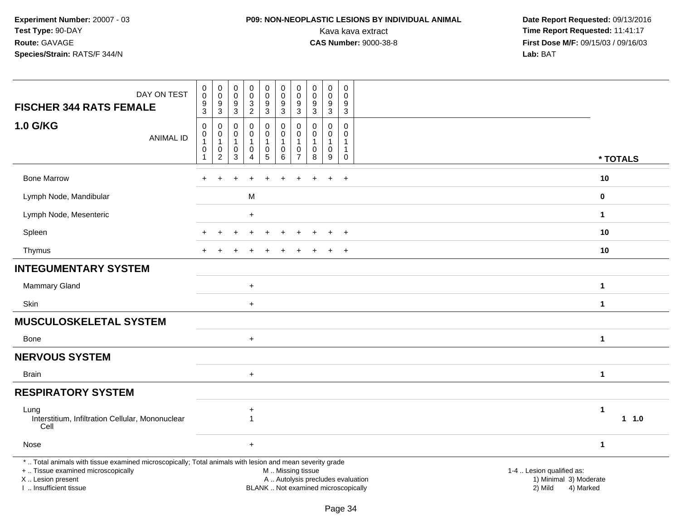## **P09: NON-NEOPLASTIC LESIONS BY INDIVIDUAL ANIMAL**

| DAY ON TEST<br><b>FISCHER 344 RATS FEMALE</b>                                                                                                                                                 | $\mathbf 0$<br>$\ddot{\mathbf{0}}$<br>$\frac{9}{3}$                           | $\pmb{0}$<br>$\overline{0}$<br>9<br>$\mathbf{3}$        | $\pmb{0}$<br>$\pmb{0}$<br>9<br>$\sqrt{3}$          | $\pmb{0}$<br>$\ddot{\mathbf{0}}$<br>$\mathbf{3}$<br>$\overline{2}$ | $\mathsf 0$<br>$\ddot{\mathbf{0}}$<br>$9\,$<br>$\overline{3}$                        | $\pmb{0}$<br>$\ddot{\mathbf{0}}$<br>$\boldsymbol{9}$<br>$\overline{3}$ | $\mathbf 0$<br>$\ddot{\mathbf{0}}$<br>$\frac{9}{3}$                 | $\pmb{0}$<br>$\pmb{0}$<br>$\boldsymbol{9}$<br>$\overline{3}$ | $\pmb{0}$<br>$\mathsf{O}\xspace$<br>9<br>$\mathbf{3}$ | $\pmb{0}$<br>$\mathbf 0$<br>9<br>$\overline{3}$       |                                                                                                                  |          |
|-----------------------------------------------------------------------------------------------------------------------------------------------------------------------------------------------|-------------------------------------------------------------------------------|---------------------------------------------------------|----------------------------------------------------|--------------------------------------------------------------------|--------------------------------------------------------------------------------------|------------------------------------------------------------------------|---------------------------------------------------------------------|--------------------------------------------------------------|-------------------------------------------------------|-------------------------------------------------------|------------------------------------------------------------------------------------------------------------------|----------|
| 1.0 G/KG<br><b>ANIMAL ID</b>                                                                                                                                                                  | $\mathsf 0$<br>$\begin{smallmatrix}0\\1\end{smallmatrix}$<br>$\mathsf 0$<br>1 | $\mathbf 0$<br>0<br>$\mathbf{1}$<br>0<br>$\overline{c}$ | $\Omega$<br>0<br>$\mathbf{1}$<br>$\mathsf{O}$<br>3 | $\mathbf 0$<br>0<br>$\mathbf{1}$<br>$\mathsf 0$<br>4               | $\mathbf 0$<br>$\mathbf 0$<br>$\mathbf{1}$<br>$\mathsf{O}\xspace$<br>$5\phantom{.0}$ | $\mathbf 0$<br>0<br>1<br>$\pmb{0}$<br>$\,6\,$                          | $\mathbf 0$<br>0<br>$\overline{1}$<br>$\mathbf 0$<br>$\overline{7}$ | $\mathbf 0$<br>0<br>$\mathbf{1}$<br>$\mathbf 0$<br>8         | $\mathbf 0$<br>0<br>$\mathbf{1}$<br>$\mathbf 0$<br>9  | $\mathbf 0$<br>0<br>$\mathbf{1}$<br>$\mathbf{1}$<br>0 |                                                                                                                  | * TOTALS |
| <b>Bone Marrow</b>                                                                                                                                                                            |                                                                               |                                                         |                                                    |                                                                    |                                                                                      |                                                                        |                                                                     |                                                              | $\ddot{}$                                             | $+$                                                   | 10                                                                                                               |          |
| Lymph Node, Mandibular                                                                                                                                                                        |                                                                               |                                                         |                                                    | M                                                                  |                                                                                      |                                                                        |                                                                     |                                                              |                                                       |                                                       | $\bf{0}$                                                                                                         |          |
| Lymph Node, Mesenteric                                                                                                                                                                        |                                                                               |                                                         |                                                    | $\ddot{}$                                                          |                                                                                      |                                                                        |                                                                     |                                                              |                                                       |                                                       | $\mathbf 1$                                                                                                      |          |
| Spleen                                                                                                                                                                                        |                                                                               |                                                         |                                                    |                                                                    |                                                                                      |                                                                        |                                                                     |                                                              |                                                       |                                                       | 10                                                                                                               |          |
| Thymus                                                                                                                                                                                        |                                                                               |                                                         |                                                    |                                                                    |                                                                                      |                                                                        |                                                                     |                                                              | $\ddot{}$                                             | $+$                                                   | 10                                                                                                               |          |
| <b>INTEGUMENTARY SYSTEM</b>                                                                                                                                                                   |                                                                               |                                                         |                                                    |                                                                    |                                                                                      |                                                                        |                                                                     |                                                              |                                                       |                                                       |                                                                                                                  |          |
| Mammary Gland                                                                                                                                                                                 |                                                                               |                                                         |                                                    | $\ddot{}$                                                          |                                                                                      |                                                                        |                                                                     |                                                              |                                                       |                                                       | $\mathbf 1$                                                                                                      |          |
| Skin                                                                                                                                                                                          |                                                                               |                                                         |                                                    | $\ddot{}$                                                          |                                                                                      |                                                                        |                                                                     |                                                              |                                                       |                                                       | $\mathbf{1}$                                                                                                     |          |
| <b>MUSCULOSKELETAL SYSTEM</b>                                                                                                                                                                 |                                                                               |                                                         |                                                    |                                                                    |                                                                                      |                                                                        |                                                                     |                                                              |                                                       |                                                       |                                                                                                                  |          |
| <b>Bone</b>                                                                                                                                                                                   |                                                                               |                                                         |                                                    | $\ddot{}$                                                          |                                                                                      |                                                                        |                                                                     |                                                              |                                                       |                                                       | $\mathbf 1$                                                                                                      |          |
| <b>NERVOUS SYSTEM</b>                                                                                                                                                                         |                                                                               |                                                         |                                                    |                                                                    |                                                                                      |                                                                        |                                                                     |                                                              |                                                       |                                                       |                                                                                                                  |          |
| <b>Brain</b>                                                                                                                                                                                  |                                                                               |                                                         |                                                    | $+$                                                                |                                                                                      |                                                                        |                                                                     |                                                              |                                                       |                                                       | $\mathbf 1$                                                                                                      |          |
| <b>RESPIRATORY SYSTEM</b>                                                                                                                                                                     |                                                                               |                                                         |                                                    |                                                                    |                                                                                      |                                                                        |                                                                     |                                                              |                                                       |                                                       |                                                                                                                  |          |
| Lung<br>Interstitium, Infiltration Cellular, Mononuclear<br>Cell                                                                                                                              |                                                                               |                                                         |                                                    | +<br>$\mathbf{1}$                                                  |                                                                                      |                                                                        |                                                                     |                                                              |                                                       |                                                       | $\mathbf 1$                                                                                                      | 1 1.0    |
| Nose                                                                                                                                                                                          |                                                                               |                                                         |                                                    | $\ddot{}$                                                          |                                                                                      |                                                                        |                                                                     |                                                              |                                                       |                                                       | $\mathbf{1}$                                                                                                     |          |
| *  Total animals with tissue examined microscopically; Total animals with lesion and mean severity grade<br>+  Tissue examined microscopically<br>X  Lesion present<br>I  Insufficient tissue |                                                                               |                                                         |                                                    |                                                                    |                                                                                      | M  Missing tissue<br>BLANK  Not examined microscopically               |                                                                     |                                                              |                                                       |                                                       | 1-4  Lesion qualified as:<br>A  Autolysis precludes evaluation<br>1) Minimal 3) Moderate<br>2) Mild<br>4) Marked |          |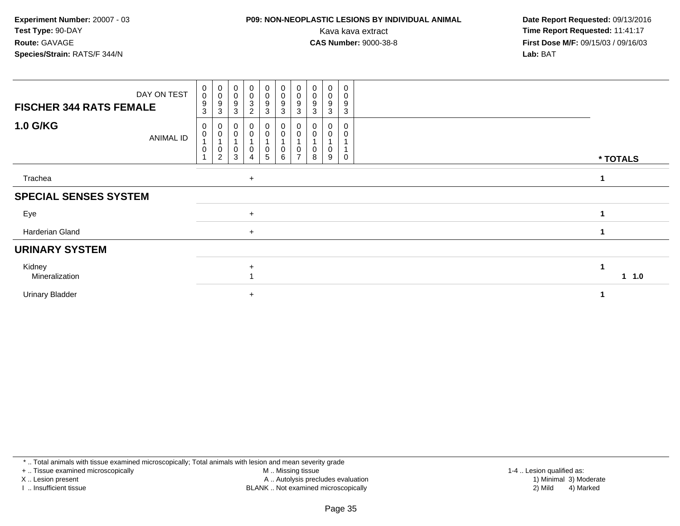## **P09: NON-NEOPLASTIC LESIONS BY INDIVIDUAL ANIMAL**

 **Date Report Requested:** 09/13/2016 Kava kava extract **Time Report Requested:** 11:41:17<br>**CAS Number:** 9000-38-8 **Time Report Requested:** 11:41:17 **First Dose M/F:** 09/15/03 / 09/16/03<br>**Lab:** BAT **Lab:** BAT

| DAY ON TEST<br><b>FISCHER 344 RATS FEMALE</b> | $\begin{smallmatrix}0\\0\end{smallmatrix}$<br>$\boldsymbol{9}$<br>3 | $\begin{matrix} 0 \\ 0 \end{matrix}$<br>9<br>3 | $_{\rm 0}^{\rm 0}$<br>9<br>3 | $_0^0$<br>$\ensuremath{\mathsf{3}}$<br>2 | $_0^0$<br>9<br>3 | $\begin{matrix} 0 \\ 0 \\ 9 \end{matrix}$<br>$\mathbf{3}$ | $\pmb{0}$<br>$\pmb{0}$<br>9<br>3 | $\boldsymbol{0}$<br>$\mathbf 0$<br>9<br>3 | 0<br>0<br>9<br>3 | 0<br>0<br>9<br>3 |               |
|-----------------------------------------------|---------------------------------------------------------------------|------------------------------------------------|------------------------------|------------------------------------------|------------------|-----------------------------------------------------------|----------------------------------|-------------------------------------------|------------------|------------------|---------------|
| <b>1.0 G/KG</b><br>ANIMAL ID                  | 0<br>0<br>$\overline{A}$<br>0                                       | 0<br>0<br>0<br>2                               | 3                            | 0<br>0<br>0<br>4                         | 0<br>0<br>0<br>5 | $\pmb{0}$<br>$\pmb{0}$<br>$\boldsymbol{0}$<br>$\,6\,$     | 0<br>$\overline{ }$              | 8                                         | 9                | 0                | * TOTALS      |
| Trachea                                       |                                                                     |                                                |                              | $+$                                      |                  |                                                           |                                  |                                           |                  |                  |               |
| <b>SPECIAL SENSES SYSTEM</b>                  |                                                                     |                                                |                              |                                          |                  |                                                           |                                  |                                           |                  |                  |               |
| Eye                                           |                                                                     |                                                |                              | $+$                                      |                  |                                                           |                                  |                                           |                  |                  |               |
| Harderian Gland                               |                                                                     |                                                |                              | $+$                                      |                  |                                                           |                                  |                                           |                  |                  |               |
| <b>URINARY SYSTEM</b>                         |                                                                     |                                                |                              |                                          |                  |                                                           |                                  |                                           |                  |                  |               |
| Kidney<br>Mineralization                      |                                                                     |                                                |                              | $\ddot{}$                                |                  |                                                           |                                  |                                           |                  |                  | $1 \quad 1.0$ |
| <b>Urinary Bladder</b>                        |                                                                     |                                                |                              | $\ddot{}$                                |                  |                                                           |                                  |                                           |                  |                  |               |

\* .. Total animals with tissue examined microscopically; Total animals with lesion and mean severity grade

+ .. Tissue examined microscopically

X .. Lesion present

I .. Insufficient tissue

 M .. Missing tissueA .. Autolysis precludes evaluation

BLANK .. Not examined microscopically 2) Mild 4) Marked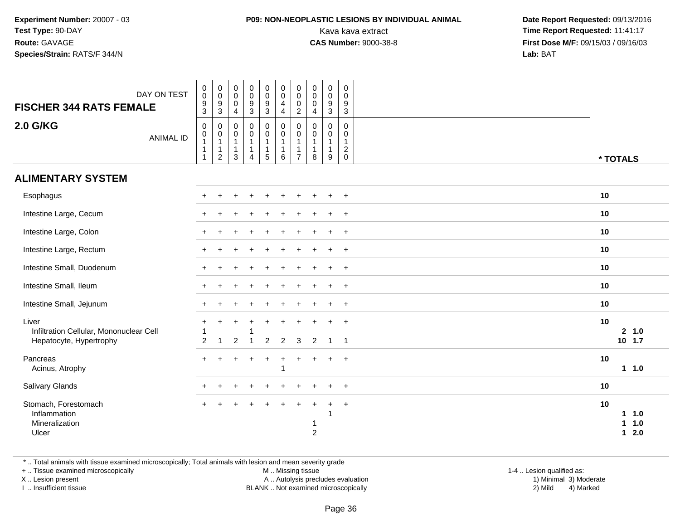## **P09: NON-NEOPLASTIC LESIONS BY INDIVIDUAL ANIMAL**

 **Date Report Requested:** 09/13/2016 Kava kava extract **Time Report Requested:** 11:41:17<br>**CAS Number:** 9000-38-8 **Time Report Requested:** 11:41:17 **First Dose M/F:** 09/15/03 / 09/16/03<br>**Lab:** BAT **Lab:** BAT

| DAY ON TEST<br><b>FISCHER 344 RATS FEMALE</b>                               | $\pmb{0}$<br>$\pmb{0}$<br>$\frac{9}{3}$                  | $\pmb{0}$<br>$\pmb{0}$<br>$\frac{9}{3}$                                      | $\pmb{0}$<br>$\mathsf 0$<br>$\mathbf 0$<br>$\overline{4}$      | $\begin{array}{c} 0 \\ 0 \\ 9 \\ 3 \end{array}$ | $\mathbf 0$<br>$\mathbf 0$<br>$\frac{9}{3}$               | $\pmb{0}$<br>$\pmb{0}$<br>$\overline{4}$<br>$\overline{4}$ | 0<br>$\mathbf 0$<br>$\mathbf 0$<br>$\overline{2}$                            | $\pmb{0}$<br>$\mathbf 0$<br>0<br>4                    | $\pmb{0}$<br>$\mathbf 0$<br>$\boldsymbol{9}$<br>3               | $\boldsymbol{0}$<br>$\mathbf 0$<br>9<br>$\overline{3}$            |                         |                    |
|-----------------------------------------------------------------------------|----------------------------------------------------------|------------------------------------------------------------------------------|----------------------------------------------------------------|-------------------------------------------------|-----------------------------------------------------------|------------------------------------------------------------|------------------------------------------------------------------------------|-------------------------------------------------------|-----------------------------------------------------------------|-------------------------------------------------------------------|-------------------------|--------------------|
| <b>2.0 G/KG</b><br><b>ANIMAL ID</b>                                         | $\boldsymbol{0}$<br>$\pmb{0}$<br>$\mathbf{1}$<br>-1<br>1 | $\mathbf 0$<br>$\mathbf 0$<br>$\mathbf{1}$<br>$\mathbf{1}$<br>$\overline{c}$ | 0<br>$\pmb{0}$<br>$\mathbf{1}$<br>$\mathbf{1}$<br>$\mathbf{3}$ | 0<br>0<br>$\mathbf{1}$<br>$\mathbf{1}$<br>4     | 0<br>$\mathsf{O}\xspace$<br>$\mathbf 1$<br>$\overline{5}$ | $\pmb{0}$<br>$\pmb{0}$<br>$\mathbf 1$<br>$\mathbf{1}$<br>6 | $\mathbf 0$<br>$\mathbf 0$<br>$\mathbf{1}$<br>$\mathbf{1}$<br>$\overline{7}$ | 0<br>$\mathbf 0$<br>$\mathbf{1}$<br>$\mathbf{1}$<br>8 | $\mathbf 0$<br>$\mathbf 0$<br>$\mathbf{1}$<br>$\mathbf{1}$<br>9 | 0<br>$\mathbf 0$<br>$\mathbf{1}$<br>$\overline{2}$<br>$\mathbf 0$ | * TOTALS                |                    |
| <b>ALIMENTARY SYSTEM</b>                                                    |                                                          |                                                                              |                                                                |                                                 |                                                           |                                                            |                                                                              |                                                       |                                                                 |                                                                   |                         |                    |
| Esophagus                                                                   |                                                          |                                                                              |                                                                |                                                 |                                                           |                                                            |                                                                              |                                                       | $\ddot{}$                                                       | $+$                                                               | 10                      |                    |
| Intestine Large, Cecum                                                      |                                                          |                                                                              |                                                                |                                                 |                                                           |                                                            |                                                                              |                                                       |                                                                 | $\overline{+}$                                                    | 10                      |                    |
| Intestine Large, Colon                                                      |                                                          |                                                                              |                                                                |                                                 |                                                           |                                                            |                                                                              |                                                       |                                                                 | $+$                                                               | 10                      |                    |
| Intestine Large, Rectum                                                     |                                                          |                                                                              |                                                                |                                                 |                                                           |                                                            |                                                                              |                                                       | $\overline{ }$                                                  | $+$                                                               | 10                      |                    |
| Intestine Small, Duodenum                                                   |                                                          |                                                                              |                                                                |                                                 |                                                           |                                                            |                                                                              |                                                       | $\ddot{}$                                                       | $+$                                                               | 10                      |                    |
| Intestine Small, Ileum                                                      |                                                          |                                                                              |                                                                |                                                 |                                                           |                                                            |                                                                              |                                                       | $\ddot{}$                                                       | $\overline{+}$                                                    | 10                      |                    |
| Intestine Small, Jejunum                                                    |                                                          |                                                                              |                                                                |                                                 |                                                           |                                                            |                                                                              |                                                       |                                                                 | $\overline{+}$                                                    | 10                      |                    |
| Liver<br>Infiltration Cellular, Mononuclear Cell<br>Hepatocyte, Hypertrophy | 2                                                        | $\mathbf{1}$                                                                 | $\overline{2}$                                                 | $\ddot{}$<br>$\mathbf{1}$                       | $\ddot{}$<br>$\overline{2}$                               | $\overline{2}$                                             | $\mathbf{3}$                                                                 | $\overline{2}$                                        | $\overline{1}$                                                  | $\overline{+}$<br>$\overline{1}$                                  | 10                      | 2, 1.0<br>$10$ 1.7 |
| Pancreas<br>Acinus, Atrophy                                                 | $\ddot{}$                                                |                                                                              |                                                                | $\ddot{}$                                       | $^{+}$                                                    | $\ddot{}$                                                  | $\ddot{}$                                                                    |                                                       | $\ddot{}$                                                       | $+$                                                               | 10                      | $1 1.0$            |
| Salivary Glands                                                             |                                                          |                                                                              |                                                                |                                                 |                                                           |                                                            |                                                                              |                                                       |                                                                 | $\ddot{}$                                                         | 10                      |                    |
| Stomach, Forestomach<br>Inflammation<br>Mineralization<br>Ulcer             |                                                          |                                                                              |                                                                |                                                 |                                                           |                                                            |                                                                              | -1<br>$\overline{c}$                                  | $\ddot{}$<br>-1                                                 | $+$                                                               | 10<br>1<br>$\mathbf{1}$ | 11.0<br>1.0<br>2.0 |

\* .. Total animals with tissue examined microscopically; Total animals with lesion and mean severity grade

+ .. Tissue examined microscopically

X .. Lesion present

I .. Insufficient tissue

M .. Missing tissue

Lesion present A .. Autolysis precludes evaluation 1) Minimal 3) Moderate

BLANK .. Not examined microscopically 2) Mild 4) Marked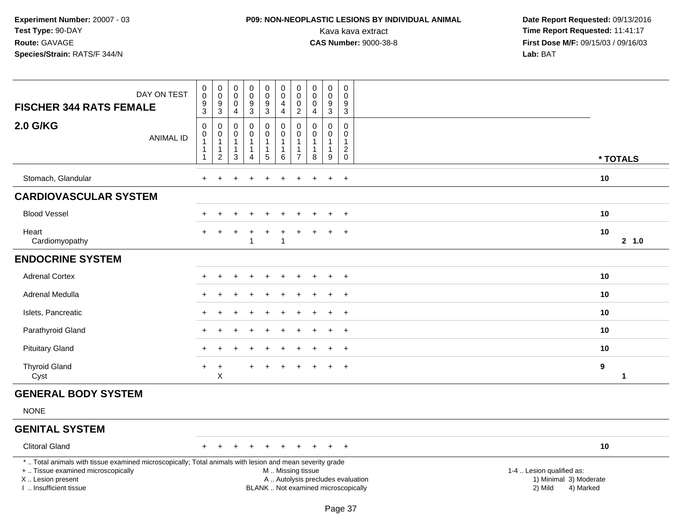## **P09: NON-NEOPLASTIC LESIONS BY INDIVIDUAL ANIMAL**

| DAY ON TEST<br><b>FISCHER 344 RATS FEMALE</b>                                                                                                                                                 | $\pmb{0}$<br>$\mathbf 0$<br>$\boldsymbol{9}$<br>$\mathsf 3$             | $\begin{smallmatrix} 0\\0 \end{smallmatrix}$<br>$\boldsymbol{9}$<br>$\mathbf{3}$ | $\pmb{0}$<br>$\mathbf 0$<br>0<br>$\overline{4}$       | $_{\rm 0}^{\rm 0}$<br>$\frac{9}{3}$                             | $_{\rm 0}^{\rm 0}$<br>$\frac{9}{3}$                                      | $\pmb{0}$<br>$\pmb{0}$<br>$\overline{\mathbf{4}}$<br>$\overline{4}$                           | $\pmb{0}$<br>$\mathbf 0$<br>$\mathbf 0$<br>$\overline{2}$ | $\pmb{0}$<br>$\mathbf 0$<br>$\pmb{0}$<br>$\overline{4}$         | $_{\rm 0}^{\rm 0}$<br>$\boldsymbol{9}$<br>3                     | $\mathsf{O}\xspace$<br>0<br>$\boldsymbol{9}$<br>3                                   |                                                                             |        |
|-----------------------------------------------------------------------------------------------------------------------------------------------------------------------------------------------|-------------------------------------------------------------------------|----------------------------------------------------------------------------------|-------------------------------------------------------|-----------------------------------------------------------------|--------------------------------------------------------------------------|-----------------------------------------------------------------------------------------------|-----------------------------------------------------------|-----------------------------------------------------------------|-----------------------------------------------------------------|-------------------------------------------------------------------------------------|-----------------------------------------------------------------------------|--------|
| 2.0 G/KG<br><b>ANIMAL ID</b>                                                                                                                                                                  | $\mathbf 0$<br>$\pmb{0}$<br>$\mathbf{1}$<br>$\mathbf 1$<br>$\mathbf{1}$ | 0<br>$\pmb{0}$<br>$\mathbf{1}$<br>$\mathbf{1}$<br>$\overline{2}$                 | $\mathbf 0$<br>0<br>$\mathbf{1}$<br>$\mathbf{1}$<br>3 | $\mathbf 0$<br>$\pmb{0}$<br>1<br>$\mathbf{1}$<br>$\overline{4}$ | 0<br>$\mathsf{O}\xspace$<br>$\overline{1}$<br>$\mathbf{1}$<br>$\sqrt{5}$ | $\pmb{0}$<br>$\pmb{0}$<br>$\mathbf{1}$<br>$\mathbf{1}$<br>$\,6\,$                             | 0<br>$\mathbf 0$<br>1<br>1<br>$\overline{7}$              | $\mathbf 0$<br>$\mathbf 0$<br>$\mathbf{1}$<br>$\mathbf{1}$<br>8 | $\mathbf 0$<br>$\mathbf 0$<br>$\mathbf{1}$<br>$\mathbf{1}$<br>9 | $\mathbf 0$<br>$\mathsf{O}\xspace$<br>$\mathbf{1}$<br>$\overline{2}$<br>$\mathsf 0$ | * TOTALS                                                                    |        |
| Stomach, Glandular                                                                                                                                                                            | $+$                                                                     |                                                                                  |                                                       |                                                                 | ÷                                                                        |                                                                                               |                                                           |                                                                 | $\pm$                                                           | $+$                                                                                 | 10                                                                          |        |
| <b>CARDIOVASCULAR SYSTEM</b>                                                                                                                                                                  |                                                                         |                                                                                  |                                                       |                                                                 |                                                                          |                                                                                               |                                                           |                                                                 |                                                                 |                                                                                     |                                                                             |        |
| <b>Blood Vessel</b>                                                                                                                                                                           |                                                                         |                                                                                  |                                                       | $\ddot{}$                                                       | ÷                                                                        |                                                                                               |                                                           |                                                                 | $\ddot{}$                                                       | $+$                                                                                 | 10                                                                          |        |
| Heart<br>Cardiomyopathy                                                                                                                                                                       |                                                                         | $+$                                                                              |                                                       | $\overline{1}$                                                  | $\ddot{}$                                                                | $\overline{1}$                                                                                | ÷                                                         |                                                                 | $\div$                                                          | $\ddot{}$                                                                           | 10                                                                          | 2, 1.0 |
| <b>ENDOCRINE SYSTEM</b>                                                                                                                                                                       |                                                                         |                                                                                  |                                                       |                                                                 |                                                                          |                                                                                               |                                                           |                                                                 |                                                                 |                                                                                     |                                                                             |        |
| <b>Adrenal Cortex</b>                                                                                                                                                                         |                                                                         |                                                                                  |                                                       |                                                                 |                                                                          |                                                                                               |                                                           |                                                                 |                                                                 | $\overline{+}$                                                                      | 10                                                                          |        |
| Adrenal Medulla                                                                                                                                                                               |                                                                         |                                                                                  |                                                       |                                                                 |                                                                          |                                                                                               |                                                           |                                                                 |                                                                 | $\pm$                                                                               | 10                                                                          |        |
| Islets, Pancreatic                                                                                                                                                                            |                                                                         |                                                                                  |                                                       |                                                                 |                                                                          |                                                                                               |                                                           |                                                                 |                                                                 | $\overline{+}$                                                                      | 10                                                                          |        |
| Parathyroid Gland                                                                                                                                                                             |                                                                         |                                                                                  |                                                       |                                                                 |                                                                          |                                                                                               |                                                           |                                                                 |                                                                 | $\overline{+}$                                                                      | 10                                                                          |        |
| <b>Pituitary Gland</b>                                                                                                                                                                        |                                                                         |                                                                                  |                                                       |                                                                 |                                                                          |                                                                                               |                                                           |                                                                 |                                                                 | $\overline{+}$                                                                      | 10                                                                          |        |
| <b>Thyroid Gland</b><br>Cyst                                                                                                                                                                  | $\ddot{}$                                                               | $\ddot{}$<br>X                                                                   |                                                       |                                                                 | +                                                                        |                                                                                               |                                                           |                                                                 | $\div$                                                          | $\ddot{}$                                                                           | 9                                                                           | 1      |
| <b>GENERAL BODY SYSTEM</b>                                                                                                                                                                    |                                                                         |                                                                                  |                                                       |                                                                 |                                                                          |                                                                                               |                                                           |                                                                 |                                                                 |                                                                                     |                                                                             |        |
| <b>NONE</b>                                                                                                                                                                                   |                                                                         |                                                                                  |                                                       |                                                                 |                                                                          |                                                                                               |                                                           |                                                                 |                                                                 |                                                                                     |                                                                             |        |
| <b>GENITAL SYSTEM</b>                                                                                                                                                                         |                                                                         |                                                                                  |                                                       |                                                                 |                                                                          |                                                                                               |                                                           |                                                                 |                                                                 |                                                                                     |                                                                             |        |
| <b>Clitoral Gland</b>                                                                                                                                                                         | $+$                                                                     | $+$                                                                              | $\ddot{}$                                             | $\ddot{}$                                                       | $\ddot{}$                                                                |                                                                                               |                                                           |                                                                 | $+$                                                             | $+$                                                                                 | 10                                                                          |        |
| *  Total animals with tissue examined microscopically; Total animals with lesion and mean severity grade<br>+  Tissue examined microscopically<br>X  Lesion present<br>I. Insufficient tissue |                                                                         |                                                                                  |                                                       |                                                                 |                                                                          | M  Missing tissue<br>A  Autolysis precludes evaluation<br>BLANK  Not examined microscopically |                                                           |                                                                 |                                                                 |                                                                                     | 1-4  Lesion qualified as:<br>1) Minimal 3) Moderate<br>2) Mild<br>4) Marked |        |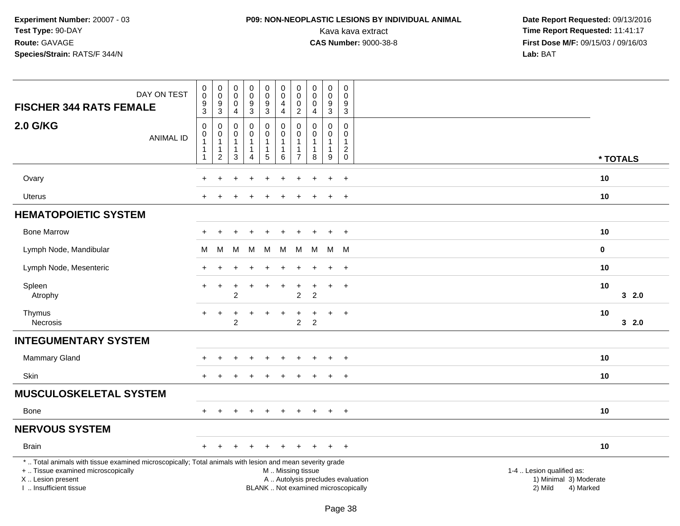## **P09: NON-NEOPLASTIC LESIONS BY INDIVIDUAL ANIMAL**

| DAY ON TEST<br><b>FISCHER 344 RATS FEMALE</b>                                                                                                                                                 | $\,0\,$<br>$\mathbf 0$<br>$\boldsymbol{9}$<br>$\mathsf 3$ | $\mathbf 0$<br>$\pmb{0}$<br>9<br>$\mathsf 3$                                          | $\pmb{0}$<br>$\mathbf 0$<br>$\mathbf 0$<br>$\overline{4}$        | $\pmb{0}$<br>$\pmb{0}$<br>$\boldsymbol{9}$<br>3                 | $\pmb{0}$<br>$\pmb{0}$<br>$\boldsymbol{9}$<br>$\overline{3}$          | $\pmb{0}$<br>$\mathsf{O}\xspace$<br>$\overline{4}$<br>$\overline{4}$                          | 0<br>0<br>0<br>$\overline{c}$   | $\mathbf 0$<br>$\mathbf 0$<br>$\mathbf 0$<br>4     | $\pmb{0}$<br>$\pmb{0}$<br>$\boldsymbol{9}$<br>$\mathbf{3}$                   | $\boldsymbol{0}$<br>0<br>9<br>$\mathbf{3}$      |                                                                             |
|-----------------------------------------------------------------------------------------------------------------------------------------------------------------------------------------------|-----------------------------------------------------------|---------------------------------------------------------------------------------------|------------------------------------------------------------------|-----------------------------------------------------------------|-----------------------------------------------------------------------|-----------------------------------------------------------------------------------------------|---------------------------------|----------------------------------------------------|------------------------------------------------------------------------------|-------------------------------------------------|-----------------------------------------------------------------------------|
| <b>2.0 G/KG</b><br><b>ANIMAL ID</b>                                                                                                                                                           | $\mathbf 0$<br>$\pmb{0}$<br>1<br>1                        | $\mathbf 0$<br>$\boldsymbol{0}$<br>$\overline{1}$<br>$\mathbf{1}$<br>$\boldsymbol{2}$ | $\mathbf 0$<br>0<br>$\mathbf{1}$<br>$\mathbf{1}$<br>$\mathbf{3}$ | 0<br>$\mathsf{O}\xspace$<br>$\mathbf{1}$<br>1<br>$\overline{4}$ | $\pmb{0}$<br>$\ddot{\mathbf{0}}$<br>$\mathbf{1}$<br>$\mathbf{1}$<br>5 | $\mathbf 0$<br>$\pmb{0}$<br>$\mathbf{1}$<br>$\mathbf{1}$<br>6                                 | 0<br>$\Omega$<br>$\overline{7}$ | $\mathbf 0$<br>$\pmb{0}$<br>$\mathbf{1}$<br>1<br>8 | 0<br>$\mathsf{O}\xspace$<br>$\mathbf{1}$<br>$\mathbf{1}$<br>$\boldsymbol{9}$ | $\mathbf 0$<br>$\mathbf 0$<br>1<br>$^2_{\rm 0}$ | * TOTALS                                                                    |
|                                                                                                                                                                                               |                                                           |                                                                                       |                                                                  |                                                                 |                                                                       |                                                                                               |                                 |                                                    |                                                                              |                                                 |                                                                             |
| Ovary                                                                                                                                                                                         | $\ddot{}$                                                 |                                                                                       |                                                                  |                                                                 |                                                                       |                                                                                               |                                 |                                                    | $\ddot{}$                                                                    | $\ddot{}$                                       | 10                                                                          |
| Uterus                                                                                                                                                                                        |                                                           |                                                                                       |                                                                  |                                                                 |                                                                       |                                                                                               |                                 |                                                    |                                                                              | $\overline{+}$                                  | 10                                                                          |
| <b>HEMATOPOIETIC SYSTEM</b>                                                                                                                                                                   |                                                           |                                                                                       |                                                                  |                                                                 |                                                                       |                                                                                               |                                 |                                                    |                                                                              |                                                 |                                                                             |
| <b>Bone Marrow</b>                                                                                                                                                                            | $\div$                                                    |                                                                                       |                                                                  |                                                                 |                                                                       |                                                                                               |                                 |                                                    | $\ddot{}$                                                                    | $+$                                             | 10                                                                          |
| Lymph Node, Mandibular                                                                                                                                                                        | М                                                         | М                                                                                     | M                                                                | M                                                               | M                                                                     | M                                                                                             | M                               | M                                                  | M                                                                            | M                                               | 0                                                                           |
| Lymph Node, Mesenteric                                                                                                                                                                        |                                                           |                                                                                       |                                                                  |                                                                 |                                                                       |                                                                                               |                                 |                                                    |                                                                              | $\overline{ }$                                  | 10                                                                          |
| Spleen<br>Atrophy                                                                                                                                                                             | $+$                                                       | $\ddot{}$                                                                             | $\ddot{}$<br>$\overline{2}$                                      | $\ddot{}$                                                       |                                                                       | $\ddot{}$                                                                                     | +<br>$\overline{2}$             | +<br>$\overline{2}$                                | $\ddot{}$                                                                    | $+$                                             | 10<br>32.0                                                                  |
| Thymus<br>Necrosis                                                                                                                                                                            | $\ddot{}$                                                 | $\ddot{}$                                                                             | $\overline{2}$                                                   |                                                                 |                                                                       |                                                                                               | $\overline{2}$                  | $\overline{2}$                                     | $\ddot{}$                                                                    | $+$                                             | 10<br>32.0                                                                  |
| <b>INTEGUMENTARY SYSTEM</b>                                                                                                                                                                   |                                                           |                                                                                       |                                                                  |                                                                 |                                                                       |                                                                                               |                                 |                                                    |                                                                              |                                                 |                                                                             |
| Mammary Gland                                                                                                                                                                                 | $\div$                                                    |                                                                                       |                                                                  | $\ddot{}$                                                       |                                                                       | $\div$                                                                                        | ÷                               |                                                    | $\ddot{}$                                                                    | $+$                                             | 10                                                                          |
| Skin                                                                                                                                                                                          | $+$                                                       | $\div$                                                                                |                                                                  |                                                                 |                                                                       | ÷                                                                                             |                                 |                                                    | $\ddot{}$                                                                    | $+$                                             | 10                                                                          |
| <b>MUSCULOSKELETAL SYSTEM</b>                                                                                                                                                                 |                                                           |                                                                                       |                                                                  |                                                                 |                                                                       |                                                                                               |                                 |                                                    |                                                                              |                                                 |                                                                             |
| Bone                                                                                                                                                                                          | $\div$                                                    |                                                                                       |                                                                  |                                                                 |                                                                       |                                                                                               |                                 |                                                    | $\ddot{}$                                                                    | $\overline{+}$                                  | 10                                                                          |
| <b>NERVOUS SYSTEM</b>                                                                                                                                                                         |                                                           |                                                                                       |                                                                  |                                                                 |                                                                       |                                                                                               |                                 |                                                    |                                                                              |                                                 |                                                                             |
| <b>Brain</b>                                                                                                                                                                                  | $+$                                                       | $\pm$                                                                                 | $\ddot{}$                                                        | $\ddot{}$                                                       |                                                                       |                                                                                               |                                 |                                                    | $+$                                                                          | $+$                                             | 10                                                                          |
| *  Total animals with tissue examined microscopically; Total animals with lesion and mean severity grade<br>+  Tissue examined microscopically<br>X  Lesion present<br>I. Insufficient tissue |                                                           |                                                                                       |                                                                  |                                                                 |                                                                       | M  Missing tissue<br>A  Autolysis precludes evaluation<br>BLANK  Not examined microscopically |                                 |                                                    |                                                                              |                                                 | 1-4  Lesion qualified as:<br>1) Minimal 3) Moderate<br>2) Mild<br>4) Marked |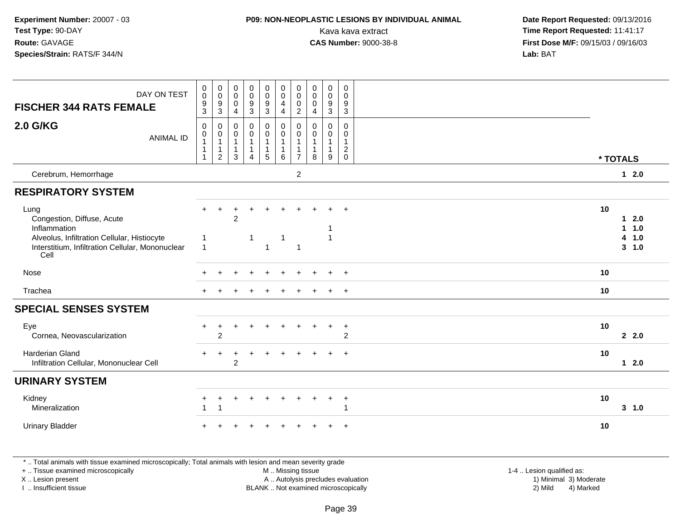### **P09: NON-NEOPLASTIC LESIONS BY INDIVIDUAL ANIMAL**

 **Date Report Requested:** 09/13/2016 Kava kava extract **Time Report Requested:** 11:41:17<br>**CAS Number:** 9000-38-8 **Time Report Requested:** 11:41:17 **First Dose M/F:** 09/15/03 / 09/16/03<br>**Lab:** BAT **Lab:** BAT

| DAY ON TEST<br><b>FISCHER 344 RATS FEMALE</b>                                                                                                                 | $\begin{smallmatrix}0\\0\end{smallmatrix}$<br>$\frac{9}{3}$ | $\begin{smallmatrix} 0\\0 \end{smallmatrix}$<br>$\frac{9}{3}$       | 0<br>$\mathbf 0$<br>$\mathbf 0$<br>$\overline{4}$   | $_{\rm 0}^{\rm 0}$<br>$\boldsymbol{9}$<br>$\mathbf{3}$              | $\begin{smallmatrix} 0\\0 \end{smallmatrix}$<br>$\boldsymbol{9}$<br>$\mathbf{3}$ | 0<br>$\overline{0}$<br>4<br>$\overline{4}$            | $_{\rm 0}^{\rm 0}$<br>$\pmb{0}$<br>$\overline{2}$ | $\pmb{0}$<br>$\mathbf 0$<br>0<br>$\overline{4}$       | $_{\rm 0}^{\rm 0}$<br>$\boldsymbol{9}$<br>$\mathfrak{Z}$ | $\mathbf 0$<br>$\mathbf 0$<br>$\boldsymbol{9}$<br>$\mathbf{3}$  |                   |                             |
|---------------------------------------------------------------------------------------------------------------------------------------------------------------|-------------------------------------------------------------|---------------------------------------------------------------------|-----------------------------------------------------|---------------------------------------------------------------------|----------------------------------------------------------------------------------|-------------------------------------------------------|---------------------------------------------------|-------------------------------------------------------|----------------------------------------------------------|-----------------------------------------------------------------|-------------------|-----------------------------|
| <b>2.0 G/KG</b><br><b>ANIMAL ID</b>                                                                                                                           | $\mathbf 0$<br>0<br>$\overline{1}$<br>$\mathbf{1}$<br>-1    | $\,0\,$<br>$\,0\,$<br>$\mathbf{1}$<br>$\mathbf 1$<br>$\overline{c}$ | $\mathbf 0$<br>0<br>$\mathbf 1$<br>$\mathbf 1$<br>3 | $\pmb{0}$<br>$\mathbf 0$<br>$\mathbf 1$<br>$\mathbf{1}$<br>$\Delta$ | $\pmb{0}$<br>$\mathsf{O}\xspace$<br>$\mathbf{1}$<br>1<br>$\sqrt{5}$              | 0<br>$\pmb{0}$<br>$\overline{1}$<br>$\mathbf{1}$<br>6 | 0<br>0<br>1<br>$\mathbf{1}$<br>$\overline{7}$     | $\mathbf 0$<br>0<br>$\mathbf{1}$<br>$\mathbf{1}$<br>8 | $\mathsf{O}\xspace$<br>$\mathbf 0$<br>1<br>9             | $\mathsf{O}\xspace$<br>$\Omega$<br>$\mathbf{1}$<br>$^2_{\rm 0}$ | * TOTALS          |                             |
| Cerebrum, Hemorrhage                                                                                                                                          |                                                             |                                                                     |                                                     |                                                                     |                                                                                  |                                                       | $\overline{2}$                                    |                                                       |                                                          |                                                                 |                   | $12.0$                      |
| <b>RESPIRATORY SYSTEM</b>                                                                                                                                     |                                                             |                                                                     |                                                     |                                                                     |                                                                                  |                                                       |                                                   |                                                       |                                                          |                                                                 |                   |                             |
| Lung<br>Congestion, Diffuse, Acute<br>Inflammation<br>Alveolus, Infiltration Cellular, Histiocyte<br>Interstitium, Infiltration Cellular, Mononuclear<br>Cell | $+$                                                         | $\ddot{}$                                                           | $\overline{c}$                                      | -1                                                                  | $\ddot{}$<br>1                                                                   | $\ddot{}$<br>-1                                       | $\overline{1}$                                    |                                                       | $+$                                                      | $+$                                                             | 10<br>1<br>1<br>4 | 2.0<br>1.0<br>1.0<br>3, 1.0 |
| Nose                                                                                                                                                          |                                                             |                                                                     |                                                     |                                                                     |                                                                                  |                                                       |                                                   |                                                       |                                                          | $+$                                                             | 10                |                             |
| Trachea                                                                                                                                                       |                                                             |                                                                     |                                                     |                                                                     |                                                                                  |                                                       |                                                   |                                                       | $\div$                                                   | $+$                                                             | 10                |                             |
| <b>SPECIAL SENSES SYSTEM</b>                                                                                                                                  |                                                             |                                                                     |                                                     |                                                                     |                                                                                  |                                                       |                                                   |                                                       |                                                          |                                                                 |                   |                             |
| Eye<br>Cornea, Neovascularization                                                                                                                             |                                                             | ٠<br>$\overline{2}$                                                 |                                                     |                                                                     |                                                                                  |                                                       |                                                   |                                                       |                                                          | $\ddot{}$<br>$\overline{c}$                                     | 10                | 2.2.0                       |
| Harderian Gland<br>Infiltration Cellular, Mononuclear Cell                                                                                                    |                                                             |                                                                     | $\overline{c}$                                      |                                                                     |                                                                                  |                                                       |                                                   |                                                       |                                                          | $\ddot{}$                                                       | 10                | $1 \quad 2.0$               |
| <b>URINARY SYSTEM</b>                                                                                                                                         |                                                             |                                                                     |                                                     |                                                                     |                                                                                  |                                                       |                                                   |                                                       |                                                          |                                                                 |                   |                             |
| Kidney<br>Mineralization                                                                                                                                      |                                                             | $\ddot{}$                                                           | +                                                   |                                                                     |                                                                                  |                                                       |                                                   |                                                       | $\ddot{}$                                                | $+$<br>1                                                        | 10                | 3, 1.0                      |
| <b>Urinary Bladder</b>                                                                                                                                        |                                                             |                                                                     |                                                     |                                                                     |                                                                                  |                                                       |                                                   |                                                       |                                                          | $\overline{1}$                                                  | 10                |                             |

\* .. Total animals with tissue examined microscopically; Total animals with lesion and mean severity grade

+ .. Tissue examined microscopically

X .. Lesion present

I .. Insufficient tissue

 M .. Missing tissueA .. Autolysis precludes evaluation

BLANK .. Not examined microscopically 2) Mild 4) Marked